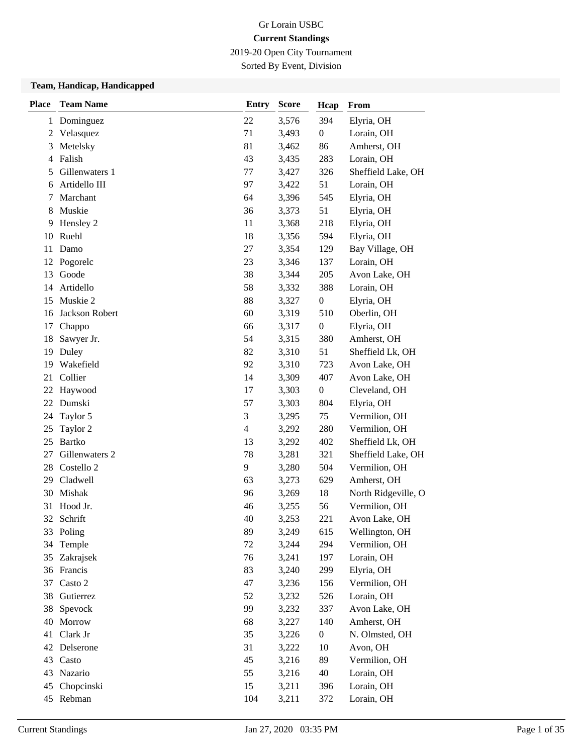2019-20 Open City Tournament

Sorted By Event, Division

#### **Team, Handicap, Handicapped**

| <b>Place</b> | <b>Team Name</b> | <b>Entry</b>             | <b>Score</b> | Hcap             | From                |
|--------------|------------------|--------------------------|--------------|------------------|---------------------|
| $\mathbf{1}$ | Dominguez        | 22                       | 3,576        | 394              | Elyria, OH          |
| 2            | Velasquez        | 71                       | 3,493        | $\boldsymbol{0}$ | Lorain, OH          |
| 3            | Metelsky         | 81                       | 3,462        | 86               | Amherst, OH         |
| 4            | Falish           | 43                       | 3,435        | 283              | Lorain, OH          |
| 5            | Gillenwaters 1   | 77                       | 3,427        | 326              | Sheffield Lake, OH  |
| 6            | Artidello III    | 97                       | 3,422        | 51               | Lorain, OH          |
| 7            | Marchant         | 64                       | 3,396        | 545              | Elyria, OH          |
| 8            | Muskie           | 36                       | 3,373        | 51               | Elyria, OH          |
| 9            | Hensley 2        | 11                       | 3,368        | 218              | Elyria, OH          |
| 10           | Ruehl            | 18                       | 3,356        | 594              | Elyria, OH          |
| 11           | Damo             | 27                       | 3,354        | 129              | Bay Village, OH     |
|              | 12 Pogorelc      | 23                       | 3,346        | 137              | Lorain, OH          |
| 13           | Goode            | 38                       | 3,344        | 205              | Avon Lake, OH       |
| 14           | Artidello        | 58                       | 3,332        | 388              | Lorain, OH          |
| 15           | Muskie 2         | 88                       | 3,327        | $\boldsymbol{0}$ | Elyria, OH          |
| 16           | Jackson Robert   | 60                       | 3,319        | 510              | Oberlin, OH         |
| 17           | Chappo           | 66                       | 3,317        | $\boldsymbol{0}$ | Elyria, OH          |
| 18           | Sawyer Jr.       | 54                       | 3,315        | 380              | Amherst, OH         |
| 19           | Duley            | 82                       | 3,310        | 51               | Sheffield Lk, OH    |
| 19           | Wakefield        | 92                       | 3,310        | 723              | Avon Lake, OH       |
| 21           | Collier          | 14                       | 3,309        | 407              | Avon Lake, OH       |
| 22           | Haywood          | 17                       | 3,303        | $\boldsymbol{0}$ | Cleveland, OH       |
| 22           | Dumski           | 57                       | 3,303        | 804              | Elyria, OH          |
| 24           | Taylor 5         | 3                        | 3,295        | 75               | Vermilion, OH       |
| 25           | Taylor 2         | $\overline{\mathcal{L}}$ | 3,292        | 280              | Vermilion, OH       |
| 25           | <b>Bartko</b>    | 13                       | 3,292        | 402              | Sheffield Lk, OH    |
| 27           | Gillenwaters 2   | 78                       | 3,281        | 321              | Sheffield Lake, OH  |
| 28           | Costello 2       | 9                        | 3,280        | 504              | Vermilion, OH       |
| 29           | Cladwell         | 63                       | 3,273        | 629              | Amherst, OH         |
| 30           | Mishak           | 96                       | 3,269        | 18               | North Ridgeville, O |
| 31           | Hood Jr.         | 46                       | 3,255        | 56               | Vermilion, OH       |
| 32           | Schrift          | 40                       | 3,253        | 221              | Avon Lake, OH       |
| 33           | Poling           | 89                       | 3,249        | 615              | Wellington, OH      |
| 34           | Temple           | 72                       | 3,244        | 294              | Vermilion, OH       |
| 35           | Zakrajsek        | 76                       | 3,241        | 197              | Lorain, OH          |
|              | 36 Francis       | 83                       | 3,240        | 299              | Elyria, OH          |
| 37           | Casto 2          | 47                       | 3,236        | 156              | Vermilion, OH       |
| 38           | Gutierrez        | 52                       | 3,232        | 526              | Lorain, OH          |
| 38           | Spevock          | 99                       | 3,232        | 337              | Avon Lake, OH       |
| 40           | Morrow           | 68                       | 3,227        | 140              | Amherst, OH         |
| 41           | Clark Jr         | 35                       | 3,226        | $\boldsymbol{0}$ | N. Olmsted, OH      |
| 42           | Delserone        | 31                       | 3,222        | 10               | Avon, OH            |
| 43           | Casto            | 45                       | 3,216        | 89               | Vermilion, OH       |
| 43           | Nazario          | 55                       | 3,216        | $40\,$           | Lorain, OH          |
| 45           | Chopcinski       | 15                       | 3,211        | 396              | Lorain, OH          |
|              | 45 Rebman        | 104                      | 3,211        | 372              | Lorain, OH          |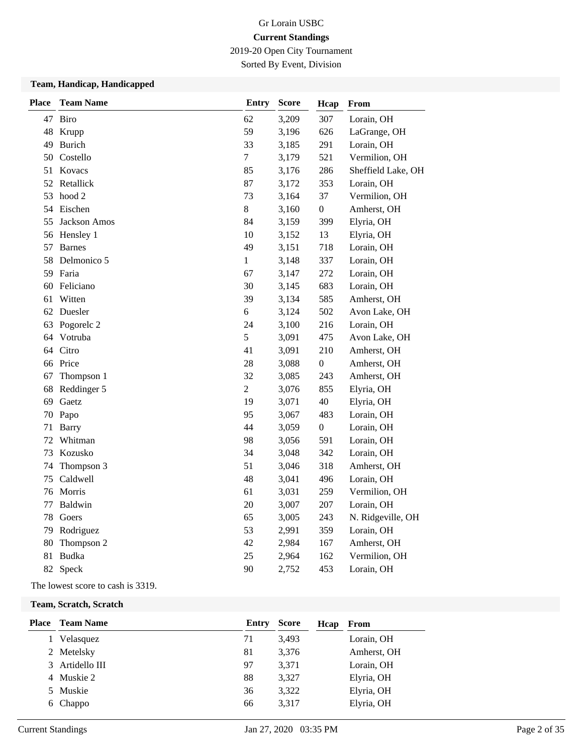2019-20 Open City Tournament

Sorted By Event, Division

### **Team, Handicap, Handicapped**

| <b>Place</b> | <b>Team Name</b>      | <b>Entry</b>   | Score | Hcap             | From               |
|--------------|-----------------------|----------------|-------|------------------|--------------------|
|              | 47 Biro               | 62             | 3,209 | 307              | Lorain, OH         |
|              | 48 Krupp              | 59             | 3,196 | 626              | LaGrange, OH       |
|              | 49 Burich             | 33             | 3,185 | 291              | Lorain, OH         |
| 50           | Costello              | $\tau$         | 3,179 | 521              | Vermilion, OH      |
|              | 51 Kovacs             | 85             | 3,176 | 286              | Sheffield Lake, OH |
|              | 52 Retallick          | 87             | 3,172 | 353              | Lorain, OH         |
| 53           | hood 2                | 73             | 3,164 | 37               | Vermilion, OH      |
|              | 54 Eischen            | $8\,$          | 3,160 | $\boldsymbol{0}$ | Amherst, OH        |
| 55           | Jackson Amos          | 84             | 3,159 | 399              | Elyria, OH         |
|              | 56 Hensley 1          | 10             | 3,152 | 13               | Elyria, OH         |
| 57           | <b>Barnes</b>         | 49             | 3,151 | 718              | Lorain, OH         |
| 58           | Delmonico 5           | $\mathbf{1}$   | 3,148 | 337              | Lorain, OH         |
|              | 59 Faria              | 67             | 3,147 | 272              | Lorain, OH         |
| 60           | Feliciano             | 30             | 3,145 | 683              | Lorain, OH         |
| 61           | Witten                | 39             | 3,134 | 585              | Amherst, OH        |
|              | 62 Duesler            | 6              | 3,124 | 502              | Avon Lake, OH      |
| 63           | Pogorelc <sub>2</sub> | 24             | 3,100 | 216              | Lorain, OH         |
|              | 64 Votruba            | 5              | 3,091 | 475              | Avon Lake, OH      |
|              | 64 Citro              | 41             | 3,091 | 210              | Amherst, OH        |
|              | 66 Price              | 28             | 3,088 | $\boldsymbol{0}$ | Amherst, OH        |
| 67           | Thompson 1            | 32             | 3,085 | 243              | Amherst, OH        |
| 68           | Reddinger 5           | $\overline{2}$ | 3,076 | 855              | Elyria, OH         |
| 69           | Gaetz                 | 19             | 3,071 | 40               | Elyria, OH         |
| 70           | Papo                  | 95             | 3,067 | 483              | Lorain, OH         |
| 71           | <b>Barry</b>          | 44             | 3,059 | $\boldsymbol{0}$ | Lorain, OH         |
| 72           | Whitman               | 98             | 3,056 | 591              | Lorain, OH         |
| 73           | Kozusko               | 34             | 3,048 | 342              | Lorain, OH         |
| 74           | Thompson 3            | 51             | 3,046 | 318              | Amherst, OH        |
| 75           | Caldwell              | 48             | 3,041 | 496              | Lorain, OH         |
| 76           | Morris                | 61             | 3,031 | 259              | Vermilion, OH      |
| 77           | Baldwin               | 20             | 3,007 | 207              | Lorain, OH         |
| 78           | Goers                 | 65             | 3,005 | 243              | N. Ridgeville, OH  |
| 79           | Rodriguez             | 53             | 2,991 | 359              | Lorain, OH         |
| 80           | Thompson 2            | 42             | 2,984 | 167              | Amherst, OH        |
| 81           | <b>Budka</b>          | 25             | 2,964 | 162              | Vermilion, OH      |
| 82           | Speck                 | 90             | 2,752 | 453              | Lorain, OH         |

The lowest score to cash is 3319.

#### **Team, Scratch, Scratch**

|   | <b>Place</b> Team Name | Entry | <b>Score</b> | Hcap | From        |
|---|------------------------|-------|--------------|------|-------------|
|   | Velasquez              | 71    | 3,493        |      | Lorain, OH  |
|   | 2 Metelsky             | 81    | 3,376        |      | Amherst, OH |
| 3 | Artidello III          | 97    | 3,371        |      | Lorain, OH  |
|   | 4 Muskie 2             | 88    | 3,327        |      | Elyria, OH  |
|   | 5 Muskie               | 36    | 3,322        |      | Elyria, OH  |
|   | 6 Chappo               | 66    | 3,317        |      | Elyria, OH  |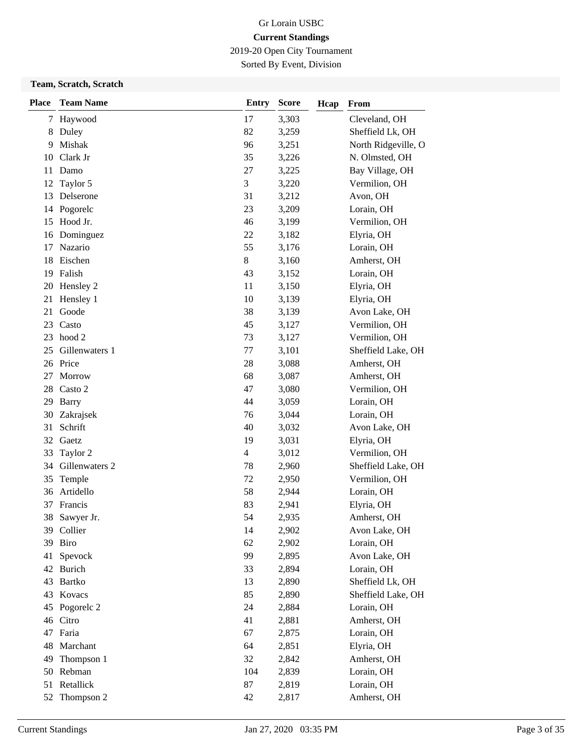2019-20 Open City Tournament

Sorted By Event, Division

### **Team, Scratch, Scratch**

| <b>Place</b> | <b>Team Name</b> | <b>Entry</b> | <b>Score</b> | Hcap | From                |
|--------------|------------------|--------------|--------------|------|---------------------|
| 7            | Haywood          | 17           | 3,303        |      | Cleveland, OH       |
| 8            | Duley            | 82           | 3,259        |      | Sheffield Lk, OH    |
| 9            | Mishak           | 96           | 3,251        |      | North Ridgeville, O |
| 10           | Clark Jr         | 35           | 3,226        |      | N. Olmsted, OH      |
| 11           | Damo             | 27           | 3,225        |      | Bay Village, OH     |
| 12           | Taylor 5         | 3            | 3,220        |      | Vermilion, OH       |
| 13           | Delserone        | 31           | 3,212        |      | Avon, OH            |
| 14           | Pogorelc         | 23           | 3,209        |      | Lorain, OH          |
| 15           | Hood Jr.         | 46           | 3,199        |      | Vermilion, OH       |
| 16           | Dominguez        | 22           | 3,182        |      | Elyria, OH          |
| 17           | Nazario          | 55           | 3,176        |      | Lorain, OH          |
| 18           | Eischen          | 8            | 3,160        |      | Amherst, OH         |
| 19           | Falish           | 43           | 3,152        |      | Lorain, OH          |
| 20           | Hensley 2        | 11           | 3,150        |      | Elyria, OH          |
| 21           | Hensley 1        | 10           | 3,139        |      | Elyria, OH          |
| 21           | Goode            | 38           | 3,139        |      | Avon Lake, OH       |
| 23           | Casto            | 45           | 3,127        |      | Vermilion, OH       |
| 23           | hood 2           | 73           | 3,127        |      | Vermilion, OH       |
| 25           | Gillenwaters 1   | 77           | 3,101        |      | Sheffield Lake, OH  |
|              | 26 Price         | 28           | 3,088        |      | Amherst, OH         |
| 27           | Morrow           | 68           | 3,087        |      | Amherst, OH         |
| 28           | Casto 2          | 47           | 3,080        |      | Vermilion, OH       |
| 29           | <b>Barry</b>     | 44           | 3,059        |      | Lorain, OH          |
| 30           | Zakrajsek        | 76           | 3,044        |      | Lorain, OH          |
| 31           | Schrift          | 40           | 3,032        |      | Avon Lake, OH       |
| 32           | Gaetz            | 19           | 3,031        |      | Elyria, OH          |
| 33           | Taylor 2         | 4            | 3,012        |      | Vermilion, OH       |
| 34           | Gillenwaters 2   | 78           | 2,960        |      | Sheffield Lake, OH  |
| 35           | Temple           | 72           | 2,950        |      | Vermilion, OH       |
| 36           | Artidello        | 58           | 2,944        |      | Lorain, OH          |
| 37           | Francis          | 83           | 2,941        |      | Elyria, OH          |
| 38           | Sawyer Jr.       | 54           | 2,935        |      | Amherst, OH         |
|              | 39 Collier       | 14           | 2,902        |      | Avon Lake, OH       |
|              | 39 Biro          | 62           | 2,902        |      | Lorain, OH          |
| 41           | Spevock          | 99           | 2,895        |      | Avon Lake, OH       |
|              | 42 Burich        | 33           | 2,894        |      | Lorain, OH          |
|              | 43 Bartko        | 13           | 2,890        |      | Sheffield Lk, OH    |
| 43           | Kovacs           | 85           | 2,890        |      | Sheffield Lake, OH  |
| 45           | Pogorelc 2       | 24           | 2,884        |      | Lorain, OH          |
|              | 46 Citro         | 41           | 2,881        |      | Amherst, OH         |
|              | 47 Faria         | 67           | 2,875        |      | Lorain, OH          |
| 48           | Marchant         | 64           | 2,851        |      | Elyria, OH          |
| 49           | Thompson 1       | 32           | 2,842        |      | Amherst, OH         |
| 50           | Rebman           | 104          | 2,839        |      | Lorain, OH          |
| 51           | Retallick        | 87           | 2,819        |      | Lorain, OH          |
| 52           | Thompson 2       | 42           | 2,817        |      | Amherst, OH         |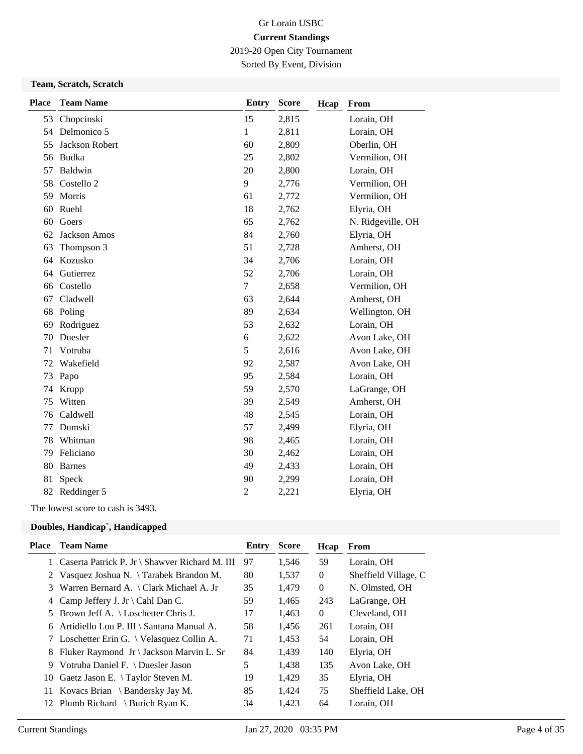2019-20 Open City Tournament

Sorted By Event, Division

#### **Team, Scratch, Scratch**

| <b>Place</b> | <b>Team Name</b> | <b>Entry</b> | <b>Score</b> | Hcap | From              |
|--------------|------------------|--------------|--------------|------|-------------------|
| 53           | Chopcinski       | 15           | 2,815        |      | Lorain, OH        |
| 54           | Delmonico 5      | 1            | 2,811        |      | Lorain, OH        |
| 55           | Jackson Robert   | 60           | 2,809        |      | Oberlin, OH       |
| 56           | Budka            | 25           | 2,802        |      | Vermilion, OH     |
| 57           | Baldwin          | 20           | 2,800        |      | Lorain, OH        |
| 58           | Costello 2       | 9            | 2,776        |      | Vermilion, OH     |
| 59           | Morris           | 61           | 2,772        |      | Vermilion, OH     |
| 60           | Ruehl            | 18           | 2,762        |      | Elyria, OH        |
| 60           | Goers            | 65           | 2,762        |      | N. Ridgeville, OH |
| 62           | Jackson Amos     | 84           | 2,760        |      | Elyria, OH        |
| 63           | Thompson 3       | 51           | 2,728        |      | Amherst, OH       |
| 64           | Kozusko          | 34           | 2,706        |      | Lorain, OH        |
| 64           | Gutierrez        | 52           | 2,706        |      | Lorain, OH        |
| 66           | Costello         | $\tau$       | 2,658        |      | Vermilion, OH     |
| 67           | Cladwell         | 63           | 2,644        |      | Amherst, OH       |
| 68           | Poling           | 89           | 2,634        |      | Wellington, OH    |
| 69           | Rodriguez        | 53           | 2,632        |      | Lorain, OH        |
| 70           | Duesler          | 6            | 2,622        |      | Avon Lake, OH     |
| 71           | Votruba          | 5            | 2,616        |      | Avon Lake, OH     |
| 72           | Wakefield        | 92           | 2,587        |      | Avon Lake, OH     |
| 73           | Papo             | 95           | 2,584        |      | Lorain, OH        |
| 74           | Krupp            | 59           | 2,570        |      | LaGrange, OH      |
| 75           | Witten           | 39           | 2,549        |      | Amherst, OH       |
| 76           | Caldwell         | 48           | 2,545        |      | Lorain, OH        |
| 77           | Dumski           | 57           | 2,499        |      | Elyria, OH        |
| 78           | Whitman          | 98           | 2,465        |      | Lorain, OH        |
| 79           | Feliciano        | 30           | 2,462        |      | Lorain, OH        |
| 80           | <b>Barnes</b>    | 49           | 2,433        |      | Lorain, OH        |
| 81           | Speck            | 90           | 2,299        |      | Lorain, OH        |
|              | 82 Reddinger 5   | 2            | 2,221        |      | Elyria, OH        |

The lowest score to cash is 3493.

### **Doubles, Handicap`, Handicapped**

| Place | <b>Team Name</b>                                 | Entry | <b>Score</b> | Hcap           | From                 |
|-------|--------------------------------------------------|-------|--------------|----------------|----------------------|
|       | 1 Caserta Patrick P. Jr \ Shawver Richard M. III | 97    | 1,546        | 59             | Lorain, OH           |
|       | 2 Vasquez Joshua N. \Tarabek Brandon M.          | 80    | 1,537        | $\theta$       | Sheffield Village, C |
| 3     | Warren Bernard A. \ Clark Michael A. Jr          | 35    | 1,479        | $\overline{0}$ | N. Olmsted, OH       |
|       | 4 Camp Jeffery J. Jr \ Cahl Dan C.               | 59    | 1,465        | 243            | LaGrange, OH         |
|       | 5 Brown Jeff A. $\setminus$ Loschetter Chris J.  | 17    | 1,463        | $\overline{0}$ | Cleveland, OH        |
| 6.    | Artidiello Lou P. III \ Santana Manual A.        | 58    | 1,456        | 261            | Lorain, OH           |
|       | 7 Loschetter Erin G. \ Velasquez Collin A.       | 71    | 1,453        | 54             | Lorain, OH           |
| 8     | Fluker Raymond Jr \ Jackson Marvin L. Sr         | 84    | 1,439        | 140            | Elyria, OH           |
| 9     | Votruba Daniel F. \ Duesler Jason                | 5     | 1,438        | 135            | Avon Lake, OH        |
| 10    | Gaetz Jason E. $\setminus$ Taylor Steven M.      | 19    | 1,429        | 35             | Elyria, OH           |
|       | 11 Kovacs Brian \ Bandersky Jay M.               | 85    | 1,424        | 75             | Sheffield Lake, OH   |
|       | 12 Plumb Richard \ Burich Ryan K.                | 34    | 1,423        | 64             | Lorain, OH           |
|       |                                                  |       |              |                |                      |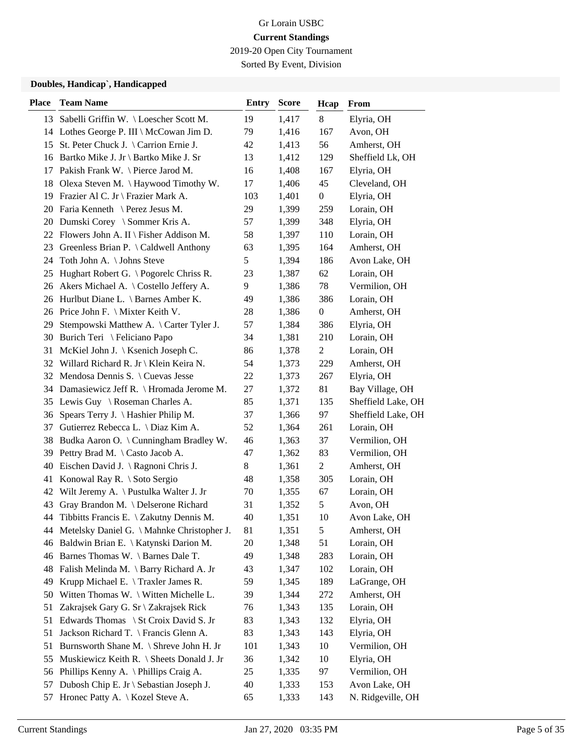2019-20 Open City Tournament

Sorted By Event, Division

#### **Doubles, Handicap`, Handicapped**

| <b>Place</b> | <b>Team Name</b>                             | Entry | <b>Score</b> | Hcap             | <b>From</b>        |
|--------------|----------------------------------------------|-------|--------------|------------------|--------------------|
|              | 13 Sabelli Griffin W. \Loescher Scott M.     | 19    | 1,417        | 8                | Elyria, OH         |
|              | 14 Lothes George P. III \ McCowan Jim D.     | 79    | 1,416        | 167              | Avon, OH           |
|              | 15 St. Peter Chuck J. \ Carrion Ernie J.     | 42    | 1,413        | 56               | Amherst, OH        |
|              | 16 Bartko Mike J. Jr \ Bartko Mike J. Sr     | 13    | 1,412        | 129              | Sheffield Lk, OH   |
| 17           | Pakish Frank W. \ Pierce Jarod M.            | 16    | 1,408        | 167              | Elyria, OH         |
| 18           | Olexa Steven M. \ Haywood Timothy W.         | 17    | 1,406        | 45               | Cleveland, OH      |
|              | 19 Frazier Al C. Jr \ Frazier Mark A.        | 103   | 1,401        | $\boldsymbol{0}$ | Elyria, OH         |
|              | 20 Faria Kenneth \ Perez Jesus M.            | 29    | 1,399        | 259              | Lorain, OH         |
|              | 20 Dumski Corey \ Sommer Kris A.             | 57    | 1,399        | 348              | Elyria, OH         |
|              | 22 Flowers John A. II \ Fisher Addison M.    | 58    | 1,397        | 110              | Lorain, OH         |
|              | 23 Greenless Brian P. \Caldwell Anthony      | 63    | 1,395        | 164              | Amherst, OH        |
|              | 24 Toth John A. \ Johns Steve                | 5     | 1,394        | 186              | Avon Lake, OH      |
| 25           | Hughart Robert G. \Pogorelc Chriss R.        | 23    | 1,387        | 62               | Lorain, OH         |
|              | 26 Akers Michael A. \ Costello Jeffery A.    | 9     | 1,386        | 78               | Vermilion, OH      |
|              | 26 Hurlbut Diane L. \ Barnes Amber K.        | 49    | 1,386        | 386              | Lorain, OH         |
|              | 26 Price John F. \ Mixter Keith V.           | 28    | 1,386        | $\boldsymbol{0}$ | Amherst, OH        |
| 29           | Stempowski Matthew A. \ Carter Tyler J.      | 57    | 1,384        | 386              | Elyria, OH         |
| 30           | Burich Teri \ Feliciano Papo                 | 34    | 1,381        | 210              | Lorain, OH         |
| 31           | McKiel John J.   Ksenich Joseph C.           | 86    | 1,378        | $\mathbf{2}$     | Lorain, OH         |
|              | 32 Willard Richard R. Jr \ Klein Keira N.    | 54    | 1,373        | 229              | Amherst, OH        |
|              | 32 Mendosa Dennis S. \ Cuevas Jesse          | 22    | 1,373        | 267              | Elyria, OH         |
|              | 34 Damasiewicz Jeff R. \ Hromada Jerome M.   | 27    | 1,372        | 81               | Bay Village, OH    |
|              | 35 Lewis Guy \ Roseman Charles A.            | 85    | 1,371        | 135              | Sheffield Lake, OH |
| 36           | Spears Terry J. \ Hashier Philip M.          | 37    | 1,366        | 97               | Sheffield Lake, OH |
| 37           | Gutierrez Rebecca L. \ Diaz Kim A.           | 52    | 1,364        | 261              | Lorain, OH         |
| 38           | Budka Aaron O. \ Cunningham Bradley W.       | 46    | 1,363        | 37               | Vermilion, OH      |
| 39           | Pettry Brad M. \ Casto Jacob A.              | 47    | 1,362        | 83               | Vermilion, OH      |
| 40           | Eischen David J. \ Ragnoni Chris J.          | 8     | 1,361        | $\overline{c}$   | Amherst, OH        |
| 41           | Konowal Ray R. \ Soto Sergio                 | 48    | 1,358        | 305              | Lorain, OH         |
|              | 42 Wilt Jeremy A. \ Pustulka Walter J. Jr    | 70    | 1,355        | 67               | Lorain, OH         |
| 43           | Gray Brandon M. \ Delserone Richard          | 31    | 1,352        | 5                | Avon, OH           |
| 44           | Tibbitts Francis E. \ Zakutny Dennis M.      | 40    | 1,351        | 10               | Avon Lake, OH      |
|              | 44 Metelsky Daniel G. \Mahnke Christopher J. | 81    | 1,351        | 5                | Amherst, OH        |
| 46           | Baldwin Brian E. \ Katynski Darion M.        | 20    | 1,348        | 51               | Lorain, OH         |
| 46           | Barnes Thomas W. \ Barnes Dale T.            | 49    | 1,348        | 283              | Lorain, OH         |
| 48           | Falish Melinda M. \ Barry Richard A. Jr      | 43    | 1,347        | 102              | Lorain, OH         |
| 49           | Krupp Michael E. \Traxler James R.           | 59    | 1,345        | 189              | LaGrange, OH       |
| 50           | Witten Thomas W. \ Witten Michelle L.        | 39    | 1,344        | 272              | Amherst, OH        |
| 51           | Zakrajsek Gary G. Sr \ Zakrajsek Rick        | 76    | 1,343        | 135              | Lorain, OH         |
| 51           | Edwards Thomas \ St Croix David S. Jr        | 83    | 1,343        | 132              | Elyria, OH         |
| 51           | Jackson Richard T. \ Francis Glenn A.        | 83    | 1,343        | 143              | Elyria, OH         |
| 51           | Burnsworth Shane M. \ Shreve John H. Jr      | 101   | 1,343        | 10               | Vermilion, OH      |
| 55           | Muskiewicz Keith R. \ Sheets Donald J. Jr    | 36    | 1,342        | 10               | Elyria, OH         |
| 56           | Phillips Kenny A. $\Phi$ Phillips Craig A.   | 25    | 1,335        | 97               | Vermilion, OH      |
| 57           | Dubosh Chip E. Jr \ Sebastian Joseph J.      | 40    | 1,333        | 153              | Avon Lake, OH      |
| 57           | Hronec Patty A. \ Kozel Steve A.             | 65    | 1,333        | 143              | N. Ridgeville, OH  |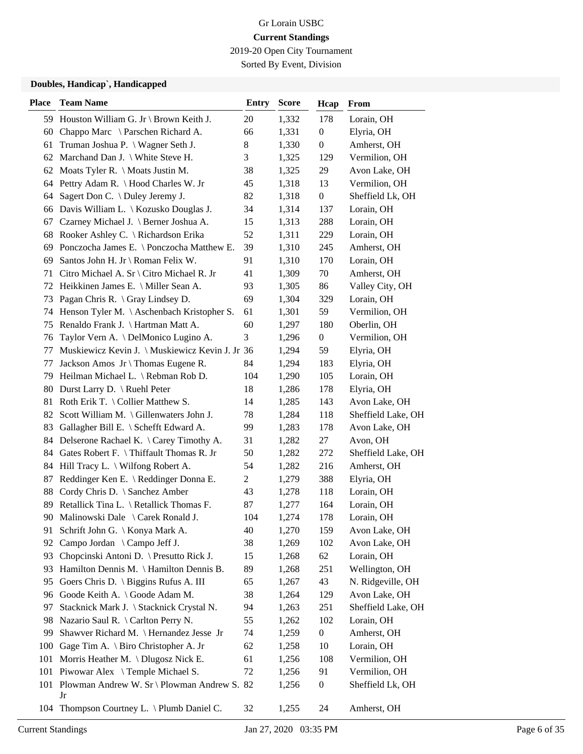2019-20 Open City Tournament

Sorted By Event, Division

#### **Doubles, Handicap`, Handicapped**

| <b>Place</b> | <b>Team Name</b>                                | <b>Entry</b>   | <b>Score</b> | Hcap             | From               |
|--------------|-------------------------------------------------|----------------|--------------|------------------|--------------------|
|              | 59 Houston William G. Jr \ Brown Keith J.       | 20             | 1,332        | 178              | Lorain, OH         |
| 60           | Chappo Marc \ Parschen Richard A.               | 66             | 1,331        | $\boldsymbol{0}$ | Elyria, OH         |
| 61           | Truman Joshua P. \ Wagner Seth J.               | $8\,$          | 1,330        | $\boldsymbol{0}$ | Amherst, OH        |
|              | 62 Marchand Dan J. \ White Steve H.             | 3              | 1,325        | 129              | Vermilion, OH      |
|              | 62 Moats Tyler R. \ Moats Justin M.             | 38             | 1,325        | 29               | Avon Lake, OH      |
|              | 64 Pettry Adam R. \Hood Charles W. Jr           | 45             | 1,318        | 13               | Vermilion, OH      |
| 64           | Sagert Don C. \ Duley Jeremy J.                 | 82             | 1,318        | $\boldsymbol{0}$ | Sheffield Lk, OH   |
|              | 66 Davis William L.   Kozusko Douglas J.        | 34             | 1,314        | 137              | Lorain, OH         |
| 67           | Czarney Michael J. \ Berner Joshua A.           | 15             | 1,313        | 288              | Lorain, OH         |
| 68           | Rooker Ashley C. \ Richardson Erika             | 52             | 1,311        | 229              | Lorain, OH         |
| 69           | Ponczocha James E. \ Ponczocha Matthew E.       | 39             | 1,310        | 245              | Amherst, OH        |
| 69           | Santos John H. Jr \ Roman Felix W.              | 91             | 1,310        | 170              | Lorain, OH         |
| 71           | Citro Michael A. Sr \ Citro Michael R. Jr       | 41             | 1,309        | 70               | Amherst, OH        |
|              | 72 Heikkinen James E. \ Miller Sean A.          | 93             | 1,305        | 86               | Valley City, OH    |
| 73           | Pagan Chris R. $\langle$ Gray Lindsey D.        | 69             | 1,304        | 329              | Lorain, OH         |
|              | 74 Henson Tyler M. \Aschenbach Kristopher S.    | 61             | 1,301        | 59               | Vermilion, OH      |
| 75           | Renaldo Frank J. \ Hartman Matt A.              | 60             | 1,297        | 180              | Oberlin, OH        |
| 76           | Taylor Vern A. \ DelMonico Lugino A.            | 3              | 1,296        | $\boldsymbol{0}$ | Vermilion, OH      |
| 77           | Muskiewicz Kevin J. \ Muskiewicz Kevin J. Jr 36 |                | 1,294        | 59               | Elyria, OH         |
| 77           | Jackson Amos $Jr \setminus$ Thomas Eugene R.    | 84             | 1,294        | 183              | Elyria, OH         |
|              | 79 Heilman Michael L. \ Rebman Rob D.           | 104            | 1,290        | 105              | Lorain, OH         |
|              | 80 Durst Larry D. \ Ruehl Peter                 | 18             | 1,286        | 178              | Elyria, OH         |
| 81           | Roth Erik T. $\setminus$ Collier Matthew S.     | 14             | 1,285        | 143              | Avon Lake, OH      |
|              | 82 Scott William M. \Gillenwaters John J.       | 78             | 1,284        | 118              | Sheffield Lake, OH |
| 83           | Gallagher Bill E. \ Schefft Edward A.           | 99             | 1,283        | 178              | Avon Lake, OH      |
|              | 84 Delserone Rachael K. \ Carey Timothy A.      | 31             | 1,282        | 27               | Avon, OH           |
|              | 84 Gates Robert F. \ Thiffault Thomas R. Jr     | 50             | 1,282        | 272              | Sheffield Lake, OH |
|              | 84 Hill Tracy L. \ Wilfong Robert A.            | 54             | 1,282        | 216              | Amherst, OH        |
| 87           | Reddinger Ken E. \ Reddinger Donna E.           | $\overline{2}$ | 1,279        | 388              | Elyria, OH         |
| 88           | Cordy Chris D. \ Sanchez Amber                  | 43             | 1,278        | 118              | Lorain, OH         |
| 89           | Retallick Tina L. \ Retallick Thomas F.         | 87             | 1,277        | 164              | Lorain, OH         |
| 90           | Malinowski Dale \ Carek Ronald J.               | 104            | 1,274        | 178              | Lorain, OH         |
| 91.          | Schrift John G. \ Konya Mark A.                 | 40             | 1,270        | 159              | Avon Lake, OH      |
| 92           | Campo Jordan \ Campo Jeff J.                    | 38             | 1,269        | 102              | Avon Lake, OH      |
| 93           | Chopcinski Antoni D. \ Presutto Rick J.         | 15             | 1,268        | 62               | Lorain, OH         |
| 93           | Hamilton Dennis M. \Hamilton Dennis B.          | 89             | 1,268        | 251              | Wellington, OH     |
| 95           | Goers Chris D. \ Biggins Rufus A. III           | 65             | 1,267        | 43               | N. Ridgeville, OH  |
| 96           | Goode Keith A. \ Goode Adam M.                  | 38             | 1,264        | 129              | Avon Lake, OH      |
| 97           | Stacknick Mark J. \ Stacknick Crystal N.        | 94             | 1,263        | 251              | Sheffield Lake, OH |
| 98           | Nazario Saul R. \ Carlton Perry N.              | 55             | 1,262        | 102              | Lorain, OH         |
| 99           | Shawver Richard M. \ Hernandez Jesse Jr         | 74             | 1,259        | $\boldsymbol{0}$ | Amherst, OH        |
| 100          | Gage Tim A. \ Biro Christopher A. Jr            | 62             | 1,258        | 10               | Lorain, OH         |
| 101          | Morris Heather M. \ Dlugosz Nick E.             | 61             | 1,256        | 108              | Vermilion, OH      |
|              | 101 Piwowar Alex \Temple Michael S.             | 72             | 1,256        | 91               | Vermilion, OH      |
|              | 101 Plowman Andrew W. Sr \ Plowman Andrew S. 82 |                | 1,256        | $\boldsymbol{0}$ | Sheffield Lk, OH   |
|              | Jr                                              |                |              |                  |                    |
| 104          | Thompson Courtney L. \ Plumb Daniel C.          | 32             | 1,255        | 24               | Amherst, OH        |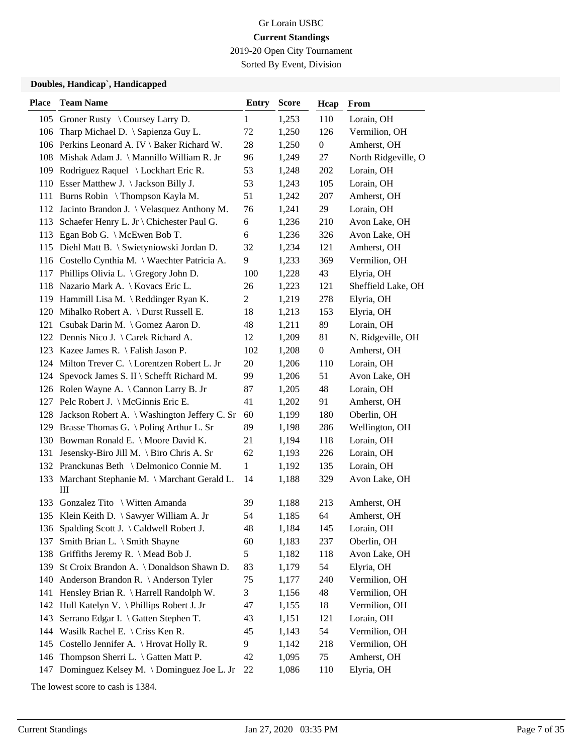2019-20 Open City Tournament

Sorted By Event, Division

#### **Doubles, Handicap`, Handicapped**

| <b>Place</b> | <b>Team Name</b>                                          | <b>Entry</b>   | <b>Score</b> | Hcap             | From                |
|--------------|-----------------------------------------------------------|----------------|--------------|------------------|---------------------|
|              | 105 Groner Rusty \ Coursey Larry D.                       | 1              | 1,253        | 110              | Lorain, OH          |
| 106          | Tharp Michael D. \ Sapienza Guy L.                        | 72             | 1,250        | 126              | Vermilion, OH       |
|              | 106 Perkins Leonard A. IV \ Baker Richard W.              | 28             | 1,250        | $\boldsymbol{0}$ | Amherst, OH         |
|              | 108 Mishak Adam J. \ Mannillo William R. Jr               | 96             | 1,249        | 27               | North Ridgeville, O |
|              | 109 Rodriguez Raquel \ Lockhart Eric R.                   | 53             | 1,248        | 202              | Lorain, OH          |
|              | 110 Esser Matthew J. \Jackson Billy J.                    | 53             | 1,243        | 105              | Lorain, OH          |
|              | 111 Burns Robin \ Thompson Kayla M.                       | 51             | 1,242        | 207              | Amherst, OH         |
|              | 112 Jacinto Brandon J. \ Velasquez Anthony M.             | 76             | 1,241        | 29               | Lorain, OH          |
| 113          | Schaefer Henry L. Jr \ Chichester Paul G.                 | 6              | 1,236        | 210              | Avon Lake, OH       |
|              | 113 Egan Bob G. \ McEwen Bob T.                           | 6              | 1,236        | 326              | Avon Lake, OH       |
|              | 115 Diehl Matt B. \ Swietyniowski Jordan D.               | 32             | 1,234        | 121              | Amherst, OH         |
|              | 116 Costello Cynthia M. \ Waechter Patricia A.            | 9              | 1,233        | 369              | Vermilion, OH       |
| 117          | Phillips Olivia L. $\big\{\text{Gregory John D.}\right\}$ | 100            | 1,228        | 43               | Elyria, OH          |
|              | 118 Nazario Mark A.   Kovacs Eric L.                      | 26             | 1,223        | 121              | Sheffield Lake, OH  |
|              | 119 Hammill Lisa M. \Reddinger Ryan K.                    | $\overline{c}$ | 1,219        | 278              | Elyria, OH          |
|              | 120 Mihalko Robert A. \ Durst Russell E.                  | 18             | 1,213        | 153              | Elyria, OH          |
|              | 121 Csubak Darin M. \ Gomez Aaron D.                      | 48             | 1,211        | 89               | Lorain, OH          |
|              | 122 Dennis Nico J. \ Carek Richard A.                     | 12             | 1,209        | 81               | N. Ridgeville, OH   |
|              | 123 Kazee James R. \ Falish Jason P.                      | 102            | 1,208        | $\boldsymbol{0}$ | Amherst, OH         |
|              | 124 Milton Trever C. \ Lorentzen Robert L. Jr             | 20             | 1,206        | 110              | Lorain, OH          |
|              | 124 Spevock James S. II \ Schefft Richard M.              | 99             | 1,206        | 51               | Avon Lake, OH       |
|              | 126 Rolen Wayne A. \Cannon Larry B. Jr                    | 87             | 1,205        | 48               | Lorain, OH          |
|              | 127 Pelc Robert J. \ McGinnis Eric E.                     | 41             | 1,202        | 91               | Amherst, OH         |
|              | 128 Jackson Robert A. \ Washington Jeffery C. Sr          | 60             | 1,199        | 180              | Oberlin, OH         |
|              | 129 Brasse Thomas G. \Poling Arthur L. Sr                 | 89             | 1,198        | 286              | Wellington, OH      |
|              | 130 Bowman Ronald E. \ Moore David K.                     | 21             | 1,194        | 118              | Lorain, OH          |
|              | 131 Jesensky-Biro Jill M. \ Biro Chris A. Sr              | 62             | 1,193        | 226              | Lorain, OH          |
|              | 132 Pranckunas Beth \ Delmonico Connie M.                 | $\mathbf{1}$   | 1,192        | 135              | Lorain, OH          |
|              | 133 Marchant Stephanie M. \ Marchant Gerald L.<br>Ш       | 14             | 1,188        | 329              | Avon Lake, OH       |
|              | 133 Gonzalez Tito \ Witten Amanda                         | 39             | 1,188        | 213              | Amherst, OH         |
|              | 135 Klein Keith D. \ Sawyer William A. Jr                 | 54             | 1,185        | 64               | Amherst, OH         |
|              | 136 Spalding Scott J. \Caldwell Robert J.                 | 48             | 1,184        | 145              | Lorain, OH          |
| 137          | Smith Brian L. \ Smith Shayne                             | 60             | 1,183        | 237              | Oberlin, OH         |
| 138          | Griffiths Jeremy R. \ Mead Bob J.                         | 5              | 1,182        | 118              | Avon Lake, OH       |
| 139          | St Croix Brandon A. \ Donaldson Shawn D.                  | 83             | 1,179        | 54               | Elyria, OH          |
|              | 140 Anderson Brandon R. \ Anderson Tyler                  | 75             | 1,177        | 240              | Vermilion, OH       |
|              | 141 Hensley Brian R. \ Harrell Randolph W.                | 3              | 1,156        | 48               | Vermilion, OH       |
|              | 142 Hull Katelyn V. \ Phillips Robert J. Jr               | 47             | 1,155        | 18               | Vermilion, OH       |
| 143          | Serrano Edgar I. \ Gatten Stephen T.                      | 43             | 1,151        | 121              | Lorain, OH          |
|              | 144 Wasilk Rachel E. \ Criss Ken R.                       | 45             | 1,143        | 54               | Vermilion, OH       |
| 145          | Costello Jennifer A. \ Hrovat Holly R.                    | 9              | 1,142        | 218              | Vermilion, OH       |
| 146          | Thompson Sherri L. \ Gatten Matt P.                       | 42             | 1,095        | 75               | Amherst, OH         |
| 147          | Dominguez Kelsey M. \ Dominguez Joe L. Jr                 | 22             | 1,086        | 110              | Elyria, OH          |

The lowest score to cash is 1384.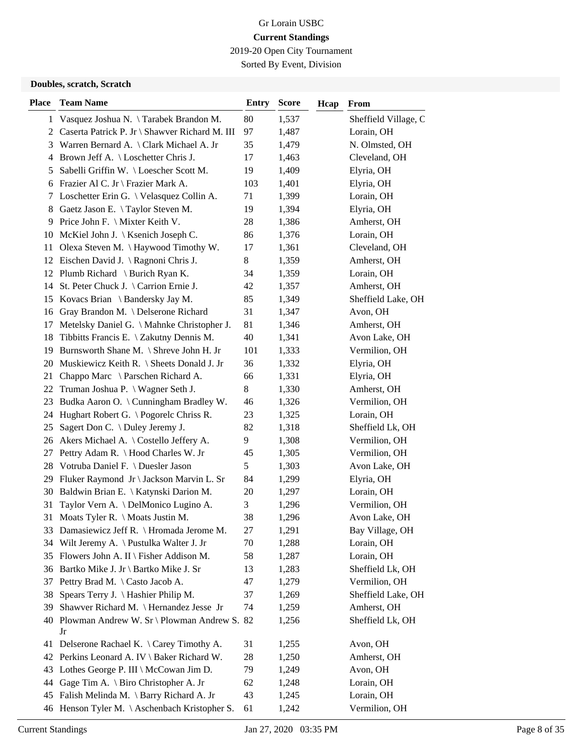2019-20 Open City Tournament

Sorted By Event, Division

#### **Doubles, scratch, Scratch**

| <b>Place</b> | <b>Team Name</b>                                     | Entry | <b>Score</b> | Hcap | From                 |
|--------------|------------------------------------------------------|-------|--------------|------|----------------------|
|              | 1 Vasquez Joshua N. \Tarabek Brandon M.              | 80    | 1,537        |      | Sheffield Village, C |
|              | 2 Caserta Patrick P. Jr \ Shawver Richard M. III     | 97    | 1,487        |      | Lorain, OH           |
| 3            | Warren Bernard A. \ Clark Michael A. Jr              | 35    | 1,479        |      | N. Olmsted, OH       |
| 4            | Brown Jeff A. \ Loschetter Chris J.                  | 17    | 1,463        |      | Cleveland, OH        |
| 5            | Sabelli Griffin W. \Loescher Scott M.                | 19    | 1,409        |      | Elyria, OH           |
|              | 6 Frazier Al C. Jr \ Frazier Mark A.                 | 103   | 1,401        |      | Elyria, OH           |
|              | 7 Loschetter Erin G. \ Velasquez Collin A.           | 71    | 1,399        |      | Lorain, OH           |
| 8            | Gaetz Jason E. \Taylor Steven M.                     | 19    | 1,394        |      | Elyria, OH           |
| 9            | Price John F. \ Mixter Keith V.                      | 28    | 1,386        |      | Amherst, OH          |
|              | 10 McKiel John J.   Ksenich Joseph C.                | 86    | 1,376        |      | Lorain, OH           |
| 11           | Olexa Steven M. \ Haywood Timothy W.                 | 17    | 1,361        |      | Cleveland, OH        |
|              | 12 Eischen David J. \Ragnoni Chris J.                | 8     | 1,359        |      | Amherst, OH          |
|              | 12 Plumb Richard \ Burich Ryan K.                    | 34    | 1,359        |      | Lorain, OH           |
| 14           | St. Peter Chuck J. \ Carrion Ernie J.                | 42    | 1,357        |      | Amherst, OH          |
|              | 15 Kovacs Brian \ Bandersky Jay M.                   | 85    | 1,349        |      | Sheffield Lake, OH   |
|              | 16 Gray Brandon M. \ Delserone Richard               | 31    | 1,347        |      | Avon, OH             |
| 17           | Metelsky Daniel G. \ Mahnke Christopher J.           | 81    | 1,346        |      | Amherst, OH          |
| 18           | Tibbitts Francis E. \ Zakutny Dennis M.              | 40    | 1,341        |      | Avon Lake, OH        |
|              | 19 Burnsworth Shane M. \ Shreve John H. Jr           | 101   | 1,333        |      | Vermilion, OH        |
|              | 20 Muskiewicz Keith R. \ Sheets Donald J. Jr         | 36    | 1,332        |      | Elyria, OH           |
| 21           | Chappo Marc \ Parschen Richard A.                    | 66    | 1,331        |      | Elyria, OH           |
|              | 22 Truman Joshua P. \ Wagner Seth J.                 | 8     | 1,330        |      | Amherst, OH          |
|              | 23 Budka Aaron O. \ Cunningham Bradley W.            | 46    | 1,326        |      | Vermilion, OH        |
|              | 24 Hughart Robert G. \Pogorelc Chriss R.             | 23    | 1,325        |      | Lorain, OH           |
| 25           | Sagert Don C. \ Duley Jeremy J.                      | 82    | 1,318        |      | Sheffield Lk, OH     |
|              | 26 Akers Michael A. \ Costello Jeffery A.            | 9     | 1,308        |      | Vermilion, OH        |
| 27           | Pettry Adam R. \ Hood Charles W. Jr                  | 45    | 1,305        |      | Vermilion, OH        |
|              | 28 Votruba Daniel F. \ Duesler Jason                 | 5     | 1,303        |      | Avon Lake, OH        |
| 29           | Fluker Raymond Jr \ Jackson Marvin L. Sr             | 84    | 1,299        |      | Elyria, OH           |
| 30           | Baldwin Brian E. \ Katynski Darion M.                | 20    | 1,297        |      | Lorain, OH           |
| 31           | Taylor Vern A. \ DelMonico Lugino A.                 | 3     | 1,296        |      | Vermilion, OH        |
| 31           | Moats Tyler R. $\setminus$ Moats Justin M.           | 38    | 1,296        |      | Avon Lake, OH        |
|              | 33 Damasiewicz Jeff R. \ Hromada Jerome M.           | 27    | 1,291        |      | Bay Village, OH      |
|              | 34 Wilt Jeremy A. \ Pustulka Walter J. Jr            | 70    | 1,288        |      | Lorain, OH           |
| 35           | Flowers John A. II \ Fisher Addison M.               | 58    | 1,287        |      | Lorain, OH           |
| 36           | Bartko Mike J. Jr \ Bartko Mike J. Sr                | 13    | 1,283        |      | Sheffield Lk, OH     |
| 37           | Pettry Brad M. \ Casto Jacob A.                      | 47    | 1,279        |      | Vermilion, OH        |
| 38           | Spears Terry J. \ Hashier Philip M.                  | 37    | 1,269        |      | Sheffield Lake, OH   |
| 39           | Shawver Richard M. \ Hernandez Jesse Jr              | 74    | 1,259        |      | Amherst, OH          |
|              | 40 Plowman Andrew W. Sr \ Plowman Andrew S. 82<br>Jr |       | 1,256        |      | Sheffield Lk, OH     |
| 41           | Delserone Rachael K. \ Carey Timothy A.              | 31    | 1,255        |      | Avon, OH             |
|              | 42 Perkins Leonard A. IV \ Baker Richard W.          | 28    | 1,250        |      | Amherst, OH          |
| 43           | Lothes George P. III $\backslash$ McCowan Jim D.     | 79    | 1,249        |      | Avon, OH             |
| 44           | Gage Tim A. \ Biro Christopher A. Jr                 | 62    | 1,248        |      | Lorain, OH           |
| 45           | Falish Melinda M. \ Barry Richard A. Jr              | 43    | 1,245        |      | Lorain, OH           |
| 46           | Henson Tyler M. \ Aschenbach Kristopher S.           | 61    | 1,242        |      | Vermilion, OH        |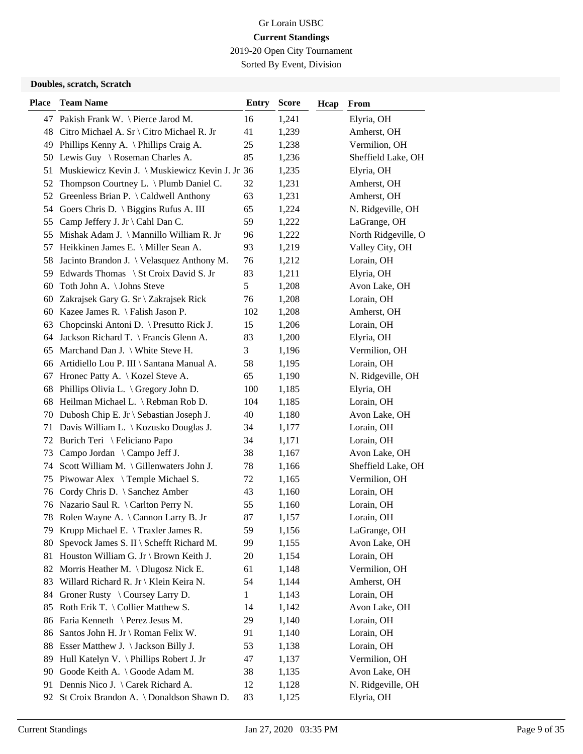2019-20 Open City Tournament

Sorted By Event, Division

#### **Doubles, scratch, Scratch**

| <b>Place</b> | <b>Team Name</b>                                | <b>Entry</b> | <b>Score</b> | Hcap | From                |
|--------------|-------------------------------------------------|--------------|--------------|------|---------------------|
|              | 47 Pakish Frank W. \ Pierce Jarod M.            | 16           | 1,241        |      | Elyria, OH          |
|              | 48 Citro Michael A. Sr \ Citro Michael R. Jr    | 41           | 1,239        |      | Amherst, OH         |
| 49           | Phillips Kenny A. \ Phillips Craig A.           | 25           | 1,238        |      | Vermilion, OH       |
|              | 50 Lewis Guy \ Roseman Charles A.               | 85           | 1,236        |      | Sheffield Lake, OH  |
| 51           | Muskiewicz Kevin J. \ Muskiewicz Kevin J. Jr 36 |              | 1,235        |      | Elyria, OH          |
| 52           | Thompson Courtney L. \ Plumb Daniel C.          | 32           | 1,231        |      | Amherst, OH         |
| 52           | Greenless Brian P. \ Caldwell Anthony           | 63           | 1,231        |      | Amherst, OH         |
|              | 54 Goers Chris D. \ Biggins Rufus A. III        | 65           | 1,224        |      | N. Ridgeville, OH   |
|              | 55 Camp Jeffery J. Jr \ Cahl Dan C.             | 59           | 1,222        |      | LaGrange, OH        |
|              | 55 Mishak Adam J. \ Mannillo William R. Jr      | 96           | 1,222        |      | North Ridgeville, O |
| 57           | Heikkinen James E. \ Miller Sean A.             | 93           | 1,219        |      | Valley City, OH     |
| 58           | Jacinto Brandon J. \ Velasquez Anthony M.       | 76           | 1,212        |      | Lorain, OH          |
|              | 59 Edwards Thomas \ St Croix David S. Jr        | 83           | 1,211        |      | Elyria, OH          |
| 60           | Toth John A. \ Johns Steve                      | 5            | 1,208        |      | Avon Lake, OH       |
| 60           | Zakrajsek Gary G. Sr \ Zakrajsek Rick           | 76           | 1,208        |      | Lorain, OH          |
|              | 60 Kazee James R. \Falish Jason P.              | 102          | 1,208        |      | Amherst, OH         |
| 63           | Chopcinski Antoni D. \ Presutto Rick J.         | 15           | 1,206        |      | Lorain, OH          |
|              | 64 Jackson Richard T. \ Francis Glenn A.        | 83           | 1,200        |      | Elyria, OH          |
| 65           | Marchand Dan J. \ White Steve H.                | 3            | 1,196        |      | Vermilion, OH       |
|              | 66 Artidiello Lou P. III \ Santana Manual A.    | 58           | 1,195        |      | Lorain, OH          |
| 67           | Hronec Patty A.   Kozel Steve A.                | 65           | 1,190        |      | N. Ridgeville, OH   |
| 68           | Phillips Olivia L. \ Gregory John D.            | 100          | 1,185        |      | Elyria, OH          |
|              | 68 Heilman Michael L. \ Rebman Rob D.           | 104          | 1,185        |      | Lorain, OH          |
|              | 70 Dubosh Chip E. Jr \ Sebastian Joseph J.      | 40           | 1,180        |      | Avon Lake, OH       |
|              | 71 Davis William L. \ Kozusko Douglas J.        | 34           | 1,177        |      | Lorain, OH          |
| 72           | Burich Teri \ Feliciano Papo                    | 34           | 1,171        |      | Lorain, OH          |
| 73           | Campo Jordan \ Campo Jeff J.                    | 38           | 1,167        |      | Avon Lake, OH       |
| 74           | Scott William M. \ Gillenwaters John J.         | 78           | 1,166        |      | Sheffield Lake, OH  |
| 75           | Piwowar Alex \Temple Michael S.                 | 72           | 1,165        |      | Vermilion, OH       |
|              | 76 Cordy Chris D. \ Sanchez Amber               | 43           | 1,160        |      | Lorain, OH          |
|              | 76 Nazario Saul R. \ Carlton Perry N.           | 55           | 1,160        |      | Lorain, OH          |
| 78           | Rolen Wayne A. \ Cannon Larry B. Jr             | 87           | 1,157        |      | Lorain, OH          |
|              | 79 Krupp Michael E. \ Traxler James R.          | 59           | 1,156        |      | LaGrange, OH        |
| 80           | Spevock James S. II \ Schefft Richard M.        | 99           | 1,155        |      | Avon Lake, OH       |
| 81           | Houston William G. Jr \ Brown Keith J.          | 20           | 1,154        |      | Lorain, OH          |
|              | 82 Morris Heather M. \ Dlugosz Nick E.          | 61           | 1,148        |      | Vermilion, OH       |
| 83           | Willard Richard R. Jr \ Klein Keira N.          | 54           | 1,144        |      | Amherst, OH         |
| 84           | Groner Rusty $\setminus$ Coursey Larry D.       | 1            | 1,143        |      | Lorain, OH          |
| 85           | Roth Erik T. \ Collier Matthew S.               | 14           | 1,142        |      | Avon Lake, OH       |
| 86           | Faria Kenneth \ Perez Jesus M.                  | 29           | 1,140        |      | Lorain, OH          |
| 86           | Santos John H. Jr \ Roman Felix W.              | 91           | 1,140        |      | Lorain, OH          |
| 88           | Esser Matthew J. \ Jackson Billy J.             | 53           | 1,138        |      | Lorain, OH          |
| 89           | Hull Katelyn V. \ Phillips Robert J. Jr         | 47           | 1,137        |      | Vermilion, OH       |
| 90           | Goode Keith A. \ Goode Adam M.                  | 38           | 1,135        |      | Avon Lake, OH       |
| 91           | Dennis Nico J. \ Carek Richard A.               | 12           | 1,128        |      | N. Ridgeville, OH   |
| 92           | St Croix Brandon A. \ Donaldson Shawn D.        | 83           | 1,125        |      | Elyria, OH          |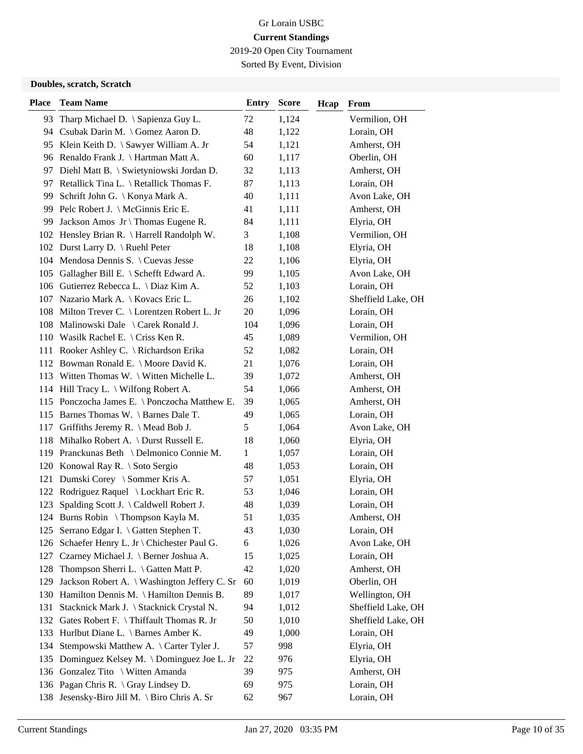2019-20 Open City Tournament

Sorted By Event, Division

#### **Doubles, scratch, Scratch**

| <b>Place</b> | <b>Team Name</b>                              | <b>Entry</b> | <b>Score</b> | Hcap | From               |
|--------------|-----------------------------------------------|--------------|--------------|------|--------------------|
| 93           | Tharp Michael D. $\S$ apienza Guy L.          | 72           | 1,124        |      | Vermilion, OH      |
|              | 94 Csubak Darin M. \Gomez Aaron D.            | 48           | 1,122        |      | Lorain, OH         |
|              | 95 Klein Keith D. \ Sawyer William A. Jr      | 54           | 1,121        |      | Amherst, OH        |
|              | 96 Renaldo Frank J. \ Hartman Matt A.         | 60           | 1,117        |      | Oberlin, OH        |
|              | 97 Diehl Matt B. \ Swietyniowski Jordan D.    | 32           | 1,113        |      | Amherst, OH        |
|              | 97 Retallick Tina L. \ Retallick Thomas F.    | 87           | 1,113        |      | Lorain, OH         |
| 99.          | Schrift John G. \ Konya Mark A.               | 40           | 1,111        |      | Avon Lake, OH      |
|              | 99 Pelc Robert J. \ McGinnis Eric E.          | 41           | 1,111        |      | Amherst, OH        |
| 99           | Jackson Amos $Jr \setminus$ Thomas Eugene R.  | 84           | 1,111        |      | Elyria, OH         |
|              | 102 Hensley Brian R. \ Harrell Randolph W.    | 3            | 1,108        |      | Vermilion, OH      |
|              | 102 Durst Larry D. \ Ruehl Peter              | 18           | 1,108        |      | Elyria, OH         |
|              | 104 Mendosa Dennis S. \ Cuevas Jesse          | 22           | 1,106        |      | Elyria, OH         |
| 105          | Gallagher Bill E. \ Schefft Edward A.         | 99           | 1,105        |      | Avon Lake, OH      |
|              | 106 Gutierrez Rebecca L. \ Diaz Kim A.        | 52           | 1,103        |      | Lorain, OH         |
|              | 107 Nazario Mark A.   Kovacs Eric L.          | 26           | 1,102        |      | Sheffield Lake, OH |
|              | 108 Milton Trever C. \ Lorentzen Robert L. Jr | 20           | 1,096        |      | Lorain, OH         |
|              | 108 Malinowski Dale \ Carek Ronald J.         | 104          | 1,096        |      | Lorain, OH         |
|              | 110 Wasilk Rachel E. \ Criss Ken R.           | 45           | 1,089        |      | Vermilion, OH      |
|              | 111 Rooker Ashley C. \ Richardson Erika       | 52           | 1,082        |      | Lorain, OH         |
|              | 112 Bowman Ronald E. \ Moore David K.         | 21           | 1,076        |      | Lorain, OH         |
|              | 113 Witten Thomas W. \ Witten Michelle L.     | 39           | 1,072        |      | Amherst, OH        |
|              | 114 Hill Tracy L. \ Wilfong Robert A.         | 54           | 1,066        |      | Amherst, OH        |
|              | 115 Ponczocha James E. \ Ponczocha Matthew E. | 39           | 1,065        |      | Amherst, OH        |
|              | 115 Barnes Thomas W. \ Barnes Dale T.         | 49           | 1,065        |      | Lorain, OH         |
| 117          | Griffiths Jeremy R. \ Mead Bob J.             | 5            | 1,064        |      | Avon Lake, OH      |
|              | 118 Mihalko Robert A. \ Durst Russell E.      | 18           | 1,060        |      | Elyria, OH         |
|              | 119 Pranckunas Beth \ Delmonico Connie M.     | 1            | 1,057        |      | Lorain, OH         |
|              | 120 Konowal Ray R. \ Soto Sergio              | 48           | 1,053        |      | Lorain, OH         |
| 121          | Dumski Corey \ Sommer Kris A.                 | 57           | 1,051        |      | Elyria, OH         |
|              | 122 Rodriguez Raquel \ Lockhart Eric R.       | 53           | 1,046        |      | Lorain, OH         |
| 123          | Spalding Scott J. \Caldwell Robert J.         | 48           | 1,039        |      | Lorain, OH         |
|              | 124 Burns Robin \ Thompson Kayla M.           | 51           | 1,035        |      | Amherst, OH        |
| 125          | Serrano Edgar I. \ Gatten Stephen T.          | 43           | 1,030        |      | Lorain, OH         |
| 126          | Schaefer Henry L. Jr \ Chichester Paul G.     | 6            | 1,026        |      | Avon Lake, OH      |
| 127          | Czarney Michael J. \ Berner Joshua A.         | 15           | 1,025        |      | Lorain, OH         |
| 128          | Thompson Sherri L. \ Gatten Matt P.           | 42           | 1,020        |      | Amherst, OH        |
| 129          | Jackson Robert A. \ Washington Jeffery C. Sr  | 60           | 1,019        |      | Oberlin, OH        |
|              | 130 Hamilton Dennis M. \ Hamilton Dennis B.   | 89           | 1,017        |      | Wellington, OH     |
| 131          | Stacknick Mark J. \ Stacknick Crystal N.      | 94           | 1,012        |      | Sheffield Lake, OH |
|              | 132 Gates Robert F. \ Thiffault Thomas R. Jr  | 50           | 1,010        |      | Sheffield Lake, OH |
| 133          | Hurlbut Diane L. \ Barnes Amber K.            | 49           | 1,000        |      | Lorain, OH         |
| 134          | Stempowski Matthew A. \ Carter Tyler J.       | 57           | 998          |      | Elyria, OH         |
| 135          | Dominguez Kelsey M. \Dominguez Joe L. Jr      | 22           | 976          |      | Elyria, OH         |
|              | 136 Gonzalez Tito \ Witten Amanda             | 39           | 975          |      | Amherst, OH        |
|              | 136 Pagan Chris R. \ Gray Lindsey D.          | 69           | 975          |      | Lorain, OH         |
|              | 138 Jesensky-Biro Jill M. \ Biro Chris A. Sr  | 62           | 967          |      | Lorain, OH         |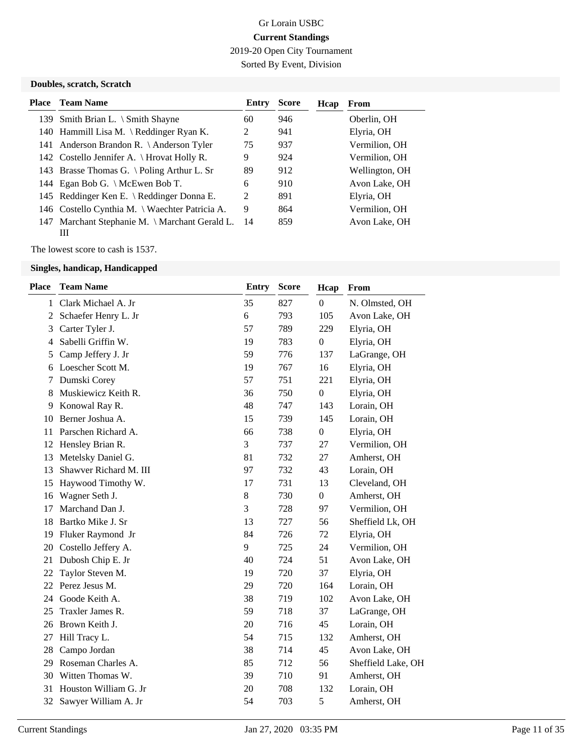2019-20 Open City Tournament

Sorted By Event, Division

#### **Doubles, scratch, Scratch**

| Place | <b>Team Name</b>                                | Entry         | <b>Score</b> | Hcap | From           |
|-------|-------------------------------------------------|---------------|--------------|------|----------------|
|       | 139 Smith Brian L. $\Im$ Smith Shayne           | 60            | 946          |      | Oberlin, OH    |
|       | 140 Hammill Lisa M. \ Reddinger Ryan K.         | 2             | 941          |      | Elyria, OH     |
|       | 141 Anderson Brandon R. \ Anderson Tyler        | 75            | 937          |      | Vermilion, OH  |
|       | 142 Costello Jennifer A. \ Hrovat Holly R.      | 9             | 924          |      | Vermilion, OH  |
|       | 143 Brasse Thomas G. \Poling Arthur L. Sr       | 89            | 912          |      | Wellington, OH |
|       | 144 Egan Bob G. \ McEwen Bob T.                 | 6             | 910          |      | Avon Lake, OH  |
|       | 145 Reddinger Ken E. \ Reddinger Donna E.       | $\mathcal{L}$ | 891          |      | Elyria, OH     |
|       | 146 Costello Cynthia M. \ Waechter Patricia A.  | 9             | 864          |      | Vermilion, OH  |
| 147   | Marchant Stephanie M. \ Marchant Gerald L.<br>Ш | 14            | 859          |      | Avon Lake, OH  |

The lowest score to cash is 1537.

| <b>Place</b> | <b>Team Name</b>       | <b>Entry</b> | <b>Score</b> | Hcap             | From               |
|--------------|------------------------|--------------|--------------|------------------|--------------------|
| 1            | Clark Michael A. Jr    | 35           | 827          | $\Omega$         | N. Olmsted, OH     |
| 2            | Schaefer Henry L. Jr   | 6            | 793          | 105              | Avon Lake, OH      |
| 3            | Carter Tyler J.        | 57           | 789          | 229              | Elyria, OH         |
| 4            | Sabelli Griffin W.     | 19           | 783          | $\boldsymbol{0}$ | Elyria, OH         |
| 5            | Camp Jeffery J. Jr     | 59           | 776          | 137              | LaGrange, OH       |
| 6            | Loescher Scott M.      | 19           | 767          | 16               | Elyria, OH         |
| 7            | Dumski Corey           | 57           | 751          | 221              | Elyria, OH         |
| 8            | Muskiewicz Keith R.    | 36           | 750          | $\boldsymbol{0}$ | Elyria, OH         |
| 9            | Konowal Ray R.         | 48           | 747          | 143              | Lorain, OH         |
| 10           | Berner Joshua A.       | 15           | 739          | 145              | Lorain, OH         |
| 11           | Parschen Richard A.    | 66           | 738          | $\boldsymbol{0}$ | Elyria, OH         |
| 12           | Hensley Brian R.       | 3            | 737          | 27               | Vermilion, OH      |
| 13           | Metelsky Daniel G.     | 81           | 732          | 27               | Amherst, OH        |
| 13           | Shawver Richard M. III | 97           | 732          | 43               | Lorain, OH         |
| 15           | Haywood Timothy W.     | 17           | 731          | 13               | Cleveland, OH      |
| 16           | Wagner Seth J.         | $8\,$        | 730          | $\overline{0}$   | Amherst, OH        |
| 17           | Marchand Dan J.        | 3            | 728          | 97               | Vermilion, OH      |
| 18           | Bartko Mike J. Sr      | 13           | 727          | 56               | Sheffield Lk, OH   |
| 19           | Fluker Raymond Jr      | 84           | 726          | 72               | Elyria, OH         |
| 20           | Costello Jeffery A.    | 9            | 725          | 24               | Vermilion, OH      |
| 21           | Dubosh Chip E. Jr      | 40           | 724          | 51               | Avon Lake, OH      |
| 22           | Taylor Steven M.       | 19           | 720          | 37               | Elyria, OH         |
| 22           | Perez Jesus M.         | 29           | 720          | 164              | Lorain, OH         |
| 24           | Goode Keith A.         | 38           | 719          | 102              | Avon Lake, OH      |
| 25           | Traxler James R.       | 59           | 718          | 37               | LaGrange, OH       |
| 26           | Brown Keith J.         | 20           | 716          | 45               | Lorain, OH         |
| 27           | Hill Tracy L.          | 54           | 715          | 132              | Amherst, OH        |
| 28           | Campo Jordan           | 38           | 714          | 45               | Avon Lake, OH      |
| 29           | Roseman Charles A.     | 85           | 712          | 56               | Sheffield Lake, OH |
| 30           | Witten Thomas W.       | 39           | 710          | 91               | Amherst, OH        |
| 31           | Houston William G. Jr  | 20           | 708          | 132              | Lorain, OH         |
| 32           | Sawyer William A. Jr   | 54           | 703          | 5                | Amherst, OH        |
|              |                        |              |              |                  |                    |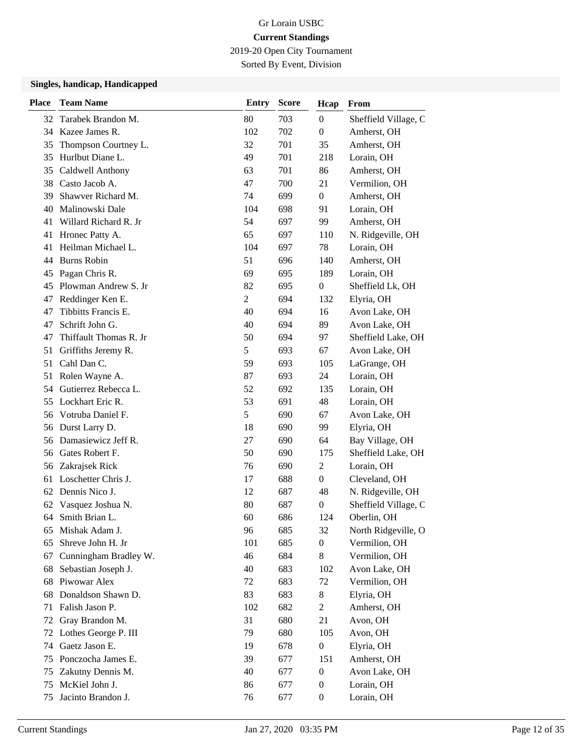2019-20 Open City Tournament

Sorted By Event, Division

| <b>Place</b> | <b>Team Name</b>                       | <b>Entry</b>   | <b>Score</b> | Hcap                    | From                      |
|--------------|----------------------------------------|----------------|--------------|-------------------------|---------------------------|
|              | 32 Tarabek Brandon M.                  | 80             | 703          | $\boldsymbol{0}$        | Sheffield Village, C      |
|              | 34 Kazee James R.                      | 102            | 702          | $\boldsymbol{0}$        | Amherst, OH               |
| 35           | Thompson Courtney L.                   | 32             | 701          | 35                      | Amherst, OH               |
| 35           | Hurlbut Diane L.                       | 49             | 701          | 218                     | Lorain, OH                |
| 35           | Caldwell Anthony                       | 63             | 701          | 86                      | Amherst, OH               |
| 38           | Casto Jacob A.                         | 47             | 700          | 21                      | Vermilion, OH             |
| 39           | Shawver Richard M.                     | 74             | 699          | $\overline{0}$          | Amherst, OH               |
| 40           | Malinowski Dale                        | 104            | 698          | 91                      | Lorain, OH                |
|              | 41 Willard Richard R. Jr               | 54             | 697          | 99                      | Amherst, OH               |
| 41           | Hronec Patty A.                        | 65             | 697          | 110                     | N. Ridgeville, OH         |
| 41           | Heilman Michael L.                     | 104            | 697          | 78                      | Lorain, OH                |
| 44           | <b>Burns Robin</b>                     | 51             | 696          | 140                     | Amherst, OH               |
| 45           | Pagan Chris R.                         | 69             | 695          | 189                     | Lorain, OH                |
| 45           | Plowman Andrew S. Jr                   | 82             | 695          | $\overline{0}$          | Sheffield Lk, OH          |
| 47           | Reddinger Ken E.                       | $\overline{2}$ | 694          | 132                     | Elyria, OH                |
| 47           | Tibbitts Francis E.                    | 40             | 694          | 16                      | Avon Lake, OH             |
| 47           | Schrift John G.                        | 40             | 694          | 89                      | Avon Lake, OH             |
| 47           | Thiffault Thomas R. Jr                 | 50             | 694          | 97                      | Sheffield Lake, OH        |
| 51           | Griffiths Jeremy R.                    | 5              | 693          | 67                      | Avon Lake, OH             |
| 51           | Cahl Dan C.                            | 59             | 693          | 105                     | LaGrange, OH              |
| 51           | Rolen Wayne A.                         | 87             | 693          | 24                      | Lorain, OH                |
| 54           | Gutierrez Rebecca L.                   | 52             | 692          | 135                     | Lorain, OH                |
| 55           | Lockhart Eric R.                       | 53             | 691          | 48                      | Lorain, OH                |
| 56           | Votruba Daniel F.                      | 5              | 690          | 67                      | Avon Lake, OH             |
| 56           | Durst Larry D.                         | 18             | 690          | 99                      | Elyria, OH                |
| 56           | Damasiewicz Jeff R.                    | 27             | 690          | 64                      | Bay Village, OH           |
| 56           | Gates Robert F.                        | 50             | 690          | 175                     | Sheffield Lake, OH        |
| 56           | Zakrajsek Rick                         | 76             | 690          | $\overline{2}$          | Lorain, OH                |
| 61           | Loschetter Chris J.                    | 17             | 688          | $\overline{0}$          | Cleveland, OH             |
| 62           | Dennis Nico J.                         | 12             | 687          | 48                      | N. Ridgeville, OH         |
| 62           | Vasquez Joshua N.                      | 80             | 687          | 0                       | Sheffield Village, C      |
| 64           | Smith Brian L.                         | 60             | 686          | 124                     | Oberlin, OH               |
| 65           | Mishak Adam J.                         | 96             | 685          | 32                      | North Ridgeville, O       |
| 65           | Shreve John H. Jr                      | 101            | 685          | 0                       | Vermilion, OH             |
| 67           | Cunningham Bradley W.                  | 46             | 684          | 8                       | Vermilion, OH             |
| 68           | Sebastian Joseph J.                    | 40             | 683          | 102                     | Avon Lake, OH             |
| 68           | Piwowar Alex                           | 72             | 683          | 72                      | Vermilion, OH             |
| 68           | Donaldson Shawn D.                     | 83             | 683          | 8                       | Elyria, OH                |
| 71           | Falish Jason P.                        | 102            | 682          | $\overline{c}$          | Amherst, OH               |
| 72           | Gray Brandon M.                        | 31             | 680          | 21                      | Avon, OH                  |
| 72           | Lothes George P. III<br>Gaetz Jason E. | 79             | 680          | 105                     | Avon, OH                  |
| 74<br>75     | Ponczocha James E.                     | 19<br>39       | 678          | $\boldsymbol{0}$<br>151 | Elyria, OH<br>Amherst, OH |
|              | Zakutny Dennis M.                      | 40             | 677<br>677   | $\boldsymbol{0}$        | Avon Lake, OH             |
| 75<br>75     | McKiel John J.                         | 86             | 677          | $\boldsymbol{0}$        | Lorain, OH                |
| 75           | Jacinto Brandon J.                     | 76             | 677          | $\boldsymbol{0}$        | Lorain, OH                |
|              |                                        |                |              |                         |                           |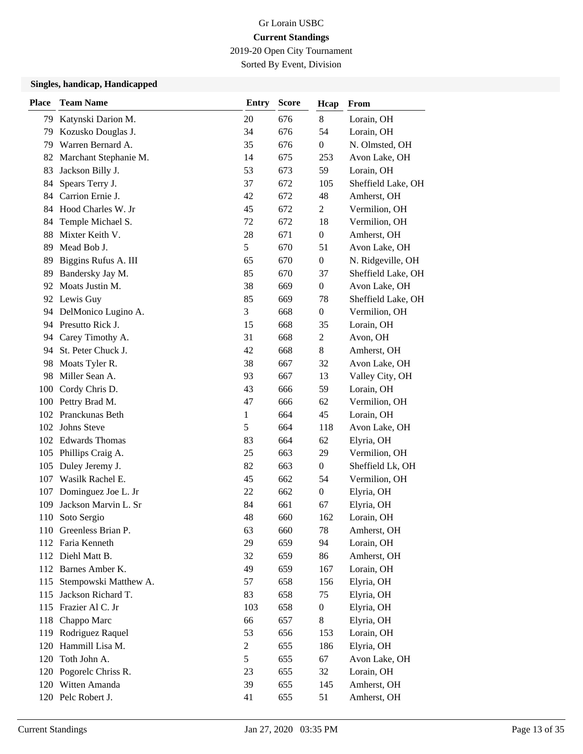2019-20 Open City Tournament

Sorted By Event, Division

| <b>Place</b> | <b>Team Name</b>       | <b>Entry</b>   | <b>Score</b> | Hcap             | From               |
|--------------|------------------------|----------------|--------------|------------------|--------------------|
| 79           | Katynski Darion M.     | 20             | 676          | $8\,$            | Lorain, OH         |
| 79           | Kozusko Douglas J.     | 34             | 676          | 54               | Lorain, OH         |
| 79           | Warren Bernard A.      | 35             | 676          | $\boldsymbol{0}$ | N. Olmsted, OH     |
| 82           | Marchant Stephanie M.  | 14             | 675          | 253              | Avon Lake, OH      |
| 83           | Jackson Billy J.       | 53             | 673          | 59               | Lorain, OH         |
| 84           | Spears Terry J.        | 37             | 672          | 105              | Sheffield Lake, OH |
| 84.          | Carrion Ernie J.       | 42             | 672          | 48               | Amherst, OH        |
|              | 84 Hood Charles W. Jr  | 45             | 672          | $\overline{2}$   | Vermilion, OH      |
| 84           | Temple Michael S.      | 72             | 672          | 18               | Vermilion, OH      |
| 88           | Mixter Keith V.        | 28             | 671          | $\boldsymbol{0}$ | Amherst, OH        |
| 89           | Mead Bob J.            | 5              | 670          | 51               | Avon Lake, OH      |
| 89           | Biggins Rufus A. III   | 65             | 670          | $\boldsymbol{0}$ | N. Ridgeville, OH  |
| 89           | Bandersky Jay M.       | 85             | 670          | 37               | Sheffield Lake, OH |
| 92           | Moats Justin M.        | 38             | 669          | $\boldsymbol{0}$ | Avon Lake, OH      |
|              | 92 Lewis Guy           | 85             | 669          | 78               | Sheffield Lake, OH |
|              | 94 DelMonico Lugino A. | 3              | 668          | $\boldsymbol{0}$ | Vermilion, OH      |
|              | 94 Presutto Rick J.    | 15             | 668          | 35               | Lorain, OH         |
| 94           | Carey Timothy A.       | 31             | 668          | $\overline{2}$   | Avon, OH           |
| 94           | St. Peter Chuck J.     | 42             | 668          | 8                | Amherst, OH        |
| 98           | Moats Tyler R.         | 38             | 667          | 32               | Avon Lake, OH      |
| 98           | Miller Sean A.         | 93             | 667          | 13               | Valley City, OH    |
| 100          | Cordy Chris D.         | 43             | 666          | 59               | Lorain, OH         |
|              | 100 Pettry Brad M.     | 47             | 666          | 62               | Vermilion, OH      |
|              | 102 Pranckunas Beth    | $\mathbf{1}$   | 664          | 45               | Lorain, OH         |
|              | 102 Johns Steve        | 5              | 664          | 118              | Avon Lake, OH      |
|              | 102 Edwards Thomas     | 83             | 664          | 62               | Elyria, OH         |
|              | 105 Phillips Craig A.  | 25             | 663          | 29               | Vermilion, OH      |
|              | 105 Duley Jeremy J.    | 82             | 663          | $\overline{0}$   | Sheffield Lk, OH   |
| 107          | Wasilk Rachel E.       | 45             | 662          | 54               | Vermilion, OH      |
| 107          | Dominguez Joe L. Jr    | 22             | 662          | $\boldsymbol{0}$ | Elyria, OH         |
| 109          | Jackson Marvin L. Sr   | 84             | 661          | 67               | Elyria, OH         |
| 110          | Soto Sergio            | 48             | 660          | 162              | Lorain, OH         |
|              | 110 Greenless Brian P. | 63             | 660          | 78               | Amherst, OH        |
|              | 112 Faria Kenneth      | 29             | 659          | 94               | Lorain, OH         |
|              | 112 Diehl Matt B.      | 32             | 659          | 86               | Amherst, OH        |
|              | 112 Barnes Amber K.    | 49             | 659          | 167              | Lorain, OH         |
| 115          | Stempowski Matthew A.  | 57             | 658          | 156              | Elyria, OH         |
| 115          | Jackson Richard T.     | 83             | 658          | 75               | Elyria, OH         |
|              | 115 Frazier Al C. Jr   | 103            | 658          | $\boldsymbol{0}$ | Elyria, OH         |
|              | 118 Chappo Marc        | 66             | 657          | 8                | Elyria, OH         |
| 119          | Rodriguez Raquel       | 53             | 656          | 153              | Lorain, OH         |
| 120          | Hammill Lisa M.        | $\overline{c}$ | 655          | 186              | Elyria, OH         |
| 120          | Toth John A.           | 5              | 655          | 67               | Avon Lake, OH      |
|              | 120 Pogorelc Chriss R. | 23             | 655          | 32               | Lorain, OH         |
|              | 120 Witten Amanda      | 39             | 655          | 145              | Amherst, OH        |
|              | 120 Pelc Robert J.     | 41             | 655          | 51               | Amherst, OH        |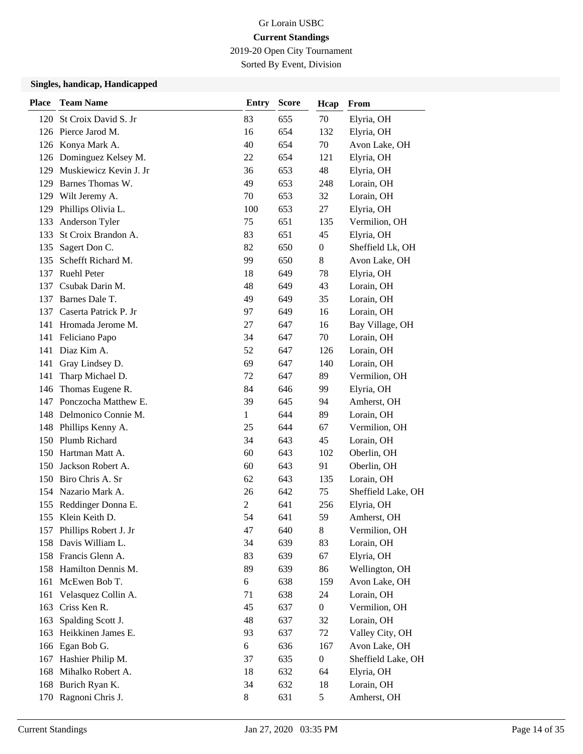2019-20 Open City Tournament

Sorted By Event, Division

| <b>Place</b> | <b>Team Name</b>           | <b>Entry</b>   | <b>Score</b> | Hcap             | From               |
|--------------|----------------------------|----------------|--------------|------------------|--------------------|
|              | 120 St Croix David S. Jr   | 83             | 655          | 70               | Elyria, OH         |
|              | 126 Pierce Jarod M.        | 16             | 654          | 132              | Elyria, OH         |
|              | 126 Konya Mark A.          | 40             | 654          | 70               | Avon Lake, OH      |
|              | 126 Dominguez Kelsey M.    | 22             | 654          | 121              | Elyria, OH         |
|              | 129 Muskiewicz Kevin J. Jr | 36             | 653          | 48               | Elyria, OH         |
| 129          | Barnes Thomas W.           | 49             | 653          | 248              | Lorain, OH         |
| 129          | Wilt Jeremy A.             | 70             | 653          | 32               | Lorain, OH         |
|              | 129 Phillips Olivia L.     | 100            | 653          | 27               | Elyria, OH         |
| 133          | Anderson Tyler             | 75             | 651          | 135              | Vermilion, OH      |
| 133          | St Croix Brandon A.        | 83             | 651          | 45               | Elyria, OH         |
| 135          | Sagert Don C.              | 82             | 650          | 0                | Sheffield Lk, OH   |
| 135          | Schefft Richard M.         | 99             | 650          | 8                | Avon Lake, OH      |
| 137          | <b>Ruehl Peter</b>         | 18             | 649          | 78               | Elyria, OH         |
| 137          | Csubak Darin M.            | 48             | 649          | 43               | Lorain, OH         |
| 137          | Barnes Dale T.             | 49             | 649          | 35               | Lorain, OH         |
|              | 137 Caserta Patrick P. Jr  | 97             | 649          | 16               | Lorain, OH         |
|              | 141 Hromada Jerome M.      | 27             | 647          | 16               | Bay Village, OH    |
| 141          | Feliciano Papo             | 34             | 647          | 70               | Lorain, OH         |
| 141          | Diaz Kim A.                | 52             | 647          | 126              | Lorain, OH         |
|              | 141 Gray Lindsey D.        | 69             | 647          | 140              | Lorain, OH         |
| 141          | Tharp Michael D.           | 72             | 647          | 89               | Vermilion, OH      |
| 146          | Thomas Eugene R.           | 84             | 646          | 99               | Elyria, OH         |
| 147          | Ponczocha Matthew E.       | 39             | 645          | 94               | Amherst, OH        |
|              | 148 Delmonico Connie M.    | 1              | 644          | 89               | Lorain, OH         |
|              | 148 Phillips Kenny A.      | 25             | 644          | 67               | Vermilion, OH      |
| 150          | Plumb Richard              | 34             | 643          | 45               | Lorain, OH         |
| 150          | Hartman Matt A.            | 60             | 643          | 102              | Oberlin, OH        |
| 150          | Jackson Robert A.          | 60             | 643          | 91               | Oberlin, OH        |
|              | 150 Biro Chris A. Sr       | 62             | 643          | 135              | Lorain, OH         |
| 154          | Nazario Mark A.            | 26             | 642          | 75               | Sheffield Lake, OH |
| 155          | Reddinger Donna E.         | $\overline{2}$ | 641          | 256              | Elyria, OH         |
|              | 155 Klein Keith D.         | 54             | 641          | 59               | Amherst, OH        |
|              | 157 Phillips Robert J. Jr  | 47             | 640          | 8                | Vermilion, OH      |
|              | 158 Davis William L.       | 34             | 639          | 83               | Lorain, OH         |
|              | 158 Francis Glenn A.       | 83             | 639          | 67               | Elyria, OH         |
|              | 158 Hamilton Dennis M.     | 89             | 639          | 86               | Wellington, OH     |
| 161          | McEwen Bob T.              | 6              | 638          | 159              | Avon Lake, OH      |
| 161          | Velasquez Collin A.        | 71             | 638          | 24               | Lorain, OH         |
| 163          | Criss Ken R.               | 45             | 637          | $\boldsymbol{0}$ | Vermilion, OH      |
| 163          | Spalding Scott J.          | 48             | 637          | 32               | Lorain, OH         |
| 163          | Heikkinen James E.         | 93             | 637          | 72               | Valley City, OH    |
|              | 166 Egan Bob G.            | 6              | 636          | 167              | Avon Lake, OH      |
| 167          | Hashier Philip M.          | 37             | 635          | $\boldsymbol{0}$ | Sheffield Lake, OH |
| 168          | Mihalko Robert A.          | 18             | 632          | 64               | Elyria, OH         |
|              | 168 Burich Ryan K.         | 34             | 632          | 18               | Lorain, OH         |
|              | 170 Ragnoni Chris J.       | 8              | 631          | 5                | Amherst, OH        |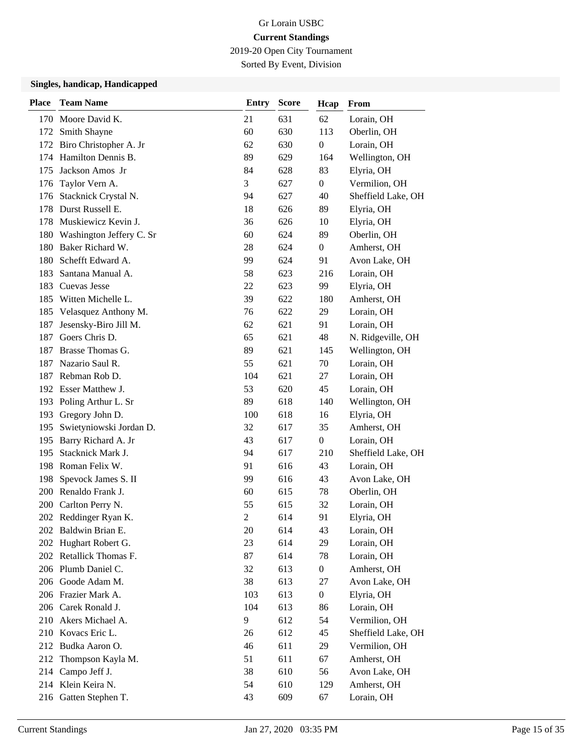2019-20 Open City Tournament

Sorted By Event, Division

| <b>Place</b> | <b>Team Name</b>         | <b>Entry</b>   | <b>Score</b> | Hcap             | <b>From</b>        |
|--------------|--------------------------|----------------|--------------|------------------|--------------------|
| 170          | Moore David K.           | 21             | 631          | 62               | Lorain, OH         |
| 172          | Smith Shayne             | 60             | 630          | 113              | Oberlin, OH        |
| 172          | Biro Christopher A. Jr   | 62             | 630          | $\boldsymbol{0}$ | Lorain, OH         |
| 174          | Hamilton Dennis B.       | 89             | 629          | 164              | Wellington, OH     |
| 175          | Jackson Amos Jr          | 84             | 628          | 83               | Elyria, OH         |
| 176          | Taylor Vern A.           | 3              | 627          | $\overline{0}$   | Vermilion, OH      |
| 176          | Stacknick Crystal N.     | 94             | 627          | 40               | Sheffield Lake, OH |
| 178          | Durst Russell E.         | 18             | 626          | 89               | Elyria, OH         |
| 178          | Muskiewicz Kevin J.      | 36             | 626          | 10               | Elyria, OH         |
| 180          | Washington Jeffery C. Sr | 60             | 624          | 89               | Oberlin, OH        |
| 180          | Baker Richard W.         | 28             | 624          | $\overline{0}$   | Amherst, OH        |
| 180          | Schefft Edward A.        | 99             | 624          | 91               | Avon Lake, OH      |
| 183          | Santana Manual A.        | 58             | 623          | 216              | Lorain, OH         |
| 183          | Cuevas Jesse             | 22             | 623          | 99               | Elyria, OH         |
| 185          | Witten Michelle L.       | 39             | 622          | 180              | Amherst, OH        |
| 185          | Velasquez Anthony M.     | 76             | 622          | 29               | Lorain, OH         |
| 187          | Jesensky-Biro Jill M.    | 62             | 621          | 91               | Lorain, OH         |
| 187          | Goers Chris D.           | 65             | 621          | 48               | N. Ridgeville, OH  |
| 187          | Brasse Thomas G.         | 89             | 621          | 145              | Wellington, OH     |
| 187          | Nazario Saul R.          | 55             | 621          | 70               | Lorain, OH         |
| 187          | Rebman Rob D.            | 104            | 621          | 27               | Lorain, OH         |
|              | 192 Esser Matthew J.     | 53             | 620          | 45               | Lorain, OH         |
|              | 193 Poling Arthur L. Sr  | 89             | 618          | 140              | Wellington, OH     |
|              | 193 Gregory John D.      | 100            | 618          | 16               | Elyria, OH         |
| 195          | Swietyniowski Jordan D.  | 32             | 617          | 35               | Amherst, OH        |
| 195          | Barry Richard A. Jr      | 43             | 617          | $\boldsymbol{0}$ | Lorain, OH         |
| 195          | Stacknick Mark J.        | 94             | 617          | 210              | Sheffield Lake, OH |
|              | 198 Roman Felix W.       | 91             | 616          | 43               | Lorain, OH         |
| 198          | Spevock James S. II      | 99             | 616          | 43               | Avon Lake, OH      |
|              | 200 Renaldo Frank J.     | 60             | 615          | 78               | Oberlin, OH        |
| 200          | Carlton Perry N.         | 55             | 615          | 32               | Lorain, OH         |
|              | 202 Reddinger Ryan K.    | $\overline{2}$ | 614          | 91               | Elyria, OH         |
|              | 202 Baldwin Brian E.     | 20             | 614          | 43               | Lorain, OH         |
|              | 202 Hughart Robert G.    | 23             | 614          | 29               | Lorain, OH         |
|              | 202 Retallick Thomas F.  | 87             | 614          | 78               | Lorain, OH         |
|              | 206 Plumb Daniel C.      | 32             | 613          | $\boldsymbol{0}$ | Amherst, OH        |
|              | 206 Goode Adam M.        | 38             | 613          | 27               | Avon Lake, OH      |
|              | 206 Frazier Mark A.      | 103            | 613          | $\boldsymbol{0}$ | Elyria, OH         |
|              | 206 Carek Ronald J.      | 104            | 613          | 86               | Lorain, OH         |
|              | 210 Akers Michael A.     | 9              | 612          | 54               | Vermilion, OH      |
|              | 210 Kovacs Eric L.       | 26             | 612          | 45               | Sheffield Lake, OH |
|              | 212 Budka Aaron O.       | 46             | 611          | 29               | Vermilion, OH      |
| 212          | Thompson Kayla M.        | 51             | 611          | 67               | Amherst, OH        |
|              | 214 Campo Jeff J.        | 38             | 610          | 56               | Avon Lake, OH      |
|              | 214 Klein Keira N.       | 54             | 610          | 129              | Amherst, OH        |
|              | 216 Gatten Stephen T.    | 43             | 609          | 67               | Lorain, OH         |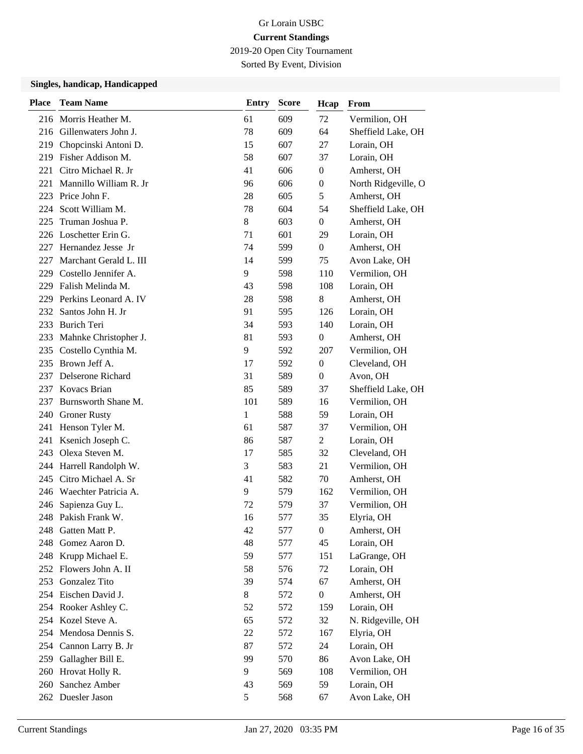2019-20 Open City Tournament

Sorted By Event, Division

| <b>Place</b> | <b>Team Name</b>          | <b>Entry</b> | <b>Score</b> | Hcap             | From                |
|--------------|---------------------------|--------------|--------------|------------------|---------------------|
|              | 216 Morris Heather M.     | 61           | 609          | 72               | Vermilion, OH       |
|              | 216 Gillenwaters John J.  | 78           | 609          | 64               | Sheffield Lake, OH  |
| 219          | Chopcinski Antoni D.      | 15           | 607          | 27               | Lorain, OH          |
|              | 219 Fisher Addison M.     | 58           | 607          | 37               | Lorain, OH          |
| 221          | Citro Michael R. Jr       | 41           | 606          | $\boldsymbol{0}$ | Amherst, OH         |
| 221          | Mannillo William R. Jr    | 96           | 606          | $\theta$         | North Ridgeville, O |
| 223          | Price John F.             | 28           | 605          | 5                | Amherst, OH         |
| 224          | Scott William M.          | 78           | 604          | 54               | Sheffield Lake, OH  |
| 225          | Truman Joshua P.          | 8            | 603          | $\overline{0}$   | Amherst, OH         |
|              | 226 Loschetter Erin G.    | 71           | 601          | 29               | Lorain, OH          |
| 227          | Hernandez Jesse Jr        | 74           | 599          | $\overline{0}$   | Amherst, OH         |
| 227          | Marchant Gerald L. III    | 14           | 599          | 75               | Avon Lake, OH       |
| 229.         | Costello Jennifer A.      | 9            | 598          | 110              | Vermilion, OH       |
|              | 229 Falish Melinda M.     | 43           | 598          | 108              | Lorain, OH          |
| 229          | Perkins Leonard A. IV     | 28           | 598          | 8                | Amherst, OH         |
| 232          | Santos John H. Jr         | 91           | 595          | 126              | Lorain, OH          |
|              | 233 Burich Teri           | 34           | 593          | 140              | Lorain, OH          |
|              | 233 Mahnke Christopher J. | 81           | 593          | $\boldsymbol{0}$ | Amherst, OH         |
| 235          | Costello Cynthia M.       | 9            | 592          | 207              | Vermilion, OH       |
|              | 235 Brown Jeff A.         | 17           | 592          | $\theta$         | Cleveland, OH       |
|              | 237 Delserone Richard     | 31           | 589          | $\boldsymbol{0}$ | Avon, OH            |
|              | 237 Kovacs Brian          | 85           | 589          | 37               | Sheffield Lake, OH  |
| 237          | Burnsworth Shane M.       | 101          | 589          | 16               | Vermilion, OH       |
|              | 240 Groner Rusty          | 1            | 588          | 59               | Lorain, OH          |
|              | 241 Henson Tyler M.       | 61           | 587          | 37               | Vermilion, OH       |
| 241          | Ksenich Joseph C.         | 86           | 587          | 2                | Lorain, OH          |
| 243          | Olexa Steven M.           | 17           | 585          | 32               | Cleveland, OH       |
|              | 244 Harrell Randolph W.   | 3            | 583          | 21               | Vermilion, OH       |
| 245          | Citro Michael A. Sr       | 41           | 582          | 70               | Amherst, OH         |
|              | 246 Waechter Patricia A.  | 9            | 579          | 162              | Vermilion, OH       |
| 246          | Sapienza Guy L.           | 72           | 579          | 37               | Vermilion, OH       |
|              | 248 Pakish Frank W.       | 16           | 577          | 35               | Elyria, OH          |
| 248          | Gatten Matt P.            | 42           | 577          | $\boldsymbol{0}$ | Amherst, OH         |
| 248          | Gomez Aaron D.            | 48           | 577          | 45               | Lorain, OH          |
|              | 248 Krupp Michael E.      | 59           | 577          | 151              | LaGrange, OH        |
|              | 252 Flowers John A. II    | 58           | 576          | 72               | Lorain, OH          |
| 253          | Gonzalez Tito             | 39           | 574          | 67               | Amherst, OH         |
|              | 254 Eischen David J.      | 8            | 572          | $\boldsymbol{0}$ | Amherst, OH         |
|              | 254 Rooker Ashley C.      | 52           | 572          | 159              | Lorain, OH          |
|              | 254 Kozel Steve A.        | 65           | 572          | 32               | N. Ridgeville, OH   |
|              | 254 Mendosa Dennis S.     | 22           | 572          | 167              | Elyria, OH          |
| 254          | Cannon Larry B. Jr        | 87           | 572          | 24               | Lorain, OH          |
| 259          | Gallagher Bill E.         | 99           | 570          | 86               | Avon Lake, OH       |
|              | 260 Hrovat Holly R.       | 9            | 569          | 108              | Vermilion, OH       |
| 260          | Sanchez Amber             | 43           | 569          | 59               | Lorain, OH          |
|              | 262 Duesler Jason         | 5            | 568          | 67               | Avon Lake, OH       |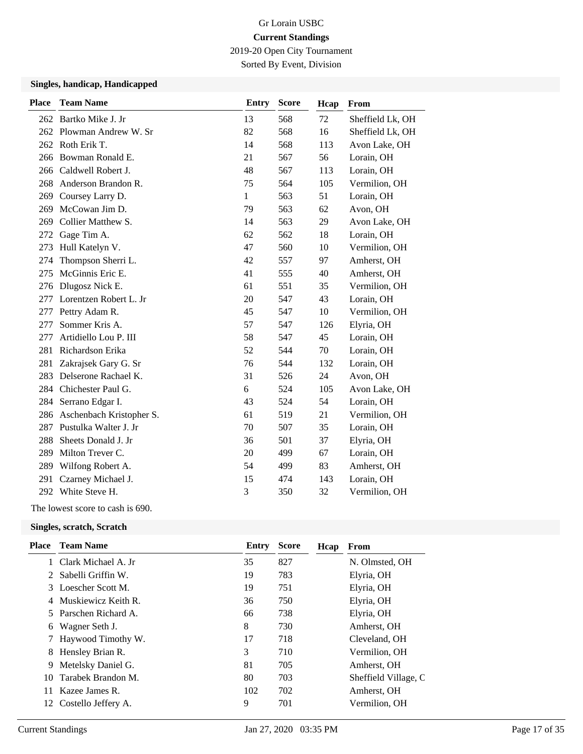2019-20 Open City Tournament

Sorted By Event, Division

#### **Singles, handicap, Handicapped**

| <b>Team Name</b>         | <b>Entry</b>       | <b>Score</b> | Hcap | From             |
|--------------------------|--------------------|--------------|------|------------------|
| Bartko Mike J. Jr        | 13                 | 568          | 72   | Sheffield Lk, OH |
| Plowman Andrew W. Sr     | 82                 | 568          | 16   | Sheffield Lk, OH |
| Roth Erik T.             | 14                 | 568          | 113  | Avon Lake, OH    |
| Bowman Ronald E.         | 21                 | 567          | 56   | Lorain, OH       |
| Caldwell Robert J.       | 48                 | 567          | 113  | Lorain, OH       |
| Anderson Brandon R.      | 75                 | 564          | 105  | Vermilion, OH    |
| Coursey Larry D.         | $\mathbf{1}$       | 563          | 51   | Lorain, OH       |
| McCowan Jim D.           | 79                 | 563          | 62   | Avon, OH         |
| Collier Matthew S.       | 14                 | 563          | 29   | Avon Lake, OH    |
| Gage Tim A.              | 62                 | 562          | 18   | Lorain, OH       |
| Hull Katelyn V.          | 47                 | 560          | 10   | Vermilion, OH    |
| Thompson Sherri L.       | 42                 | 557          | 97   | Amherst, OH      |
| McGinnis Eric E.         | 41                 | 555          | 40   | Amherst, OH      |
| Dlugosz Nick E.          | 61                 | 551          | 35   | Vermilion, OH    |
| Lorentzen Robert L. Jr   | 20                 | 547          | 43   | Lorain, OH       |
| Pettry Adam R.           | 45                 | 547          | 10   | Vermilion, OH    |
| Sommer Kris A.           | 57                 | 547          | 126  | Elyria, OH       |
| Artidiello Lou P. III    | 58                 | 547          | 45   | Lorain, OH       |
| Richardson Erika         | 52                 | 544          | 70   | Lorain, OH       |
| Zakrajsek Gary G. Sr     | 76                 | 544          | 132  | Lorain, OH       |
| Delserone Rachael K.     | 31                 | 526          | 24   | Avon, OH         |
| Chichester Paul G.       | 6                  | 524          | 105  | Avon Lake, OH    |
| Serrano Edgar I.         | 43                 | 524          | 54   | Lorain, OH       |
| Aschenbach Kristopher S. | 61                 | 519          | 21   | Vermilion, OH    |
| Pustulka Walter J. Jr    | 70                 | 507          | 35   | Lorain, OH       |
| Sheets Donald J. Jr      | 36                 | 501          | 37   | Elyria, OH       |
| Milton Trever C.         | 20                 | 499          | 67   | Lorain, OH       |
| Wilfong Robert A.        | 54                 | 499          | 83   | Amherst, OH      |
| Czarney Michael J.       | 15                 | 474          | 143  | Lorain, OH       |
|                          | 3                  | 350          | 32   | Vermilion, OH    |
|                          | 292 White Steve H. |              |      |                  |

The lowest score to cash is 690.

| Place | <b>Team Name</b>      | Entry | <b>Score</b> | Hcap | From                 |
|-------|-----------------------|-------|--------------|------|----------------------|
|       | 1 Clark Michael A. Jr | 35    | 827          |      | N. Olmsted, OH       |
|       | 2 Sabelli Griffin W.  | 19    | 783          |      | Elyria, OH           |
|       | 3 Loescher Scott M.   | 19    | 751          |      | Elyria, OH           |
|       | 4 Muskiewicz Keith R. | 36    | 750          |      | Elyria, OH           |
|       | 5 Parschen Richard A. | 66    | 738          |      | Elyria, OH           |
| 6     | Wagner Seth J.        | 8     | 730          |      | Amherst, OH          |
|       | 7 Haywood Timothy W.  | 17    | 718          |      | Cleveland, OH        |
|       | 8 Hensley Brian R.    | 3     | 710          |      | Vermilion, OH        |
| 9     | Metelsky Daniel G.    | 81    | 705          |      | Amherst, OH          |
| 10    | Tarabek Brandon M.    | 80    | 703          |      | Sheffield Village, C |
| 11.   | Kazee James R.        | 102   | 702          |      | Amherst, OH          |
| 12    | Costello Jeffery A.   | 9     | 701          |      | Vermilion, OH        |
|       |                       |       |              |      |                      |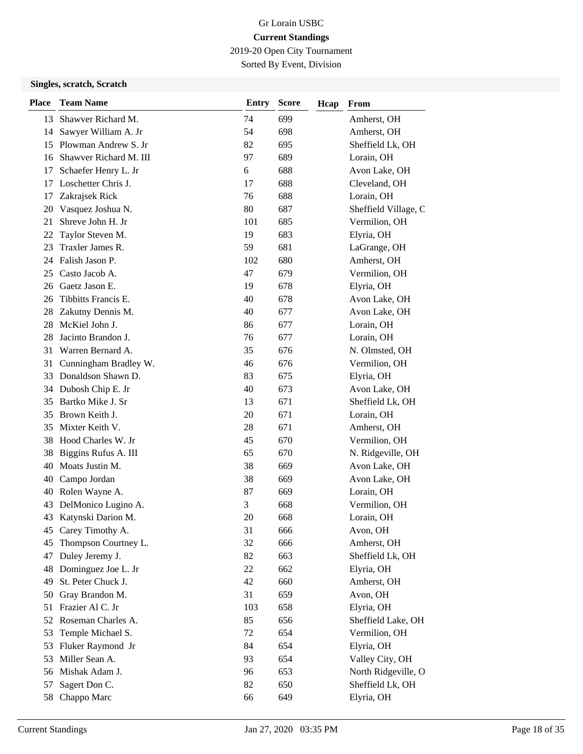2019-20 Open City Tournament

Sorted By Event, Division

| <b>Place</b> | <b>Team Name</b>       | <b>Entry</b> | <b>Score</b> | Hcap | From                 |
|--------------|------------------------|--------------|--------------|------|----------------------|
| 13           | Shawver Richard M.     | 74           | 699          |      | Amherst, OH          |
| 14           | Sawyer William A. Jr   | 54           | 698          |      | Amherst, OH          |
| 15           | Plowman Andrew S. Jr   | 82           | 695          |      | Sheffield Lk, OH     |
| 16           | Shawver Richard M. III | 97           | 689          |      | Lorain, OH           |
| 17           | Schaefer Henry L. Jr   | 6            | 688          |      | Avon Lake, OH        |
| 17           | Loschetter Chris J.    | 17           | 688          |      | Cleveland, OH        |
| 17           | Zakrajsek Rick         | 76           | 688          |      | Lorain, OH           |
| 20           | Vasquez Joshua N.      | 80           | 687          |      | Sheffield Village, C |
| 21           | Shreve John H. Jr      | 101          | 685          |      | Vermilion, OH        |
| 22           | Taylor Steven M.       | 19           | 683          |      | Elyria, OH           |
| 23           | Traxler James R.       | 59           | 681          |      | LaGrange, OH         |
|              | 24 Falish Jason P.     | 102          | 680          |      | Amherst, OH          |
| 25           | Casto Jacob A.         | 47           | 679          |      | Vermilion, OH        |
| 26           | Gaetz Jason E.         | 19           | 678          |      | Elyria, OH           |
| 26           | Tibbitts Francis E.    | 40           | 678          |      | Avon Lake, OH        |
| 28           | Zakutny Dennis M.      | 40           | 677          |      | Avon Lake, OH        |
| 28           | McKiel John J.         | 86           | 677          |      | Lorain, OH           |
| 28           | Jacinto Brandon J.     | 76           | 677          |      | Lorain, OH           |
| 31           | Warren Bernard A.      | 35           | 676          |      | N. Olmsted, OH       |
| 31           | Cunningham Bradley W.  | 46           | 676          |      | Vermilion, OH        |
| 33           | Donaldson Shawn D.     | 83           | 675          |      | Elyria, OH           |
| 34           | Dubosh Chip E. Jr      | 40           | 673          |      | Avon Lake, OH        |
| 35           | Bartko Mike J. Sr      | 13           | 671          |      | Sheffield Lk, OH     |
| 35           | Brown Keith J.         | 20           | 671          |      | Lorain, OH           |
| 35           | Mixter Keith V.        | 28           | 671          |      | Amherst, OH          |
| 38           | Hood Charles W. Jr     | 45           | 670          |      | Vermilion, OH        |
| 38           | Biggins Rufus A. III   | 65           | 670          |      | N. Ridgeville, OH    |
| 40           | Moats Justin M.        | 38           | 669          |      | Avon Lake, OH        |
| 40           | Campo Jordan           | 38           | 669          |      | Avon Lake, OH        |
|              | 40 Rolen Wayne A.      | 87           | 669          |      | Lorain, OH           |
| 43           | DelMonico Lugino A.    | 3            | 668          |      | Vermilion, OH        |
|              | 43 Katynski Darion M.  | 20           | 668          |      | Lorain, OH           |
|              | 45 Carey Timothy A.    | 31           | 666          |      | Avon, OH             |
| 45           | Thompson Courtney L.   | 32           | 666          |      | Amherst, OH          |
| 47           | Duley Jeremy J.        | 82           | 663          |      | Sheffield Lk, OH     |
| 48           | Dominguez Joe L. Jr    | 22           | 662          |      | Elyria, OH           |
| 49           | St. Peter Chuck J.     | 42           | 660          |      | Amherst, OH          |
| 50           | Gray Brandon M.        | 31           | 659          |      | Avon, OH             |
| 51           | Frazier Al C. Jr       | 103          | 658          |      | Elyria, OH           |
| 52           | Roseman Charles A.     | 85           | 656          |      | Sheffield Lake, OH   |
| 53           | Temple Michael S.      | 72           | 654          |      | Vermilion, OH        |
| 53           | Fluker Raymond Jr      | 84           | 654          |      | Elyria, OH           |
| 53           | Miller Sean A.         | 93           | 654          |      | Valley City, OH      |
| 56           | Mishak Adam J.         | 96           | 653          |      | North Ridgeville, O  |
| 57           | Sagert Don C.          | 82           | 650          |      | Sheffield Lk, OH     |
| 58           | Chappo Marc            | 66           | 649          |      | Elyria, OH           |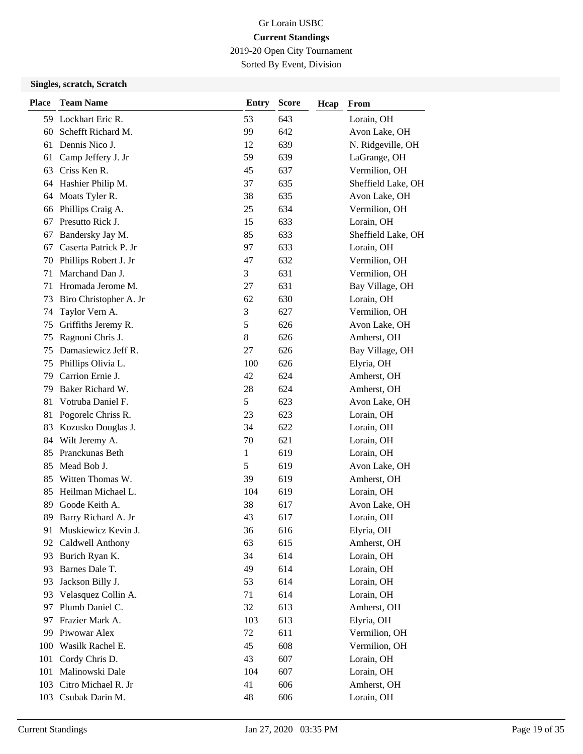2019-20 Open City Tournament

Sorted By Event, Division

| <b>Place</b> | <b>Team Name</b>       | <b>Entry</b> | <b>Score</b> | Hcap | From               |
|--------------|------------------------|--------------|--------------|------|--------------------|
| 59           | Lockhart Eric R.       | 53           | 643          |      | Lorain, OH         |
| 60           | Schefft Richard M.     | 99           | 642          |      | Avon Lake, OH      |
| 61           | Dennis Nico J.         | 12           | 639          |      | N. Ridgeville, OH  |
| 61           | Camp Jeffery J. Jr     | 59           | 639          |      | LaGrange, OH       |
| 63           | Criss Ken R.           | 45           | 637          |      | Vermilion, OH      |
| 64           | Hashier Philip M.      | 37           | 635          |      | Sheffield Lake, OH |
| 64           | Moats Tyler R.         | 38           | 635          |      | Avon Lake, OH      |
| 66           | Phillips Craig A.      | 25           | 634          |      | Vermilion, OH      |
| 67           | Presutto Rick J.       | 15           | 633          |      | Lorain, OH         |
| 67           | Bandersky Jay M.       | 85           | 633          |      | Sheffield Lake, OH |
| 67           | Caserta Patrick P. Jr  | 97           | 633          |      | Lorain, OH         |
| 70           | Phillips Robert J. Jr  | 47           | 632          |      | Vermilion, OH      |
| 71           | Marchand Dan J.        | 3            | 631          |      | Vermilion, OH      |
| 71           | Hromada Jerome M.      | 27           | 631          |      | Bay Village, OH    |
| 73           | Biro Christopher A. Jr | 62           | 630          |      | Lorain, OH         |
| 74           | Taylor Vern A.         | 3            | 627          |      | Vermilion, OH      |
| 75           | Griffiths Jeremy R.    | 5            | 626          |      | Avon Lake, OH      |
| 75           | Ragnoni Chris J.       | 8            | 626          |      | Amherst, OH        |
| 75           | Damasiewicz Jeff R.    | 27           | 626          |      | Bay Village, OH    |
| 75           | Phillips Olivia L.     | 100          | 626          |      | Elyria, OH         |
| 79           | Carrion Ernie J.       | 42           | 624          |      | Amherst, OH        |
| 79           | Baker Richard W.       | 28           | 624          |      | Amherst, OH        |
| 81           | Votruba Daniel F.      | 5            | 623          |      | Avon Lake, OH      |
| 81           | Pogorelc Chriss R.     | 23           | 623          |      | Lorain, OH         |
| 83           | Kozusko Douglas J.     | 34           | 622          |      | Lorain, OH         |
| 84           | Wilt Jeremy A.         | 70           | 621          |      | Lorain, OH         |
| 85           | Pranckunas Beth        | 1            | 619          |      | Lorain, OH         |
| 85           | Mead Bob J.            | 5            | 619          |      | Avon Lake, OH      |
| 85           | Witten Thomas W.       | 39           | 619          |      | Amherst, OH        |
| 85           | Heilman Michael L.     | 104          | 619          |      | Lorain, OH         |
| 89           | Goode Keith A.         | 38           | 617          |      | Avon Lake, OH      |
| 89           | Barry Richard A. Jr    | 43           | 617          |      | Lorain, OH         |
| 91           | Muskiewicz Kevin J.    | 36           | 616          |      | Elyria, OH         |
| 92           | Caldwell Anthony       | 63           | 615          |      | Amherst, OH        |
| 93           | Burich Ryan K.         | 34           | 614          |      | Lorain, OH         |
| 93           | Barnes Dale T.         | 49           | 614          |      | Lorain, OH         |
| 93           | Jackson Billy J.       | 53           | 614          |      | Lorain, OH         |
| 93           | Velasquez Collin A.    | 71           | 614          |      | Lorain, OH         |
| 97           | Plumb Daniel C.        | 32           | 613          |      | Amherst, OH        |
| 97           | Frazier Mark A.        | 103          | 613          |      | Elyria, OH         |
| 99           | Piwowar Alex           | 72           | 611          |      | Vermilion, OH      |
| 100          | Wasilk Rachel E.       | 45           | 608          |      | Vermilion, OH      |
| 101          | Cordy Chris D.         | 43           | 607          |      | Lorain, OH         |
| 101          | Malinowski Dale        | 104          | 607          |      | Lorain, OH         |
| 103          | Citro Michael R. Jr    | 41           | 606          |      | Amherst, OH        |
|              | 103 Csubak Darin M.    | 48           | 606          |      | Lorain, OH         |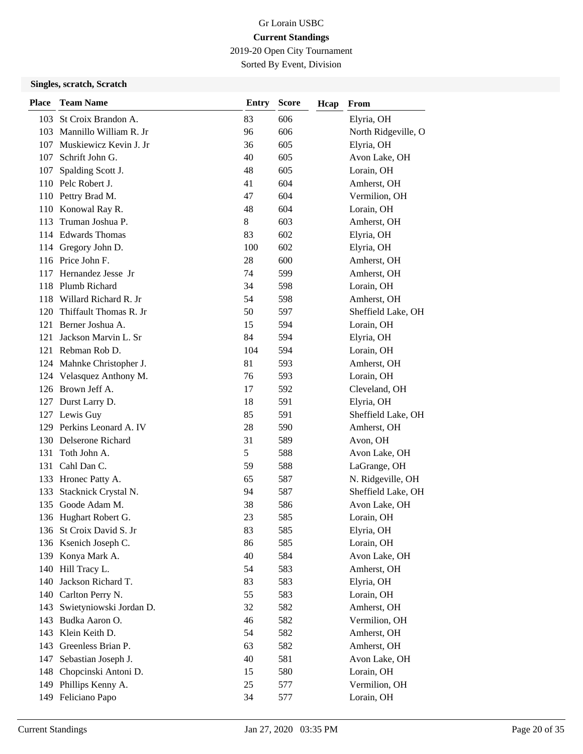2019-20 Open City Tournament

Sorted By Event, Division

| <b>Place</b> | <b>Team Name</b>           | <b>Entry</b> | <b>Score</b> | Hcap | From                |
|--------------|----------------------------|--------------|--------------|------|---------------------|
|              | 103 St Croix Brandon A.    | 83           | 606          |      | Elyria, OH          |
|              | 103 Mannillo William R. Jr | 96           | 606          |      | North Ridgeville, O |
|              | 107 Muskiewicz Kevin J. Jr | 36           | 605          |      | Elyria, OH          |
|              | 107 Schrift John G.        | 40           | 605          |      | Avon Lake, OH       |
| 107          | Spalding Scott J.          | 48           | 605          |      | Lorain, OH          |
|              | 110 Pelc Robert J.         | 41           | 604          |      | Amherst, OH         |
|              | 110 Pettry Brad M.         | 47           | 604          |      | Vermilion, OH       |
|              | 110 Konowal Ray R.         | 48           | 604          |      | Lorain, OH          |
| 113          | Truman Joshua P.           | $8\,$        | 603          |      | Amherst, OH         |
|              | 114 Edwards Thomas         | 83           | 602          |      | Elyria, OH          |
|              | 114 Gregory John D.        | 100          | 602          |      | Elyria, OH          |
|              | 116 Price John F.          | 28           | 600          |      | Amherst, OH         |
|              | 117 Hernandez Jesse Jr     | 74           | 599          |      | Amherst, OH         |
|              | 118 Plumb Richard          | 34           | 598          |      | Lorain, OH          |
|              | 118 Willard Richard R. Jr  | 54           | 598          |      | Amherst, OH         |
|              | 120 Thiffault Thomas R. Jr | 50           | 597          |      | Sheffield Lake, OH  |
|              | 121 Berner Joshua A.       | 15           | 594          |      | Lorain, OH          |
| 121          | Jackson Marvin L. Sr       | 84           | 594          |      | Elyria, OH          |
|              | 121 Rebman Rob D.          | 104          | 594          |      | Lorain, OH          |
|              | 124 Mahnke Christopher J.  | 81           | 593          |      | Amherst, OH         |
|              | 124 Velasquez Anthony M.   | 76           | 593          |      | Lorain, OH          |
|              | 126 Brown Jeff A.          | 17           | 592          |      | Cleveland, OH       |
|              | 127 Durst Larry D.         | 18           | 591          |      | Elyria, OH          |
|              | 127 Lewis Guy              | 85           | 591          |      | Sheffield Lake, OH  |
|              | 129 Perkins Leonard A. IV  | 28           | 590          |      | Amherst, OH         |
|              | 130 Delserone Richard      | 31           | 589          |      | Avon, OH            |
| 131          | Toth John A.               | 5            | 588          |      | Avon Lake, OH       |
|              | 131 Cahl Dan C.            | 59           | 588          |      | LaGrange, OH        |
|              | 133 Hronec Patty A.        | 65           | 587          |      | N. Ridgeville, OH   |
| 133          | Stacknick Crystal N.       | 94           | 587          |      | Sheffield Lake, OH  |
| 135          | Goode Adam M.              | 38           | 586          |      | Avon Lake, OH       |
|              | 136 Hughart Robert G.      | 23           | 585          |      | Lorain, OH          |
|              | 136 St Croix David S. Jr   | 83           | 585          |      | Elyria, OH          |
|              | 136 Ksenich Joseph C.      | 86           | 585          |      | Lorain, OH          |
|              | 139 Konya Mark A.          | 40           | 584          |      | Avon Lake, OH       |
|              | 140 Hill Tracy L.          | 54           | 583          |      | Amherst, OH         |
| 140          | Jackson Richard T.         | 83           | 583          |      | Elyria, OH          |
|              | 140 Carlton Perry N.       | 55           | 583          |      | Lorain, OH          |
| 143          | Swietyniowski Jordan D.    | 32           | 582          |      | Amherst, OH         |
| 143          | Budka Aaron O.             | 46           | 582          |      | Vermilion, OH       |
| 143          | Klein Keith D.             | 54           | 582          |      | Amherst, OH         |
| 143          | Greenless Brian P.         | 63           | 582          |      | Amherst, OH         |
| 147          | Sebastian Joseph J.        | 40           | 581          |      | Avon Lake, OH       |
|              | 148 Chopcinski Antoni D.   | 15           | 580          |      | Lorain, OH          |
|              | 149 Phillips Kenny A.      | 25           | 577          |      | Vermilion, OH       |
|              | 149 Feliciano Papo         | 34           | 577          |      | Lorain, OH          |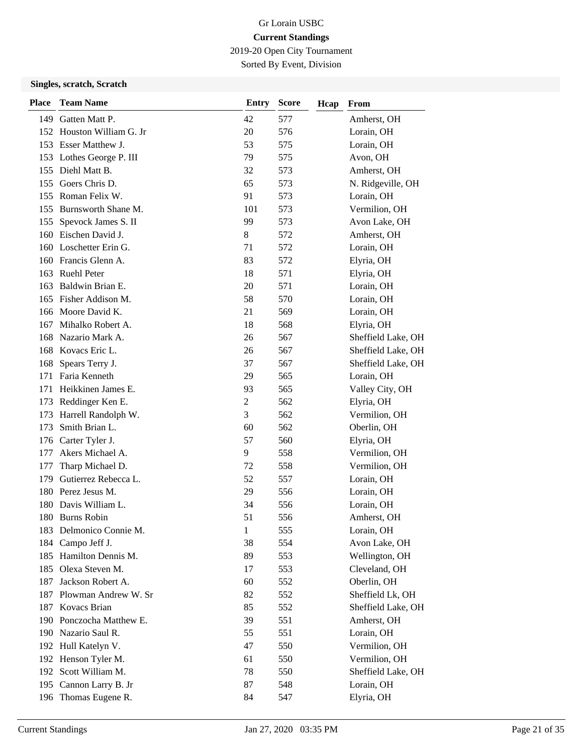2019-20 Open City Tournament

Sorted By Event, Division

| <b>Place</b> | <b>Team Name</b>          | <b>Entry</b>   | <b>Score</b> | Hcap | From               |
|--------------|---------------------------|----------------|--------------|------|--------------------|
| 149          | Gatten Matt P.            | 42             | 577          |      | Amherst, OH        |
|              | 152 Houston William G. Jr | 20             | 576          |      | Lorain, OH         |
|              | 153 Esser Matthew J.      | 53             | 575          |      | Lorain, OH         |
|              | 153 Lothes George P. III  | 79             | 575          |      | Avon, OH           |
|              | 155 Diehl Matt B.         | 32             | 573          |      | Amherst, OH        |
|              | 155 Goers Chris D.        | 65             | 573          |      | N. Ridgeville, OH  |
|              | 155 Roman Felix W.        | 91             | 573          |      | Lorain, OH         |
|              | 155 Burnsworth Shane M.   | 101            | 573          |      | Vermilion, OH      |
| 155          | Spevock James S. II       | 99             | 573          |      | Avon Lake, OH      |
|              | 160 Eischen David J.      | 8              | 572          |      | Amherst, OH        |
| 160          | Loschetter Erin G.        | 71             | 572          |      | Lorain, OH         |
|              | 160 Francis Glenn A.      | 83             | 572          |      | Elyria, OH         |
| 163          | <b>Ruehl Peter</b>        | 18             | 571          |      | Elyria, OH         |
| 163          | Baldwin Brian E.          | 20             | 571          |      | Lorain, OH         |
| 165          | Fisher Addison M.         | 58             | 570          |      | Lorain, OH         |
|              | 166 Moore David K.        | 21             | 569          |      | Lorain, OH         |
| 167          | Mihalko Robert A.         | 18             | 568          |      | Elyria, OH         |
| 168          | Nazario Mark A.           | 26             | 567          |      | Sheffield Lake, OH |
|              | 168 Kovacs Eric L.        | 26             | 567          |      | Sheffield Lake, OH |
| 168          | Spears Terry J.           | 37             | 567          |      | Sheffield Lake, OH |
| 171          | Faria Kenneth             | 29             | 565          |      | Lorain, OH         |
| 171          | Heikkinen James E.        | 93             | 565          |      | Valley City, OH    |
| 173          | Reddinger Ken E.          | $\overline{2}$ | 562          |      | Elyria, OH         |
| 173          | Harrell Randolph W.       | 3              | 562          |      | Vermilion, OH      |
| 173          | Smith Brian L.            | 60             | 562          |      | Oberlin, OH        |
| 176          | Carter Tyler J.           | 57             | 560          |      | Elyria, OH         |
| 177          | Akers Michael A.          | 9              | 558          |      | Vermilion, OH      |
| 177          | Tharp Michael D.          | 72             | 558          |      | Vermilion, OH      |
| 179          | Gutierrez Rebecca L.      | 52             | 557          |      | Lorain, OH         |
|              | 180 Perez Jesus M.        | 29             | 556          |      | Lorain, OH         |
| 180          | Davis William L.          | 34             | 556          |      | Lorain, OH         |
|              | 180 Burns Robin           | 51             | 556          |      | Amherst, OH        |
|              | 183 Delmonico Connie M.   | 1              | 555          |      | Lorain, OH         |
| 184          | Campo Jeff J.             | 38             | 554          |      | Avon Lake, OH      |
|              | 185 Hamilton Dennis M.    | 89             | 553          |      | Wellington, OH     |
|              | 185 Olexa Steven M.       | 17             | 553          |      | Cleveland, OH      |
| 187          | Jackson Robert A.         | 60             | 552          |      | Oberlin, OH        |
|              | 187 Plowman Andrew W. Sr  | 82             | 552          |      | Sheffield Lk, OH   |
|              | 187 Kovacs Brian          | 85             | 552          |      | Sheffield Lake, OH |
|              | 190 Ponczocha Matthew E.  | 39             | 551          |      | Amherst, OH        |
|              | 190 Nazario Saul R.       | 55             | 551          |      | Lorain, OH         |
|              | 192 Hull Katelyn V.       | 47             | 550          |      | Vermilion, OH      |
|              | 192 Henson Tyler M.       | 61             | 550          |      | Vermilion, OH      |
|              | 192 Scott William M.      | 78             | 550          |      | Sheffield Lake, OH |
|              | 195 Cannon Larry B. Jr    | 87             | 548          |      | Lorain, OH         |
|              | 196 Thomas Eugene R.      | 84             | 547          |      | Elyria, OH         |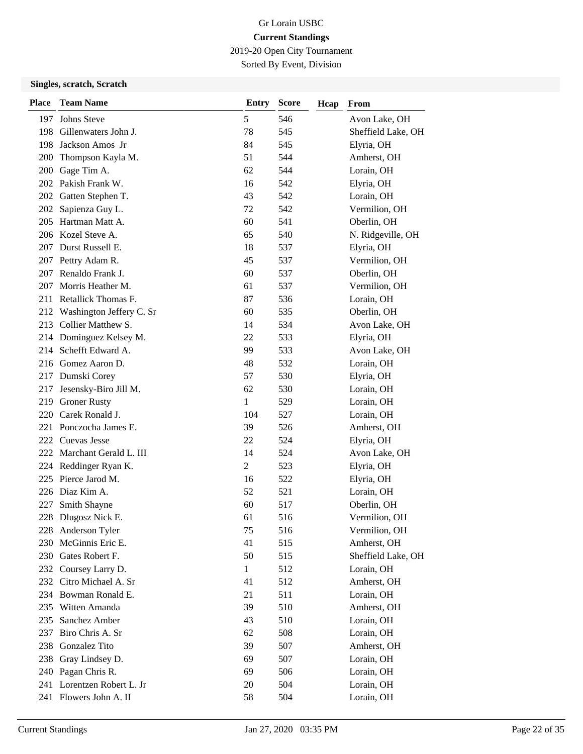2019-20 Open City Tournament

Sorted By Event, Division

| <b>Place</b> | <b>Team Name</b>             | <b>Entry</b>   | <b>Score</b> | Hcap | From               |
|--------------|------------------------------|----------------|--------------|------|--------------------|
| 197          | Johns Steve                  | 5              | 546          |      | Avon Lake, OH      |
| 198          | Gillenwaters John J.         | 78             | 545          |      | Sheffield Lake, OH |
| 198          | Jackson Amos Jr              | 84             | 545          |      | Elyria, OH         |
| <b>200</b>   | Thompson Kayla M.            | 51             | 544          |      | Amherst, OH        |
| 200          | Gage Tim A.                  | 62             | 544          |      | Lorain, OH         |
|              | 202 Pakish Frank W.          | 16             | 542          |      | Elyria, OH         |
|              | 202 Gatten Stephen T.        | 43             | 542          |      | Lorain, OH         |
| 202          | Sapienza Guy L.              | 72             | 542          |      | Vermilion, OH      |
| 205          | Hartman Matt A.              | 60             | 541          |      | Oberlin, OH        |
|              | 206 Kozel Steve A.           | 65             | 540          |      | N. Ridgeville, OH  |
| 207          | Durst Russell E.             | 18             | 537          |      | Elyria, OH         |
|              | 207 Pettry Adam R.           | 45             | 537          |      | Vermilion, OH      |
|              | 207 Renaldo Frank J.         | 60             | 537          |      | Oberlin, OH        |
| 207          | Morris Heather M.            | 61             | 537          |      | Vermilion, OH      |
| 211          | Retallick Thomas F.          | 87             | 536          |      | Lorain, OH         |
|              | 212 Washington Jeffery C. Sr | 60             | 535          |      | Oberlin, OH        |
| 213          | Collier Matthew S.           | 14             | 534          |      | Avon Lake, OH      |
|              | 214 Dominguez Kelsey M.      | 22             | 533          |      | Elyria, OH         |
| 214          | Schefft Edward A.            | 99             | 533          |      | Avon Lake, OH      |
|              | 216 Gomez Aaron D.           | 48             | 532          |      | Lorain, OH         |
|              | 217 Dumski Corey             | 57             | 530          |      | Elyria, OH         |
| 217          | Jesensky-Biro Jill M.        | 62             | 530          |      | Lorain, OH         |
| 219          | <b>Groner Rusty</b>          | 1              | 529          |      | Lorain, OH         |
| 220          | Carek Ronald J.              | 104            | 527          |      | Lorain, OH         |
| 221          | Ponczocha James E.           | 39             | 526          |      | Amherst, OH        |
| 222          | Cuevas Jesse                 | 22             | 524          |      | Elyria, OH         |
|              | 222 Marchant Gerald L. III   | 14             | 524          |      | Avon Lake, OH      |
|              | 224 Reddinger Ryan K.        | $\overline{2}$ | 523          |      | Elyria, OH         |
| 225          | Pierce Jarod M.              | 16             | 522          |      | Elyria, OH         |
|              | 226 Diaz Kim A.              | 52             | 521          |      | Lorain, OH         |
| 227          | Smith Shayne                 | 60             | 517          |      | Oberlin, OH        |
|              | 228 Dlugosz Nick E.          | 61             | 516          |      | Vermilion, OH      |
|              | 228 Anderson Tyler           | 75             | 516          |      | Vermilion, OH      |
|              | 230 McGinnis Eric E.         | 41             | 515          |      | Amherst, OH        |
|              | 230 Gates Robert F.          | 50             | 515          |      | Sheffield Lake, OH |
|              | 232 Coursey Larry D.         | $\mathbf{1}$   | 512          |      | Lorain, OH         |
|              | 232 Citro Michael A. Sr      | 41             | 512          |      | Amherst, OH        |
|              | 234 Bowman Ronald E.         | 21             | 511          |      | Lorain, OH         |
| 235          | Witten Amanda                | 39             | 510          |      | Amherst, OH        |
| 235          | Sanchez Amber                | 43             | 510          |      | Lorain, OH         |
| 237          | Biro Chris A. Sr             | 62             | 508          |      | Lorain, OH         |
| 238          | Gonzalez Tito                | 39             | 507          |      | Amherst, OH        |
| 238          | Gray Lindsey D.              | 69             | 507          |      | Lorain, OH         |
|              | 240 Pagan Chris R.           | 69             | 506          |      | Lorain, OH         |
|              | 241 Lorentzen Robert L. Jr   | 20             | 504          |      | Lorain, OH         |
|              | 241 Flowers John A. II       | 58             | 504          |      | Lorain, OH         |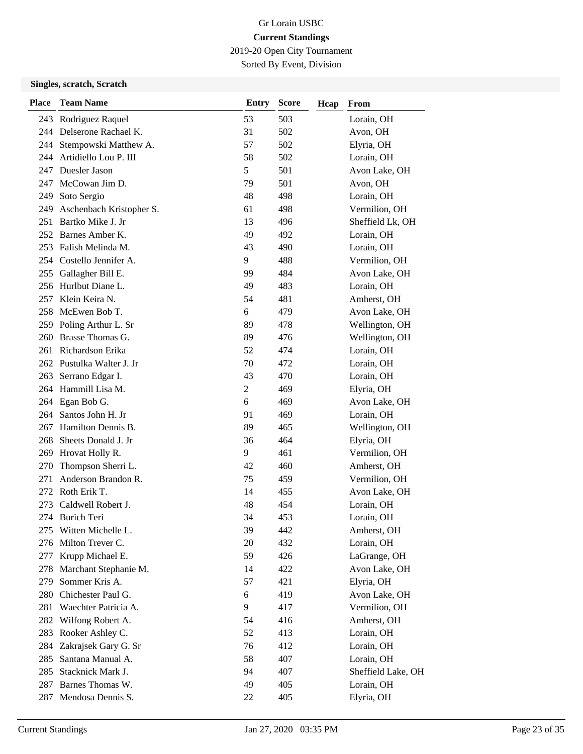2019-20 Open City Tournament

Sorted By Event, Division

| <b>Place</b> | <b>Team Name</b>          | <b>Entry</b>   | <b>Score</b> | Hcap | From               |
|--------------|---------------------------|----------------|--------------|------|--------------------|
|              | 243 Rodriguez Raquel      | 53             | 503          |      | Lorain, OH         |
|              | 244 Delserone Rachael K.  | 31             | 502          |      | Avon, OH           |
|              | 244 Stempowski Matthew A. | 57             | 502          |      | Elyria, OH         |
|              | 244 Artidiello Lou P. III | 58             | 502          |      | Lorain, OH         |
| 247          | Duesler Jason             | 5              | 501          |      | Avon Lake, OH      |
| 247          | McCowan Jim D.            | 79             | 501          |      | Avon, OH           |
| 249          | Soto Sergio               | 48             | 498          |      | Lorain, OH         |
| 249          | Aschenbach Kristopher S.  | 61             | 498          |      | Vermilion, OH      |
| 251          | Bartko Mike J. Jr         | 13             | 496          |      | Sheffield Lk, OH   |
|              | 252 Barnes Amber K.       | 49             | 492          |      | Lorain, OH         |
|              | 253 Falish Melinda M.     | 43             | 490          |      | Lorain, OH         |
|              | 254 Costello Jennifer A.  | 9              | 488          |      | Vermilion, OH      |
|              | 255 Gallagher Bill E.     | 99             | 484          |      | Avon Lake, OH      |
| 256          | Hurlbut Diane L.          | 49             | 483          |      | Lorain, OH         |
| 257          | Klein Keira N.            | 54             | 481          |      | Amherst, OH        |
|              | 258 McEwen Bob T.         | 6              | 479          |      | Avon Lake, OH      |
|              | 259 Poling Arthur L. Sr   | 89             | 478          |      | Wellington, OH     |
| 260          | Brasse Thomas G.          | 89             | 476          |      | Wellington, OH     |
| 261          | Richardson Erika          | 52             | 474          |      | Lorain, OH         |
|              | 262 Pustulka Walter J. Jr | 70             | 472          |      | Lorain, OH         |
|              | 263 Serrano Edgar I.      | 43             | 470          |      | Lorain, OH         |
|              | 264 Hammill Lisa M.       | $\overline{2}$ | 469          |      | Elyria, OH         |
|              | 264 Egan Bob G.           | 6              | 469          |      | Avon Lake, OH      |
|              | 264 Santos John H. Jr     | 91             | 469          |      | Lorain, OH         |
| 267          | Hamilton Dennis B.        | 89             | 465          |      | Wellington, OH     |
| 268          | Sheets Donald J. Jr       | 36             | 464          |      | Elyria, OH         |
|              | 269 Hrovat Holly R.       | 9              | 461          |      | Vermilion, OH      |
| 270          | Thompson Sherri L.        | 42             | 460          |      | Amherst, OH        |
| 271          | Anderson Brandon R.       | 75             | 459          |      | Vermilion, OH      |
| 272.         | Roth Erik T.              | 14             | 455          |      | Avon Lake, OH      |
| 273          | Caldwell Robert J.        | 48             | 454          |      | Lorain, OH         |
|              | 274 Burich Teri           | 34             | 453          |      | Lorain, OH         |
|              | 275 Witten Michelle L.    | 39             | 442          |      | Amherst, OH        |
| 276          | Milton Trever C.          | 20             | 432          |      | Lorain, OH         |
| 277          | Krupp Michael E.          | 59             | 426          |      | LaGrange, OH       |
| 278.         | Marchant Stephanie M.     | 14             | 422          |      | Avon Lake, OH      |
| 279          | Sommer Kris A.            | 57             | 421          |      | Elyria, OH         |
| 280          | Chichester Paul G.        | 6              | 419          |      | Avon Lake, OH      |
| 281          | Waechter Patricia A.      | 9              | 417          |      | Vermilion, OH      |
| 282          | Wilfong Robert A.         | 54             | 416          |      | Amherst, OH        |
| 283          | Rooker Ashley C.          | 52             | 413          |      | Lorain, OH         |
| 284          | Zakrajsek Gary G. Sr      | 76             | 412          |      | Lorain, OH         |
| 285          | Santana Manual A.         | 58             | 407          |      | Lorain, OH         |
| 285          | Stacknick Mark J.         | 94             | 407          |      | Sheffield Lake, OH |
| 287          | Barnes Thomas W.          | 49             | 405          |      | Lorain, OH         |
| 287          | Mendosa Dennis S.         | 22             | 405          |      | Elyria, OH         |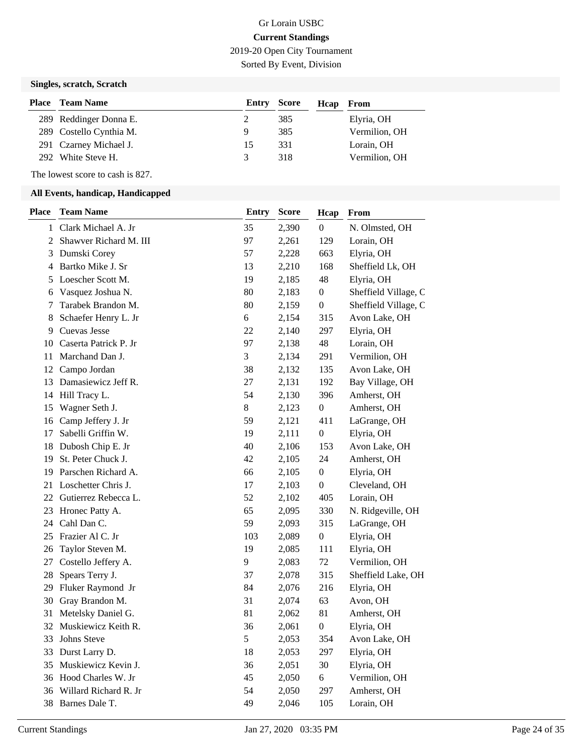# Gr Lorain USBC **Current Standings** 2019-20 Open City Tournament

Sorted By Event, Division

#### **Singles, scratch, Scratch**

| <b>Place</b> Team Name  | <b>Entry Score</b> |     | Hcap | From          |
|-------------------------|--------------------|-----|------|---------------|
| 289 Reddinger Donna E.  |                    | 385 |      | Elyria, OH    |
| 289 Costello Cynthia M. | 9                  | 385 |      | Vermilion, OH |
| 291 Czarney Michael J.  | 15                 | 331 |      | Lorain, OH    |
| 292 White Steve H.      |                    | 318 |      | Vermilion, OH |

The lowest score to cash is 827.

| <b>Place</b> | <b>Team Name</b>       | <b>Entry</b> | <b>Score</b> | Hcap             | From                 |
|--------------|------------------------|--------------|--------------|------------------|----------------------|
|              | 1 Clark Michael A. Jr  | 35           | 2,390        | $\boldsymbol{0}$ | N. Olmsted, OH       |
| 2            | Shawver Richard M. III | 97           | 2,261        | 129              | Lorain, OH           |
| 3            | Dumski Corey           | 57           | 2,228        | 663              | Elyria, OH           |
| 4            | Bartko Mike J. Sr      | 13           | 2,210        | 168              | Sheffield Lk, OH     |
| 5            | Loescher Scott M.      | 19           | 2,185        | 48               | Elyria, OH           |
| 6            | Vasquez Joshua N.      | 80           | 2,183        | $\boldsymbol{0}$ | Sheffield Village, C |
| 7            | Tarabek Brandon M.     | 80           | 2,159        | $\boldsymbol{0}$ | Sheffield Village, C |
| 8            | Schaefer Henry L. Jr   | 6            | 2,154        | 315              | Avon Lake, OH        |
| 9            | Cuevas Jesse           | 22           | 2,140        | 297              | Elyria, OH           |
| 10           | Caserta Patrick P. Jr  | 97           | 2,138        | 48               | Lorain, OH           |
| 11           | Marchand Dan J.        | 3            | 2,134        | 291              | Vermilion, OH        |
| 12           | Campo Jordan           | 38           | 2,132        | 135              | Avon Lake, OH        |
| 13           | Damasiewicz Jeff R.    | 27           | 2,131        | 192              | Bay Village, OH      |
| 14           | Hill Tracy L.          | 54           | 2,130        | 396              | Amherst, OH          |
| 15           | Wagner Seth J.         | 8            | 2,123        | $\boldsymbol{0}$ | Amherst, OH          |
| 16           | Camp Jeffery J. Jr     | 59           | 2,121        | 411              | LaGrange, OH         |
| 17           | Sabelli Griffin W.     | 19           | 2,111        | $\boldsymbol{0}$ | Elyria, OH           |
| 18           | Dubosh Chip E. Jr      | 40           | 2,106        | 153              | Avon Lake, OH        |
| 19           | St. Peter Chuck J.     | 42           | 2,105        | 24               | Amherst, OH          |
| 19           | Parschen Richard A.    | 66           | 2,105        | $\boldsymbol{0}$ | Elyria, OH           |
| 21           | Loschetter Chris J.    | 17           | 2,103        | $\boldsymbol{0}$ | Cleveland, OH        |
| 22           | Gutierrez Rebecca L.   | 52           | 2,102        | 405              | Lorain, OH           |
| 23           | Hronec Patty A.        | 65           | 2,095        | 330              | N. Ridgeville, OH    |
| 24           | Cahl Dan C.            | 59           | 2,093        | 315              | LaGrange, OH         |
| 25           | Frazier Al C. Jr       | 103          | 2,089        | $\boldsymbol{0}$ | Elyria, OH           |
| 26           | Taylor Steven M.       | 19           | 2,085        | 111              | Elyria, OH           |
| 27           | Costello Jeffery A.    | 9            | 2,083        | 72               | Vermilion, OH        |
| 28           | Spears Terry J.        | 37           | 2,078        | 315              | Sheffield Lake, OH   |
| 29           | Fluker Raymond Jr      | 84           | 2,076        | 216              | Elyria, OH           |
| 30           | Gray Brandon M.        | 31           | 2,074        | 63               | Avon, OH             |
| 31           | Metelsky Daniel G.     | 81           | 2,062        | 81               | Amherst, OH          |
| 32           | Muskiewicz Keith R.    | 36           | 2,061        | $\boldsymbol{0}$ | Elyria, OH           |
| 33           | Johns Steve            | 5            | 2,053        | 354              | Avon Lake, OH        |
| 33           | Durst Larry D.         | 18           | 2,053        | 297              | Elyria, OH           |
| 35           | Muskiewicz Kevin J.    | 36           | 2,051        | 30               | Elyria, OH           |
| 36           | Hood Charles W. Jr     | 45           | 2,050        | 6                | Vermilion, OH        |
| 36           | Willard Richard R. Jr  | 54           | 2,050        | 297              | Amherst, OH          |
|              | 38 Barnes Dale T.      | 49           | 2,046        | 105              | Lorain, OH           |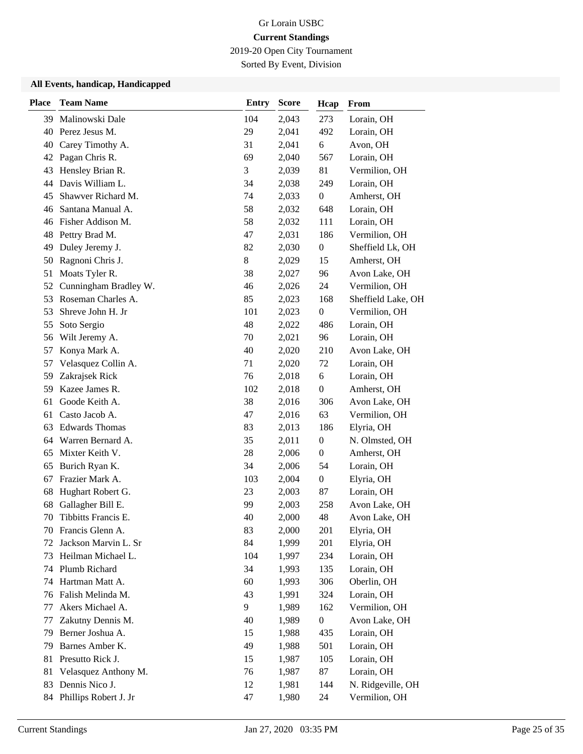2019-20 Open City Tournament

Sorted By Event, Division

| <b>Place</b> | <b>Team Name</b>                    | <b>Entry</b> | <b>Score</b>   | Hcap             | From                     |
|--------------|-------------------------------------|--------------|----------------|------------------|--------------------------|
| 39           | Malinowski Dale                     | 104          | 2,043          | 273              | Lorain, OH               |
| 40           | Perez Jesus M.                      | 29           | 2,041          | 492              | Lorain, OH               |
| 40           | Carey Timothy A.                    | 31           | 2,041          | 6                | Avon, OH                 |
|              | 42 Pagan Chris R.                   | 69           | 2,040          | 567              | Lorain, OH               |
| 43           | Hensley Brian R.                    | 3            | 2,039          | 81               | Vermilion, OH            |
| 44           | Davis William L.                    | 34           | 2,038          | 249              | Lorain, OH               |
| 45           | Shawver Richard M.                  | 74           | 2,033          | $\boldsymbol{0}$ | Amherst, OH              |
| 46           | Santana Manual A.                   | 58           | 2,032          | 648              | Lorain, OH               |
| 46           | Fisher Addison M.                   | 58           | 2,032          | 111              | Lorain, OH               |
| 48           | Pettry Brad M.                      | 47           | 2,031          | 186              | Vermilion, OH            |
| 49           | Duley Jeremy J.                     | 82           | 2,030          | $\boldsymbol{0}$ | Sheffield Lk, OH         |
| 50           | Ragnoni Chris J.                    | 8            | 2,029          | 15               | Amherst, OH              |
| 51           | Moats Tyler R.                      | 38           | 2,027          | 96               | Avon Lake, OH            |
| 52           | Cunningham Bradley W.               | 46           | 2,026          | 24               | Vermilion, OH            |
| 53           | Roseman Charles A.                  | 85           | 2,023          | 168              | Sheffield Lake, OH       |
| 53           | Shreve John H. Jr                   | 101          | 2,023          | $\boldsymbol{0}$ | Vermilion, OH            |
| 55           | Soto Sergio                         | 48           | 2,022          | 486              | Lorain, OH               |
| 56           | Wilt Jeremy A.                      | 70           | 2,021          | 96               | Lorain, OH               |
| 57           | Konya Mark A.                       | 40           | 2,020          | 210              | Avon Lake, OH            |
| 57           | Velasquez Collin A.                 | 71           | 2,020          | 72               | Lorain, OH               |
| 59           | Zakrajsek Rick                      | 76           | 2,018          | 6                | Lorain, OH               |
| 59           | Kazee James R.                      | 102          | 2,018          | $\boldsymbol{0}$ | Amherst, OH              |
| 61           | Goode Keith A.                      | 38           | 2,016          | 306              | Avon Lake, OH            |
| 61           | Casto Jacob A.                      | 47           | 2,016          | 63               | Vermilion, OH            |
| 63           | <b>Edwards Thomas</b>               | 83           | 2,013          | 186              | Elyria, OH               |
| 64           | Warren Bernard A.                   | 35           | 2,011          | $\boldsymbol{0}$ | N. Olmsted, OH           |
| 65           | Mixter Keith V.                     | 28           | 2,006          | $\boldsymbol{0}$ | Amherst, OH              |
| 65           | Burich Ryan K.                      | 34           | 2,006          | 54               | Lorain, OH               |
| 67           | Frazier Mark A.                     | 103          | 2,004          | $\boldsymbol{0}$ | Elyria, OH               |
| 68           | Hughart Robert G.                   | 23           | 2,003          | 87               | Lorain, OH               |
| 68           | Gallagher Bill E.                   | 99           | 2,003          | 258              | Avon Lake, OH            |
| 70           | Tibbitts Francis E.                 | 40           | 2,000          | 48               | Avon Lake, OH            |
|              | 70 Francis Glenn A.                 | 83           | 2,000          | 201              | Elyria, OH               |
| 72           | Jackson Marvin L. Sr                | 84           | 1,999          | 201              | Elyria, OH               |
| 73           | Heilman Michael L.                  | 104          | 1,997          | 234              | Lorain, OH               |
| 74           | Plumb Richard                       | 34           | 1,993          | 135              | Lorain, OH               |
| 74           | Hartman Matt A.                     | 60           | 1,993          | 306              | Oberlin, OH              |
| 76           | Falish Melinda M.                   | 43           | 1,991          | 324              | Lorain, OH               |
| 77           | Akers Michael A.                    | 9            | 1,989          | 162              | Vermilion, OH            |
| 77           | Zakutny Dennis M.                   | 40           | 1,989          | $\boldsymbol{0}$ | Avon Lake, OH            |
| 79           | Berner Joshua A.                    | 15           | 1,988          | 435              | Lorain, OH               |
| 79           | Barnes Amber K.<br>Presutto Rick J. | 49           | 1,988          | 501              | Lorain, OH               |
| 81<br>81     | Velasquez Anthony M.                | 15<br>76     | 1,987          | 105<br>87        | Lorain, OH<br>Lorain, OH |
| 83           | Dennis Nico J.                      | 12           | 1,987<br>1,981 | 144              | N. Ridgeville, OH        |
|              | Phillips Robert J. Jr               | 47           | 1,980          | 24               | Vermilion, OH            |
| 84           |                                     |              |                |                  |                          |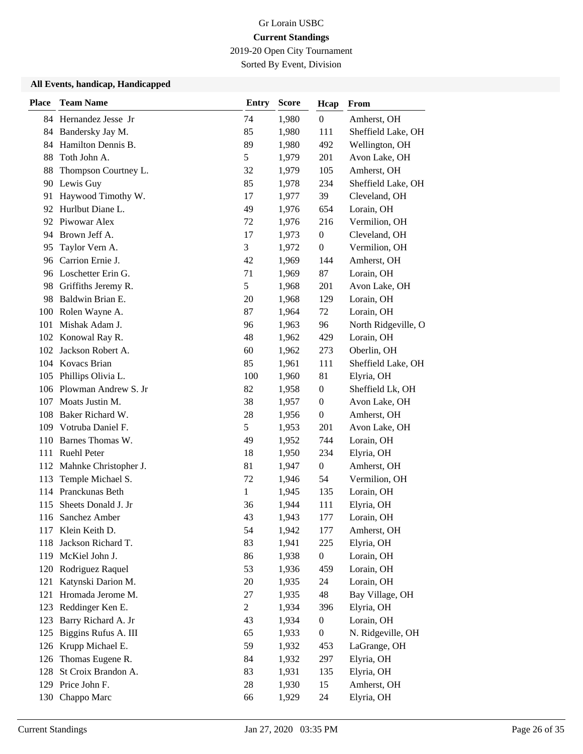2019-20 Open City Tournament

Sorted By Event, Division

| <b>Place</b> | <b>Team Name</b>          | <b>Entry</b>   | <b>Score</b> | Hcap             | From                |
|--------------|---------------------------|----------------|--------------|------------------|---------------------|
|              | 84 Hernandez Jesse Jr     | 74             | 1,980        | $\boldsymbol{0}$ | Amherst, OH         |
|              | 84 Bandersky Jay M.       | 85             | 1,980        | 111              | Sheffield Lake, OH  |
| 84           | Hamilton Dennis B.        | 89             | 1,980        | 492              | Wellington, OH      |
| 88           | Toth John A.              | 5              | 1,979        | 201              | Avon Lake, OH       |
| 88           | Thompson Courtney L.      | 32             | 1,979        | 105              | Amherst, OH         |
| 90           | Lewis Guy                 | 85             | 1,978        | 234              | Sheffield Lake, OH  |
| 91           | Haywood Timothy W.        | 17             | 1,977        | 39               | Cleveland, OH       |
|              | 92 Hurlbut Diane L.       | 49             | 1,976        | 654              | Lorain, OH          |
|              | 92 Piwowar Alex           | 72             | 1,976        | 216              | Vermilion, OH       |
| 94           | Brown Jeff A.             | 17             | 1,973        | $\boldsymbol{0}$ | Cleveland, OH       |
| 95           | Taylor Vern A.            | 3              | 1,972        | $\boldsymbol{0}$ | Vermilion, OH       |
| 96           | Carrion Ernie J.          | 42             | 1,969        | 144              | Amherst, OH         |
|              | 96 Loschetter Erin G.     | 71             | 1,969        | 87               | Lorain, OH          |
| 98           | Griffiths Jeremy R.       | 5              | 1,968        | 201              | Avon Lake, OH       |
| 98           | Baldwin Brian E.          | 20             | 1,968        | 129              | Lorain, OH          |
| 100          | Rolen Wayne A.            | 87             | 1,964        | 72               | Lorain, OH          |
| 101          | Mishak Adam J.            | 96             | 1,963        | 96               | North Ridgeville, O |
|              | 102 Konowal Ray R.        | 48             | 1,962        | 429              | Lorain, OH          |
| 102          | Jackson Robert A.         | 60             | 1,962        | 273              | Oberlin, OH         |
|              | 104 Kovacs Brian          | 85             | 1,961        | 111              | Sheffield Lake, OH  |
| 105          | Phillips Olivia L.        | 100            | 1,960        | 81               | Elyria, OH          |
| 106          | Plowman Andrew S. Jr      | 82             | 1,958        | $\boldsymbol{0}$ | Sheffield Lk, OH    |
| 107          | Moats Justin M.           | 38             | 1,957        | $\boldsymbol{0}$ | Avon Lake, OH       |
| 108          | Baker Richard W.          | 28             | 1,956        | $\boldsymbol{0}$ | Amherst, OH         |
|              | 109 Votruba Daniel F.     | 5              | 1,953        | 201              | Avon Lake, OH       |
| 110          | Barnes Thomas W.          | 49             | 1,952        | 744              | Lorain, OH          |
|              | 111 Ruehl Peter           | 18             | 1,950        | 234              | Elyria, OH          |
|              | 112 Mahnke Christopher J. | 81             | 1,947        | $\boldsymbol{0}$ | Amherst, OH         |
| 113          | Temple Michael S.         | 72             | 1,946        | 54               | Vermilion, OH       |
|              | 114 Pranckunas Beth       | $\mathbf{1}$   | 1,945        | 135              | Lorain, OH          |
| 115          | Sheets Donald J. Jr       | 36             | 1,944        | 111              | Elyria, OH          |
| 116          | Sanchez Amber             | 43             | 1,943        | 177              | Lorain, OH          |
|              | 117 Klein Keith D.        | 54             | 1,942        | 177              | Amherst, OH         |
| 118          | Jackson Richard T.        | 83             | 1,941        | 225              | Elyria, OH          |
| 119          | McKiel John J.            | 86             | 1,938        | $\boldsymbol{0}$ | Lorain, OH          |
| 120          | Rodriguez Raquel          | 53             | 1,936        | 459              | Lorain, OH          |
| 121          | Katynski Darion M.        | 20             | 1,935        | 24               | Lorain, OH          |
| 121          | Hromada Jerome M.         | 27             | 1,935        | 48               | Bay Village, OH     |
| 123          | Reddinger Ken E.          | $\overline{2}$ | 1,934        | 396              | Elyria, OH          |
| 123          | Barry Richard A. Jr       | 43             | 1,934        | $\boldsymbol{0}$ | Lorain, OH          |
| 125          | Biggins Rufus A. III      | 65             | 1,933        | $\boldsymbol{0}$ | N. Ridgeville, OH   |
| 126          | Krupp Michael E.          | 59             | 1,932        | 453              | LaGrange, OH        |
| 126          | Thomas Eugene R.          | 84             | 1,932        | 297              | Elyria, OH          |
| 128          | St Croix Brandon A.       | 83             | 1,931        | 135              | Elyria, OH          |
|              | 129 Price John F.         | 28             | 1,930        | 15               | Amherst, OH         |
| 130          | Chappo Marc               | 66             | 1,929        | 24               | Elyria, OH          |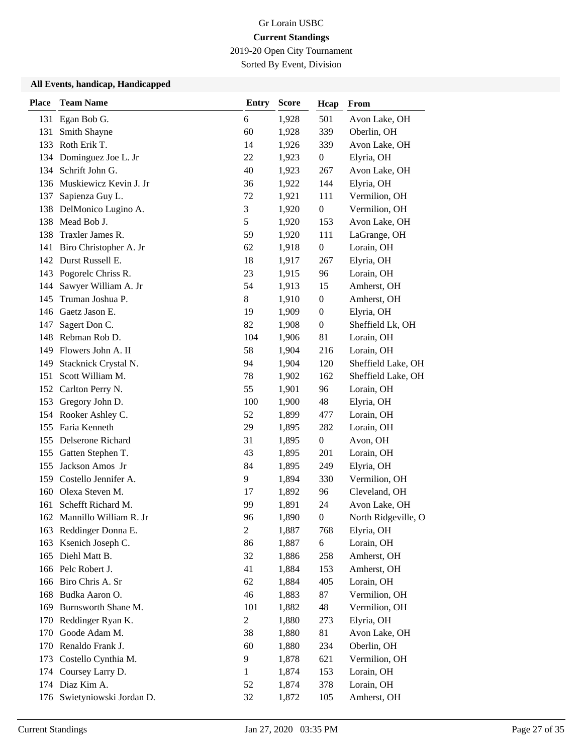2019-20 Open City Tournament

Sorted By Event, Division

| <b>Place</b> | <b>Team Name</b>                      | <b>Entry</b>   | <b>Score</b>   | Hcap             | From                        |
|--------------|---------------------------------------|----------------|----------------|------------------|-----------------------------|
|              | 131 Egan Bob G.                       | 6              | 1,928          | 501              | Avon Lake, OH               |
| 131          | Smith Shayne                          | 60             | 1,928          | 339              | Oberlin, OH                 |
| 133          | Roth Erik T.                          | 14             | 1,926          | 339              | Avon Lake, OH               |
|              | 134 Dominguez Joe L. Jr               | 22             | 1,923          | $\boldsymbol{0}$ | Elyria, OH                  |
| 134          | Schrift John G.                       | 40             | 1,923          | 267              | Avon Lake, OH               |
|              | 136 Muskiewicz Kevin J. Jr            | 36             | 1,922          | 144              | Elyria, OH                  |
| 137          | Sapienza Guy L.                       | 72             | 1,921          | 111              | Vermilion, OH               |
| 138          | DelMonico Lugino A.                   | $\mathfrak{Z}$ | 1,920          | $\boldsymbol{0}$ | Vermilion, OH               |
| 138          | Mead Bob J.                           | 5              | 1,920          | 153              | Avon Lake, OH               |
| 138          | Traxler James R.                      | 59             | 1,920          | 111              | LaGrange, OH                |
| 141          | Biro Christopher A. Jr                | 62             | 1,918          | $\boldsymbol{0}$ | Lorain, OH                  |
|              | 142 Durst Russell E.                  | 18             | 1,917          | 267              | Elyria, OH                  |
|              | 143 Pogorelc Chriss R.                | 23             | 1,915          | 96               | Lorain, OH                  |
| 144          | Sawyer William A. Jr                  | 54             | 1,913          | 15               | Amherst, OH                 |
| 145          | Truman Joshua P.                      | 8              | 1,910          | $\boldsymbol{0}$ | Amherst, OH                 |
|              | 146 Gaetz Jason E.                    | 19             | 1,909          | $\boldsymbol{0}$ | Elyria, OH                  |
| 147          | Sagert Don C.                         | 82             | 1,908          | $\boldsymbol{0}$ | Sheffield Lk, OH            |
| 148          | Rebman Rob D.                         | 104            | 1,906          | 81               | Lorain, OH                  |
| 149          | Flowers John A. II                    | 58             | 1,904          | 216              | Lorain, OH                  |
| 149          | Stacknick Crystal N.                  | 94             | 1,904          | 120              | Sheffield Lake, OH          |
| 151          | Scott William M.                      | 78             | 1,902          | 162              | Sheffield Lake, OH          |
| 152          | Carlton Perry N.                      | 55             | 1,901          | 96               | Lorain, OH                  |
| 153          | Gregory John D.                       | 100            | 1,900          | 48               | Elyria, OH                  |
|              | 154 Rooker Ashley C.                  | 52             | 1,899          | 477              | Lorain, OH                  |
|              | 155 Faria Kenneth                     | 29             | 1,895          | 282              | Lorain, OH                  |
|              | 155 Delserone Richard                 | 31             | 1,895          | $\boldsymbol{0}$ | Avon, OH                    |
| 155          | Gatten Stephen T.                     | 43             | 1,895          | 201              | Lorain, OH                  |
| 155          | Jackson Amos Jr                       | 84             | 1,895          | 249              | Elyria, OH                  |
| 159          | Costello Jennifer A.                  | 9              | 1,894          | 330              | Vermilion, OH               |
| 160          | Olexa Steven M.                       | 17             | 1,892          | 96               | Cleveland, OH               |
| 161          | Schefft Richard M.                    | 99             | 1,891          | 24               | Avon Lake, OH               |
|              | 162 Mannillo William R. Jr            | 96             | 1,890          | $\boldsymbol{0}$ | North Ridgeville, O         |
|              | 163 Reddinger Donna E.                | $\mathbf{2}$   | 1,887          | 768              | Elyria, OH                  |
| 163          | Ksenich Joseph C.                     | 86             | 1,887          | 6                | Lorain, OH                  |
| 165          | Diehl Matt B.                         | 32             | 1,886          | 258              | Amherst, OH                 |
|              | 166 Pelc Robert J.                    | 41             | 1,884          | 153              | Amherst, OH                 |
|              | 166 Biro Chris A. Sr                  | 62             | 1,884          | 405              | Lorain, OH                  |
| 168          | Budka Aaron O.<br>Burnsworth Shane M. | 46<br>101      | 1,883          | 87<br>48         | Vermilion, OH               |
| 169<br>170   | Reddinger Ryan K.                     | $\mathfrak{2}$ | 1,882<br>1,880 | 273              | Vermilion, OH<br>Elyria, OH |
| 170          | Goode Adam M.                         | 38             | 1,880          | 81               | Avon Lake, OH               |
| 170          | Renaldo Frank J.                      | 60             | 1,880          | 234              | Oberlin, OH                 |
| 173          | Costello Cynthia M.                   | 9              | 1,878          | 621              | Vermilion, OH               |
| 174          | Coursey Larry D.                      | 1              | 1,874          | 153              | Lorain, OH                  |
|              | 174 Diaz Kim A.                       | 52             | 1,874          | 378              | Lorain, OH                  |
| 176          | Swietyniowski Jordan D.               | 32             | 1,872          | 105              | Amherst, OH                 |
|              |                                       |                |                |                  |                             |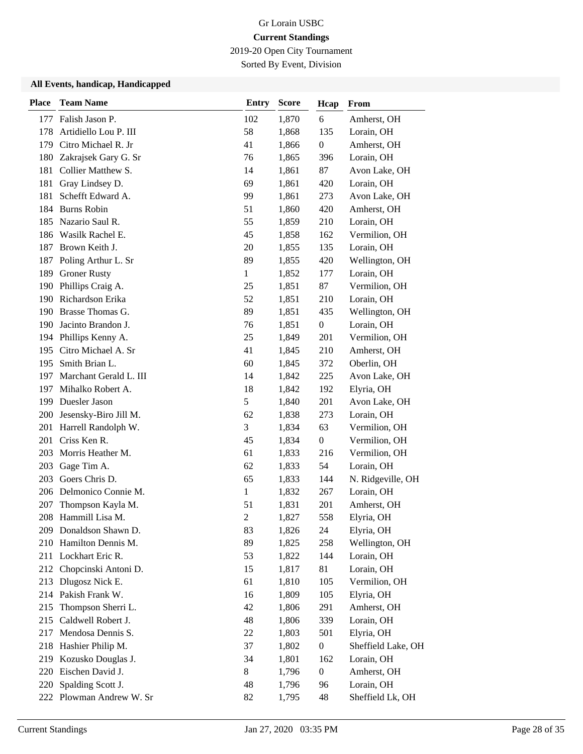2019-20 Open City Tournament

Sorted By Event, Division

| <b>Place</b> | <b>Team Name</b>          | <b>Entry</b>   | <b>Score</b> | Hcap             | From               |
|--------------|---------------------------|----------------|--------------|------------------|--------------------|
| 177          | Falish Jason P.           | 102            | 1,870        | 6                | Amherst, OH        |
| 178          | Artidiello Lou P. III     | 58             | 1,868        | 135              | Lorain, OH         |
| 179          | Citro Michael R. Jr       | 41             | 1,866        | $\boldsymbol{0}$ | Amherst, OH        |
| 180          | Zakrajsek Gary G. Sr      | 76             | 1,865        | 396              | Lorain, OH         |
| 181          | Collier Matthew S.        | 14             | 1,861        | 87               | Avon Lake, OH      |
| 181          | Gray Lindsey D.           | 69             | 1,861        | 420              | Lorain, OH         |
| 181          | Schefft Edward A.         | 99             | 1,861        | 273              | Avon Lake, OH      |
| 184          | <b>Burns Robin</b>        | 51             | 1,860        | 420              | Amherst, OH        |
| 185          | Nazario Saul R.           | 55             | 1,859        | 210              | Lorain, OH         |
| 186          | Wasilk Rachel E.          | 45             | 1,858        | 162              | Vermilion, OH      |
| 187          | Brown Keith J.            | 20             | 1,855        | 135              | Lorain, OH         |
| 187          | Poling Arthur L. Sr       | 89             | 1,855        | 420              | Wellington, OH     |
| 189          | <b>Groner Rusty</b>       | $\mathbf{1}$   | 1,852        | 177              | Lorain, OH         |
| 190          | Phillips Craig A.         | 25             | 1,851        | 87               | Vermilion, OH      |
| 190          | Richardson Erika          | 52             | 1,851        | 210              | Lorain, OH         |
| 190          | Brasse Thomas G.          | 89             | 1,851        | 435              | Wellington, OH     |
| 190          | Jacinto Brandon J.        | 76             | 1,851        | $\boldsymbol{0}$ | Lorain, OH         |
| 194          | Phillips Kenny A.         | 25             | 1,849        | 201              | Vermilion, OH      |
| 195          | Citro Michael A. Sr       | 41             | 1,845        | 210              | Amherst, OH        |
| 195          | Smith Brian L.            | 60             | 1,845        | 372              | Oberlin, OH        |
| 197          | Marchant Gerald L. III    | 14             | 1,842        | 225              | Avon Lake, OH      |
| 197          | Mihalko Robert A.         | 18             | 1,842        | 192              | Elyria, OH         |
| 199          | Duesler Jason             | 5              | 1,840        | 201              | Avon Lake, OH      |
|              | 200 Jesensky-Biro Jill M. | 62             | 1,838        | 273              | Lorain, OH         |
|              | 201 Harrell Randolph W.   | 3              | 1,834        | 63               | Vermilion, OH      |
| 201          | Criss Ken R.              | 45             | 1,834        | $\boldsymbol{0}$ | Vermilion, OH      |
| 203          | Morris Heather M.         | 61             | 1,833        | 216              | Vermilion, OH      |
| 203          | Gage Tim A.               | 62             | 1,833        | 54               | Lorain, OH         |
| 203          | Goers Chris D.            | 65             | 1,833        | 144              | N. Ridgeville, OH  |
| 206          | Delmonico Connie M.       | 1              | 1,832        | 267              | Lorain, OH         |
| 207          | Thompson Kayla M.         | 51             | 1,831        | 201              | Amherst, OH        |
|              | 208 Hammill Lisa M.       | $\mathfrak{2}$ | 1,827        | 558              | Elyria, OH         |
|              | 209 Donaldson Shawn D.    | 83             | 1,826        | 24               | Elyria, OH         |
|              | 210 Hamilton Dennis M.    | 89             | 1,825        | 258              | Wellington, OH     |
|              | 211 Lockhart Eric R.      | 53             | 1,822        | 144              | Lorain, OH         |
|              | 212 Chopcinski Antoni D.  | 15             | 1,817        | 81               | Lorain, OH         |
|              | 213 Dlugosz Nick E.       | 61             | 1,810        | 105              | Vermilion, OH      |
|              | 214 Pakish Frank W.       | 16             | 1,809        | 105              | Elyria, OH         |
| 215          | Thompson Sherri L.        | 42             | 1,806        | 291              | Amherst, OH        |
| 215          | Caldwell Robert J.        | 48             | 1,806        | 339              | Lorain, OH         |
| 217          | Mendosa Dennis S.         | 22             | 1,803        | 501              | Elyria, OH         |
| 218          | Hashier Philip M.         | 37             | 1,802        | $\boldsymbol{0}$ | Sheffield Lake, OH |
| 219          | Kozusko Douglas J.        | 34             | 1,801        | 162              | Lorain, OH         |
| 220          | Eischen David J.          | 8              | 1,796        | $\boldsymbol{0}$ | Amherst, OH        |
| 220          | Spalding Scott J.         | 48             | 1,796        | 96               | Lorain, OH         |
|              | 222 Plowman Andrew W. Sr  | 82             | 1,795        | 48               | Sheffield Lk, OH   |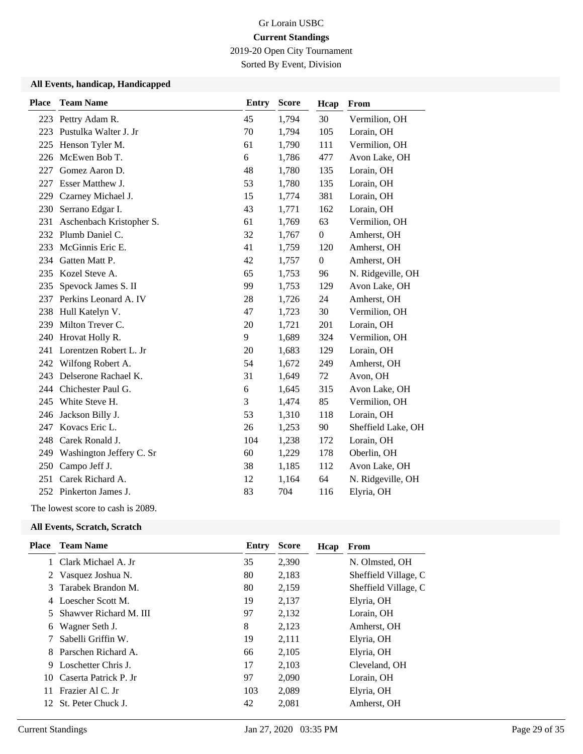2019-20 Open City Tournament

Sorted By Event, Division

#### **All Events, handicap, Handicapped**

| <b>Place</b> | <b>Team Name</b>         | <b>Entry</b> | <b>Score</b> | Hcap             | From               |
|--------------|--------------------------|--------------|--------------|------------------|--------------------|
|              | 223 Pettry Adam R.       | 45           | 1,794        | 30               | Vermilion, OH      |
| 223          | Pustulka Walter J. Jr    | 70           | 1,794        | 105              | Lorain, OH         |
| 225          | Henson Tyler M.          | 61           | 1,790        | 111              | Vermilion, OH      |
| 226          | McEwen Bob T.            | 6            | 1,786        | 477              | Avon Lake, OH      |
| 227          | Gomez Aaron D.           | 48           | 1,780        | 135              | Lorain, OH         |
| 227          | Esser Matthew J.         | 53           | 1,780        | 135              | Lorain, OH         |
| 229          | Czarney Michael J.       | 15           | 1,774        | 381              | Lorain, OH         |
| 230          | Serrano Edgar I.         | 43           | 1,771        | 162              | Lorain, OH         |
| 231          | Aschenbach Kristopher S. | 61           | 1,769        | 63               | Vermilion, OH      |
| 232          | Plumb Daniel C.          | 32           | 1,767        | $\theta$         | Amherst, OH        |
| 233          | McGinnis Eric E.         | 41           | 1,759        | 120              | Amherst, OH        |
| 234          | Gatten Matt P.           | 42           | 1,757        | $\boldsymbol{0}$ | Amherst, OH        |
| 235          | Kozel Steve A.           | 65           | 1,753        | 96               | N. Ridgeville, OH  |
| 235          | Spevock James S. II      | 99           | 1,753        | 129              | Avon Lake, OH      |
| 237          | Perkins Leonard A. IV    | 28           | 1,726        | 24               | Amherst, OH        |
| 238          | Hull Katelyn V.          | 47           | 1,723        | 30               | Vermilion, OH      |
| 239          | Milton Trever C.         | 20           | 1,721        | 201              | Lorain, OH         |
| 240          | Hrovat Holly R.          | 9            | 1,689        | 324              | Vermilion, OH      |
| 241          | Lorentzen Robert L. Jr   | 20           | 1,683        | 129              | Lorain, OH         |
| 242          | Wilfong Robert A.        | 54           | 1,672        | 249              | Amherst, OH        |
| 243          | Delserone Rachael K.     | 31           | 1,649        | 72               | Avon, OH           |
| 244          | Chichester Paul G.       | 6            | 1,645        | 315              | Avon Lake, OH      |
| 245          | White Steve H.           | 3            | 1,474        | 85               | Vermilion, OH      |
| 246          | Jackson Billy J.         | 53           | 1,310        | 118              | Lorain, OH         |
| 247          | Kovacs Eric L.           | 26           | 1,253        | 90               | Sheffield Lake, OH |
| 248          | Carek Ronald J.          | 104          | 1,238        | 172              | Lorain, OH         |
| 249          | Washington Jeffery C. Sr | 60           | 1,229        | 178              | Oberlin, OH        |
| 250          | Campo Jeff J.            | 38           | 1,185        | 112              | Avon Lake, OH      |
| 251          | Carek Richard A.         | 12           | 1,164        | 64               | N. Ridgeville, OH  |
|              | 252 Pinkerton James J.   | 83           | 704          | 116              | Elyria, OH         |
|              |                          |              |              |                  |                    |

The lowest score to cash is 2089.

| Place | <b>Team Name</b>       | Entry | <b>Score</b> | Hcap | From                 |
|-------|------------------------|-------|--------------|------|----------------------|
|       | 1 Clark Michael A. Jr  | 35    | 2,390        |      | N. Olmsted, OH       |
|       | 2 Vasquez Joshua N.    | 80    | 2,183        |      | Sheffield Village, C |
|       | 3 Tarabek Brandon M.   | 80    | 2,159        |      | Sheffield Village, C |
|       | 4 Loescher Scott M.    | 19    | 2,137        |      | Elyria, OH           |
| 5.    | Shawver Richard M. III | 97    | 2,132        |      | Lorain, OH           |
| 6     | Wagner Seth J.         | 8     | 2,123        |      | Amherst, OH          |
|       | Sabelli Griffin W.     | 19    | 2,111        |      | Elyria, OH           |
|       | 8 Parschen Richard A.  | 66    | 2,105        |      | Elyria, OH           |
| 9     | Loschetter Chris J.    | 17    | 2,103        |      | Cleveland, OH        |
| 10    | Caserta Patrick P. Jr  | 97    | 2,090        |      | Lorain, OH           |
| 11.   | Frazier Al C. Jr       | 103   | 2,089        |      | Elyria, OH           |
| 12    | St. Peter Chuck J.     | 42    | 2,081        |      | Amherst, OH          |
|       |                        |       |              |      |                      |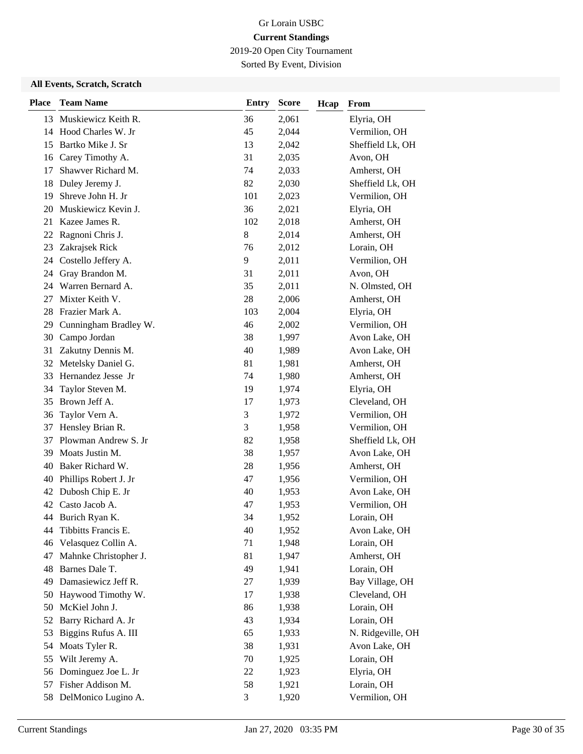2019-20 Open City Tournament

Sorted By Event, Division

| <b>Place</b> | <b>Team Name</b>      | <b>Entry</b> | <b>Score</b> | Hcap | From              |
|--------------|-----------------------|--------------|--------------|------|-------------------|
| 13           | Muskiewicz Keith R.   | 36           | 2,061        |      | Elyria, OH        |
| 14           | Hood Charles W. Jr    | 45           | 2,044        |      | Vermilion, OH     |
| 15           | Bartko Mike J. Sr     | 13           | 2,042        |      | Sheffield Lk, OH  |
| 16           | Carey Timothy A.      | 31           | 2,035        |      | Avon, OH          |
| 17           | Shawver Richard M.    | 74           | 2,033        |      | Amherst, OH       |
| 18           | Duley Jeremy J.       | 82           | 2,030        |      | Sheffield Lk, OH  |
| 19           | Shreve John H. Jr     | 101          | 2,023        |      | Vermilion, OH     |
| 20           | Muskiewicz Kevin J.   | 36           | 2,021        |      | Elyria, OH        |
| 21           | Kazee James R.        | 102          | 2,018        |      | Amherst, OH       |
| 22           | Ragnoni Chris J.      | 8            | 2,014        |      | Amherst, OH       |
| 23           | Zakrajsek Rick        | 76           | 2,012        |      | Lorain, OH        |
| 24           | Costello Jeffery A.   | 9            | 2,011        |      | Vermilion, OH     |
| 24           | Gray Brandon M.       | 31           | 2,011        |      | Avon, OH          |
| 24           | Warren Bernard A.     | 35           | 2,011        |      | N. Olmsted, OH    |
| 27           | Mixter Keith V.       | 28           | 2,006        |      | Amherst, OH       |
| 28           | Frazier Mark A.       | 103          | 2,004        |      | Elyria, OH        |
| 29           | Cunningham Bradley W. | 46           | 2,002        |      | Vermilion, OH     |
| 30           | Campo Jordan          | 38           | 1,997        |      | Avon Lake, OH     |
| 31           | Zakutny Dennis M.     | 40           | 1,989        |      | Avon Lake, OH     |
| 32           | Metelsky Daniel G.    | 81           | 1,981        |      | Amherst, OH       |
| 33           | Hernandez Jesse Jr    | 74           | 1,980        |      | Amherst, OH       |
| 34           | Taylor Steven M.      | 19           | 1,974        |      | Elyria, OH        |
| 35           | Brown Jeff A.         | 17           | 1,973        |      | Cleveland, OH     |
| 36           | Taylor Vern A.        | 3            | 1,972        |      | Vermilion, OH     |
| 37           | Hensley Brian R.      | 3            | 1,958        |      | Vermilion, OH     |
| 37           | Plowman Andrew S. Jr  | 82           | 1,958        |      | Sheffield Lk, OH  |
| 39           | Moats Justin M.       | 38           | 1,957        |      | Avon Lake, OH     |
| 40           | Baker Richard W.      | 28           | 1,956        |      | Amherst, OH       |
| 40           | Phillips Robert J. Jr | 47           | 1,956        |      | Vermilion, OH     |
| 42           | Dubosh Chip E. Jr     | 40           | 1,953        |      | Avon Lake, OH     |
| 42           | Casto Jacob A.        | 47           | 1,953        |      | Vermilion, OH     |
|              | 44 Burich Ryan K.     | 34           | 1,952        |      | Lorain, OH        |
| 44           | Tibbitts Francis E.   | 40           | 1,952        |      | Avon Lake, OH     |
| 46           | Velasquez Collin A.   | 71           | 1,948        |      | Lorain, OH        |
| 47           | Mahnke Christopher J. | 81           | 1,947        |      | Amherst, OH       |
| 48           | Barnes Dale T.        | 49           | 1,941        |      | Lorain, OH        |
| 49           | Damasiewicz Jeff R.   | 27           | 1,939        |      | Bay Village, OH   |
| 50           | Haywood Timothy W.    | 17           | 1,938        |      | Cleveland, OH     |
| 50           | McKiel John J.        | 86           | 1,938        |      | Lorain, OH        |
| 52           | Barry Richard A. Jr   | 43           | 1,934        |      | Lorain, OH        |
| 53           | Biggins Rufus A. III  | 65           | 1,933        |      | N. Ridgeville, OH |
| 54           | Moats Tyler R.        | 38           | 1,931        |      | Avon Lake, OH     |
| 55           | Wilt Jeremy A.        | 70           | 1,925        |      | Lorain, OH        |
| 56           | Dominguez Joe L. Jr   | 22           | 1,923        |      | Elyria, OH        |
| 57           | Fisher Addison M.     | 58           | 1,921        |      | Lorain, OH        |
| 58           | DelMonico Lugino A.   | 3            | 1,920        |      | Vermilion, OH     |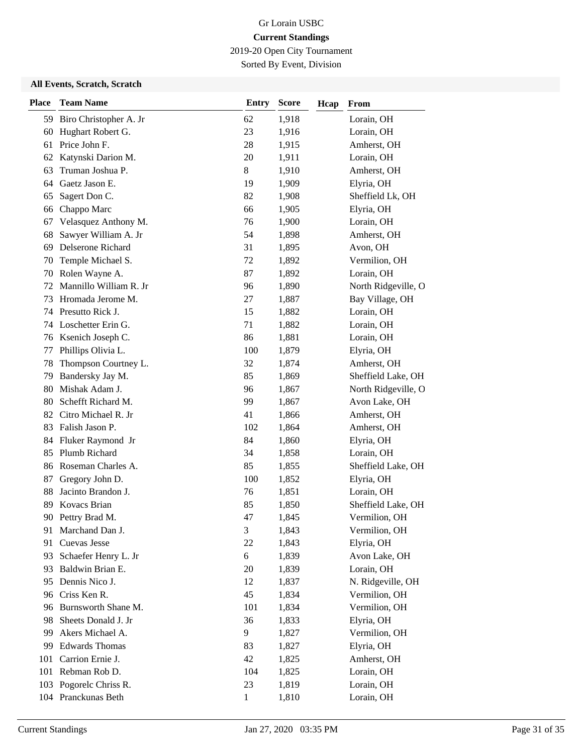2019-20 Open City Tournament

Sorted By Event, Division

| <b>Place</b> | <b>Team Name</b>       | <b>Entry</b> | <b>Score</b> | Hcap | From                |
|--------------|------------------------|--------------|--------------|------|---------------------|
| 59           | Biro Christopher A. Jr | 62           | 1,918        |      | Lorain, OH          |
| 60           | Hughart Robert G.      | 23           | 1,916        |      | Lorain, OH          |
| 61           | Price John F.          | 28           | 1,915        |      | Amherst, OH         |
| 62           | Katynski Darion M.     | 20           | 1,911        |      | Lorain, OH          |
| 63           | Truman Joshua P.       | 8            | 1,910        |      | Amherst, OH         |
| 64           | Gaetz Jason E.         | 19           | 1,909        |      | Elyria, OH          |
| 65           | Sagert Don C.          | 82           | 1,908        |      | Sheffield Lk, OH    |
| 66           | Chappo Marc            | 66           | 1,905        |      | Elyria, OH          |
| 67           | Velasquez Anthony M.   | 76           | 1,900        |      | Lorain, OH          |
| 68           | Sawyer William A. Jr   | 54           | 1,898        |      | Amherst, OH         |
| 69           | Delserone Richard      | 31           | 1,895        |      | Avon, OH            |
| 70           | Temple Michael S.      | 72           | 1,892        |      | Vermilion, OH       |
| 70           | Rolen Wayne A.         | 87           | 1,892        |      | Lorain, OH          |
| 72           | Mannillo William R. Jr | 96           | 1,890        |      | North Ridgeville, O |
| 73           | Hromada Jerome M.      | 27           | 1,887        |      | Bay Village, OH     |
| 74           | Presutto Rick J.       | 15           | 1,882        |      | Lorain, OH          |
| 74           | Loschetter Erin G.     | 71           | 1,882        |      | Lorain, OH          |
| 76           | Ksenich Joseph C.      | 86           | 1,881        |      | Lorain, OH          |
| 77           | Phillips Olivia L.     | 100          | 1,879        |      | Elyria, OH          |
| 78           | Thompson Courtney L.   | 32           | 1,874        |      | Amherst, OH         |
| 79           | Bandersky Jay M.       | 85           | 1,869        |      | Sheffield Lake, OH  |
| 80           | Mishak Adam J.         | 96           | 1,867        |      | North Ridgeville, O |
| 80           | Schefft Richard M.     | 99           | 1,867        |      | Avon Lake, OH       |
| 82           | Citro Michael R. Jr    | 41           | 1,866        |      | Amherst, OH         |
| 83           | Falish Jason P.        | 102          | 1,864        |      | Amherst, OH         |
| 84           | Fluker Raymond Jr      | 84           | 1,860        |      | Elyria, OH          |
| 85           | Plumb Richard          | 34           | 1,858        |      | Lorain, OH          |
|              | 86 Roseman Charles A.  | 85           | 1,855        |      | Sheffield Lake, OH  |
| 87           | Gregory John D.        | 100          | 1,852        |      | Elyria, OH          |
| 88           | Jacinto Brandon J.     | 76           | 1,851        |      | Lorain, OH          |
| 89           | Kovacs Brian           | 85           | 1,850        |      | Sheffield Lake, OH  |
|              | 90 Pettry Brad M.      | 47           | 1,845        |      | Vermilion, OH       |
| 91           | Marchand Dan J.        | 3            | 1,843        |      | Vermilion, OH       |
| 91           | Cuevas Jesse           | 22           | 1,843        |      | Elyria, OH          |
| 93           | Schaefer Henry L. Jr   | 6            | 1,839        |      | Avon Lake, OH       |
| 93           | Baldwin Brian E.       | 20           | 1,839        |      | Lorain, OH          |
| 95           | Dennis Nico J.         | 12           | 1,837        |      | N. Ridgeville, OH   |
| 96           | Criss Ken R.           | 45           | 1,834        |      | Vermilion, OH       |
| 96           | Burnsworth Shane M.    | 101          | 1,834        |      | Vermilion, OH       |
| 98           | Sheets Donald J. Jr    | 36           | 1,833        |      | Elyria, OH          |
| 99           | Akers Michael A.       | 9            | 1,827        |      | Vermilion, OH       |
| 99           | <b>Edwards Thomas</b>  | 83           | 1,827        |      | Elyria, OH          |
| 101          | Carrion Ernie J.       | 42           | 1,825        |      | Amherst, OH         |
| 101          | Rebman Rob D.          | 104          | 1,825        |      | Lorain, OH          |
|              | 103 Pogorelc Chriss R. | 23           | 1,819        |      | Lorain, OH          |
|              | 104 Pranckunas Beth    | $\mathbf{1}$ | 1,810        |      | Lorain, OH          |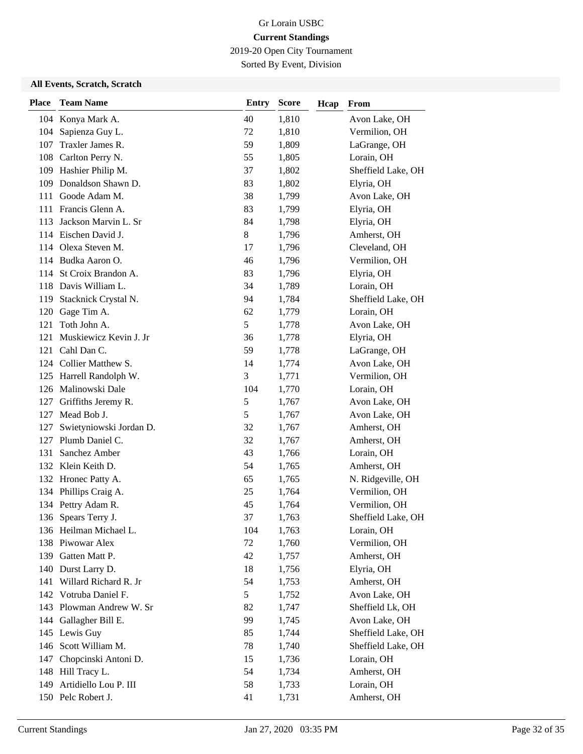2019-20 Open City Tournament

Sorted By Event, Division

| <b>Place</b> | <b>Team Name</b>          | <b>Entry</b> | <b>Score</b> | Hcap | From               |
|--------------|---------------------------|--------------|--------------|------|--------------------|
|              | 104 Konya Mark A.         | 40           | 1,810        |      | Avon Lake, OH      |
| 104          | Sapienza Guy L.           | 72           | 1,810        |      | Vermilion, OH      |
| 107          | Traxler James R.          | 59           | 1,809        |      | LaGrange, OH       |
|              | 108 Carlton Perry N.      | 55           | 1,805        |      | Lorain, OH         |
|              | 109 Hashier Philip M.     | 37           | 1,802        |      | Sheffield Lake, OH |
| 109          | Donaldson Shawn D.        | 83           | 1,802        |      | Elyria, OH         |
| 111          | Goode Adam M.             | 38           | 1,799        |      | Avon Lake, OH      |
|              | 111 Francis Glenn A.      | 83           | 1,799        |      | Elyria, OH         |
| 113          | Jackson Marvin L. Sr      | 84           | 1,798        |      | Elyria, OH         |
|              | 114 Eischen David J.      | 8            | 1,796        |      | Amherst, OH        |
| 114          | Olexa Steven M.           | 17           | 1,796        |      | Cleveland, OH      |
|              | 114 Budka Aaron O.        | 46           | 1,796        |      | Vermilion, OH      |
| 114          | St Croix Brandon A.       | 83           | 1,796        |      | Elyria, OH         |
| 118          | Davis William L.          | 34           | 1,789        |      | Lorain, OH         |
| 119          | Stacknick Crystal N.      | 94           | 1,784        |      | Sheffield Lake, OH |
| 120          | Gage Tim A.               | 62           | 1,779        |      | Lorain, OH         |
| 121          | Toth John A.              | 5            | 1,778        |      | Avon Lake, OH      |
| 121          | Muskiewicz Kevin J. Jr    | 36           | 1,778        |      | Elyria, OH         |
| 121          | Cahl Dan C.               | 59           | 1,778        |      | LaGrange, OH       |
|              | 124 Collier Matthew S.    | 14           | 1,774        |      | Avon Lake, OH      |
|              | 125 Harrell Randolph W.   | 3            | 1,771        |      | Vermilion, OH      |
|              | 126 Malinowski Dale       | 104          | 1,770        |      | Lorain, OH         |
| 127          | Griffiths Jeremy R.       | 5            | 1,767        |      | Avon Lake, OH      |
| 127          | Mead Bob J.               | 5            | 1,767        |      | Avon Lake, OH      |
| 127          | Swietyniowski Jordan D.   | 32           | 1,767        |      | Amherst, OH        |
| 127          | Plumb Daniel C.           | 32           | 1,767        |      | Amherst, OH        |
| 131          | Sanchez Amber             | 43           | 1,766        |      | Lorain, OH         |
|              | 132 Klein Keith D.        | 54           | 1,765        |      | Amherst, OH        |
|              | 132 Hronec Patty A.       | 65           | 1,765        |      | N. Ridgeville, OH  |
|              | 134 Phillips Craig A.     | 25           | 1,764        |      | Vermilion, OH      |
|              | 134 Pettry Adam R.        | 45           | 1,764        |      | Vermilion, OH      |
|              | 136 Spears Terry J.       | 37           | 1,763        |      | Sheffield Lake, OH |
|              | 136 Heilman Michael L.    | 104          | 1,763        |      | Lorain, OH         |
|              | 138 Piwowar Alex          | 72           | 1,760        |      | Vermilion, OH      |
| 139          | Gatten Matt P.            | 42           | 1,757        |      | Amherst, OH        |
|              | 140 Durst Larry D.        | 18           | 1,756        |      | Elyria, OH         |
|              | 141 Willard Richard R. Jr | 54           | 1,753        |      | Amherst, OH        |
|              | 142 Votruba Daniel F.     | 5            | 1,752        |      | Avon Lake, OH      |
|              | 143 Plowman Andrew W. Sr  | 82           | 1,747        |      | Sheffield Lk, OH   |
|              | 144 Gallagher Bill E.     | 99           | 1,745        |      | Avon Lake, OH      |
|              | 145 Lewis Guy             | 85           | 1,744        |      | Sheffield Lake, OH |
|              | 146 Scott William M.      | 78           | 1,740        |      | Sheffield Lake, OH |
| 147          | Chopcinski Antoni D.      | 15           | 1,736        |      | Lorain, OH         |
|              | 148 Hill Tracy L.         | 54           | 1,734        |      | Amherst, OH        |
| 149          | Artidiello Lou P. III     | 58           | 1,733        |      | Lorain, OH         |
|              | 150 Pelc Robert J.        | 41           | 1,731        |      | Amherst, OH        |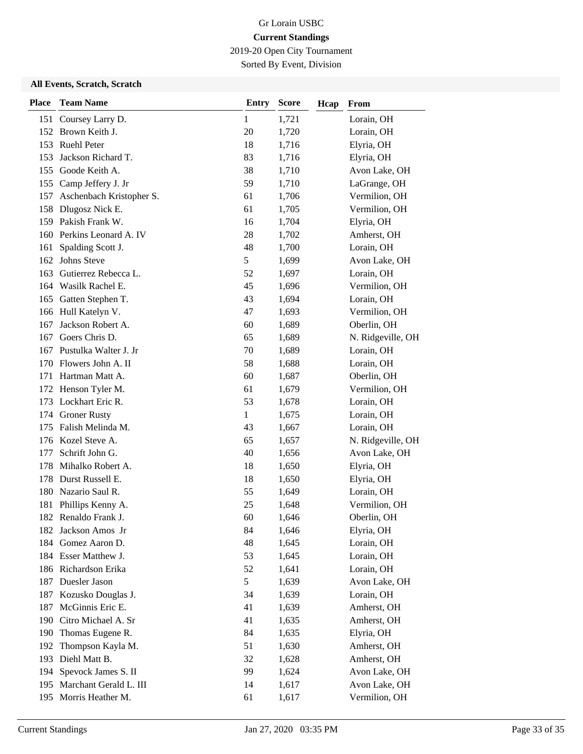2019-20 Open City Tournament

Sorted By Event, Division

| <b>Place</b> | <b>Team Name</b>          | <b>Entry</b> | <b>Score</b> | Hcap | From              |
|--------------|---------------------------|--------------|--------------|------|-------------------|
|              | 151 Coursey Larry D.      | 1            | 1,721        |      | Lorain, OH        |
|              | 152 Brown Keith J.        | 20           | 1,720        |      | Lorain, OH        |
|              | 153 Ruehl Peter           | 18           | 1,716        |      | Elyria, OH        |
| 153          | Jackson Richard T.        | 83           | 1,716        |      | Elyria, OH        |
|              | 155 Goode Keith A.        | 38           | 1,710        |      | Avon Lake, OH     |
|              | 155 Camp Jeffery J. Jr    | 59           | 1,710        |      | LaGrange, OH      |
| 157          | Aschenbach Kristopher S.  | 61           | 1,706        |      | Vermilion, OH     |
|              | 158 Dlugosz Nick E.       | 61           | 1,705        |      | Vermilion, OH     |
|              | 159 Pakish Frank W.       | 16           | 1,704        |      | Elyria, OH        |
|              | 160 Perkins Leonard A. IV | 28           | 1,702        |      | Amherst, OH       |
| 161          | Spalding Scott J.         | 48           | 1,700        |      | Lorain, OH        |
| 162          | Johns Steve               | 5            | 1,699        |      | Avon Lake, OH     |
| 163          | Gutierrez Rebecca L.      | 52           | 1,697        |      | Lorain, OH        |
| 164          | Wasilk Rachel E.          | 45           | 1,696        |      | Vermilion, OH     |
| 165          | Gatten Stephen T.         | 43           | 1,694        |      | Lorain, OH        |
|              | 166 Hull Katelyn V.       | 47           | 1,693        |      | Vermilion, OH     |
| 167          | Jackson Robert A.         | 60           | 1,689        |      | Oberlin, OH       |
| 167          | Goers Chris D.            | 65           | 1,689        |      | N. Ridgeville, OH |
|              | 167 Pustulka Walter J. Jr | 70           | 1,689        |      | Lorain, OH        |
| 170          | Flowers John A. II        | 58           | 1,688        |      | Lorain, OH        |
| 171          | Hartman Matt A.           | 60           | 1,687        |      | Oberlin, OH       |
| 172          | Henson Tyler M.           | 61           | 1,679        |      | Vermilion, OH     |
|              | 173 Lockhart Eric R.      | 53           | 1,678        |      | Lorain, OH        |
|              | 174 Groner Rusty          | $\mathbf{1}$ | 1,675        |      | Lorain, OH        |
| 175          | Falish Melinda M.         | 43           | 1,667        |      | Lorain, OH        |
|              | 176 Kozel Steve A.        | 65           | 1,657        |      | N. Ridgeville, OH |
| 177          | Schrift John G.           | 40           | 1,656        |      | Avon Lake, OH     |
| 178          | Mihalko Robert A.         | 18           | 1,650        |      | Elyria, OH        |
| 178          | Durst Russell E.          | 18           | 1,650        |      | Elyria, OH        |
|              | 180 Nazario Saul R.       | 55           | 1,649        |      | Lorain, OH        |
| 181          | Phillips Kenny A.         | 25           | 1,648        |      | Vermilion, OH     |
|              | 182 Renaldo Frank J.      | 60           | 1,646        |      | Oberlin, OH       |
|              | 182 Jackson Amos Jr       | 84           | 1,646        |      | Elyria, OH        |
| 184          | Gomez Aaron D.            | 48           | 1,645        |      | Lorain, OH        |
|              | 184 Esser Matthew J.      | 53           | 1,645        |      | Lorain, OH        |
|              | 186 Richardson Erika      | 52           | 1,641        |      | Lorain, OH        |
|              | 187 Duesler Jason         | 5            | 1,639        |      | Avon Lake, OH     |
| 187          | Kozusko Douglas J.        | 34           | 1,639        |      | Lorain, OH        |
| 187          | McGinnis Eric E.          | 41           | 1,639        |      | Amherst, OH       |
| 190          | Citro Michael A. Sr       | 41           | 1,635        |      | Amherst, OH       |
| 190          | Thomas Eugene R.          | 84           | 1,635        |      | Elyria, OH        |
| 192          | Thompson Kayla M.         | 51           | 1,630        |      | Amherst, OH       |
| 193          | Diehl Matt B.             | 32           | 1,628        |      | Amherst, OH       |
| 194          | Spevock James S. II       | 99           | 1,624        |      | Avon Lake, OH     |
| 195          | Marchant Gerald L. III    | 14           | 1,617        |      | Avon Lake, OH     |
|              | 195 Morris Heather M.     | 61           | 1,617        |      | Vermilion, OH     |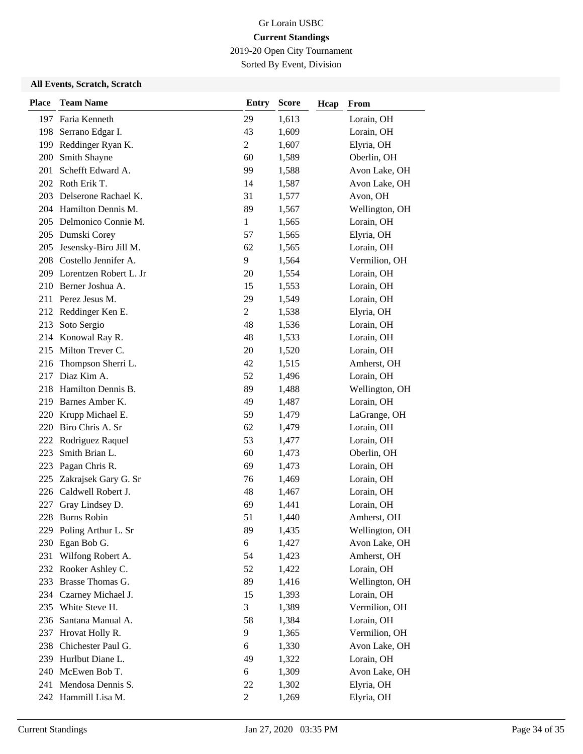2019-20 Open City Tournament

Sorted By Event, Division

| <b>Place</b> | <b>Team Name</b>           | <b>Entry</b>   | <b>Score</b> | Hcap | From           |
|--------------|----------------------------|----------------|--------------|------|----------------|
|              | 197 Faria Kenneth          | 29             | 1,613        |      | Lorain, OH     |
| 198          | Serrano Edgar I.           | 43             | 1,609        |      | Lorain, OH     |
| 199          | Reddinger Ryan K.          | $\overline{2}$ | 1,607        |      | Elyria, OH     |
| 200          | Smith Shayne               | 60             | 1,589        |      | Oberlin, OH    |
| 201          | Schefft Edward A.          | 99             | 1,588        |      | Avon Lake, OH  |
|              | 202 Roth Erik T.           | 14             | 1,587        |      | Avon Lake, OH  |
|              | 203 Delserone Rachael K.   | 31             | 1,577        |      | Avon, OH       |
|              | 204 Hamilton Dennis M.     | 89             | 1,567        |      | Wellington, OH |
|              | 205 Delmonico Connie M.    | 1              | 1,565        |      | Lorain, OH     |
|              | 205 Dumski Corey           | 57             | 1,565        |      | Elyria, OH     |
| 205          | Jesensky-Biro Jill M.      | 62             | 1,565        |      | Lorain, OH     |
|              | 208 Costello Jennifer A.   | 9              | 1,564        |      | Vermilion, OH  |
|              | 209 Lorentzen Robert L. Jr | 20             | 1,554        |      | Lorain, OH     |
|              | 210 Berner Joshua A.       | 15             | 1,553        |      | Lorain, OH     |
|              | 211 Perez Jesus M.         | 29             | 1,549        |      | Lorain, OH     |
|              | 212 Reddinger Ken E.       | $\overline{2}$ | 1,538        |      | Elyria, OH     |
| 213          | Soto Sergio                | 48             | 1,536        |      | Lorain, OH     |
|              | 214 Konowal Ray R.         | 48             | 1,533        |      | Lorain, OH     |
|              | 215 Milton Trever C.       | 20             | 1,520        |      | Lorain, OH     |
| 216          | Thompson Sherri L.         | 42             | 1,515        |      | Amherst, OH    |
|              | 217 Diaz Kim A.            | 52             | 1,496        |      | Lorain, OH     |
| 218          | Hamilton Dennis B.         | 89             | 1,488        |      | Wellington, OH |
|              | 219 Barnes Amber K.        | 49             | 1,487        |      | Lorain, OH     |
|              | 220 Krupp Michael E.       | 59             | 1,479        |      | LaGrange, OH   |
|              | 220 Biro Chris A. Sr       | 62             | 1,479        |      | Lorain, OH     |
| 222          | Rodriguez Raquel           | 53             | 1,477        |      | Lorain, OH     |
| 223          | Smith Brian L.             | 60             | 1,473        |      | Oberlin, OH    |
| 223          | Pagan Chris R.             | 69             | 1,473        |      | Lorain, OH     |
| 225          | Zakrajsek Gary G. Sr       | 76             | 1,469        |      | Lorain, OH     |
| 226          | Caldwell Robert J.         | 48             | 1,467        |      | Lorain, OH     |
| 227          | Gray Lindsey D.            | 69             | 1,441        |      | Lorain, OH     |
| 228          | <b>Burns Robin</b>         | 51             | 1,440        |      | Amherst, OH    |
|              | 229 Poling Arthur L. Sr    | 89             | 1,435        |      | Wellington, OH |
| 230          | Egan Bob G.                | 6              | 1,427        |      | Avon Lake, OH  |
| 231          | Wilfong Robert A.          | 54             | 1,423        |      | Amherst, OH    |
|              | 232 Rooker Ashley C.       | 52             | 1,422        |      | Lorain, OH     |
|              | 233 Brasse Thomas G.       | 89             | 1,416        |      | Wellington, OH |
|              | 234 Czarney Michael J.     | 15             | 1,393        |      | Lorain, OH     |
| 235          | White Steve H.             | 3              | 1,389        |      | Vermilion, OH  |
|              | 236 Santana Manual A.      | 58             | 1,384        |      | Lorain, OH     |
| 237          | Hrovat Holly R.            | 9              | 1,365        |      | Vermilion, OH  |
| 238          | Chichester Paul G.         | 6              | 1,330        |      | Avon Lake, OH  |
|              | 239 Hurlbut Diane L.       | 49             | 1,322        |      | Lorain, OH     |
|              | 240 McEwen Bob T.          | 6              | 1,309        |      | Avon Lake, OH  |
|              | 241 Mendosa Dennis S.      | 22             | 1,302        |      | Elyria, OH     |
|              | 242 Hammill Lisa M.        | $\overline{c}$ | 1,269        |      | Elyria, OH     |